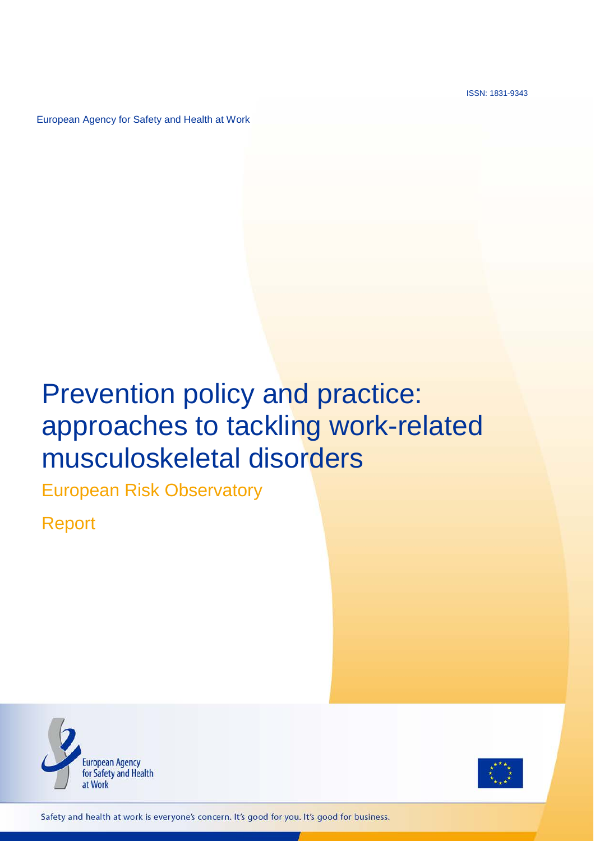ISSN: 1831-9343

European Agency for Safety and Health at Work

# Prevention policy and practice: approaches to tackling work-related musculoskeletal disorders

European Risk Observatory

Report





Safety and health at work is everyone's concern. It's good for you. It's good for business.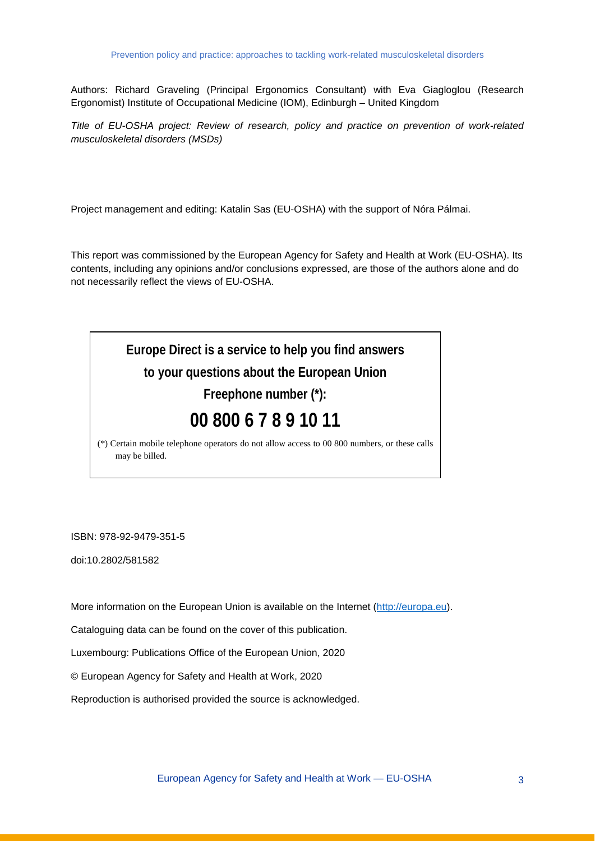Authors: Richard Graveling (Principal Ergonomics Consultant) with Eva Giagloglou (Research Ergonomist) Institute of Occupational Medicine (IOM), Edinburgh – United Kingdom

*Title of EU-OSHA project: Review of research, policy and practice on prevention of work-related musculoskeletal disorders (MSDs)*

Project management and editing: Katalin Sas (EU-OSHA) with the support of Nóra Pálmai.

This report was commissioned by the European Agency for Safety and Health at Work (EU-OSHA). Its contents, including any opinions and/or conclusions expressed, are those of the authors alone and do not necessarily reflect the views of EU-OSHA.

> **Europe Direct is a service to help you find answers to your questions about the European Union Freephone number (\*): 00 800 6 7 8 9 10 11**

(\*) Certain mobile telephone operators do not allow access to 00 800 numbers, or these calls may be billed.

ISBN: 978-92-9479-351-5

doi:10.2802/581582

More information on the European Union is available on the Internet [\(http://europa.eu\)](http://europa.eu/).

Cataloguing data can be found on the cover of this publication.

Luxembourg: Publications Office of the European Union, 2020

© European Agency for Safety and Health at Work, 2020

Reproduction is authorised provided the source is acknowledged.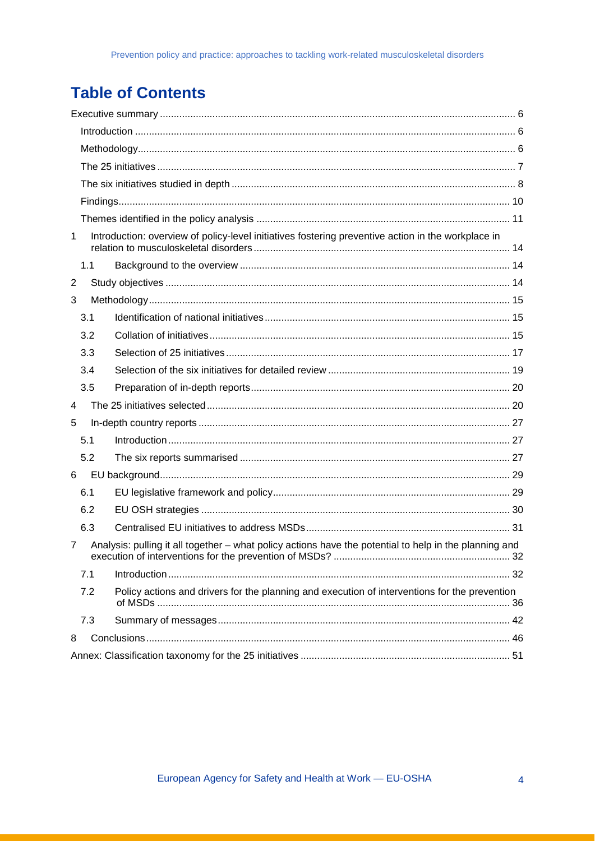## **Table of Contents**

<span id="page-2-0"></span>

| 1              |     | Introduction: overview of policy-level initiatives fostering preventive action in the workplace in     |  |
|----------------|-----|--------------------------------------------------------------------------------------------------------|--|
|                | 1.1 |                                                                                                        |  |
| $\overline{2}$ |     |                                                                                                        |  |
| 3              |     |                                                                                                        |  |
|                | 3.1 |                                                                                                        |  |
|                | 3.2 |                                                                                                        |  |
|                | 3.3 |                                                                                                        |  |
|                | 3.4 |                                                                                                        |  |
|                | 3.5 |                                                                                                        |  |
| 4              |     |                                                                                                        |  |
| 5              |     |                                                                                                        |  |
|                | 5.1 |                                                                                                        |  |
|                | 5.2 |                                                                                                        |  |
| 6              |     |                                                                                                        |  |
|                | 6.1 |                                                                                                        |  |
|                | 6.2 |                                                                                                        |  |
|                | 6.3 |                                                                                                        |  |
| $\overline{7}$ |     | Analysis: pulling it all together – what policy actions have the potential to help in the planning and |  |
|                | 7.1 |                                                                                                        |  |
|                | 7.2 | Policy actions and drivers for the planning and execution of interventions for the prevention          |  |
|                | 7.3 |                                                                                                        |  |
| 8              |     |                                                                                                        |  |
|                |     |                                                                                                        |  |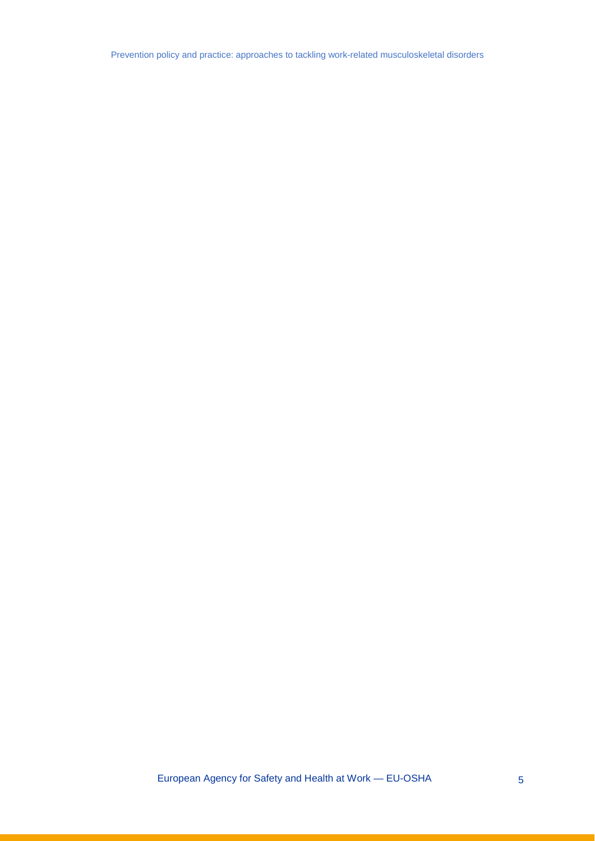Prevention policy and practice: approaches to tackling work-related musculoskeletal disorders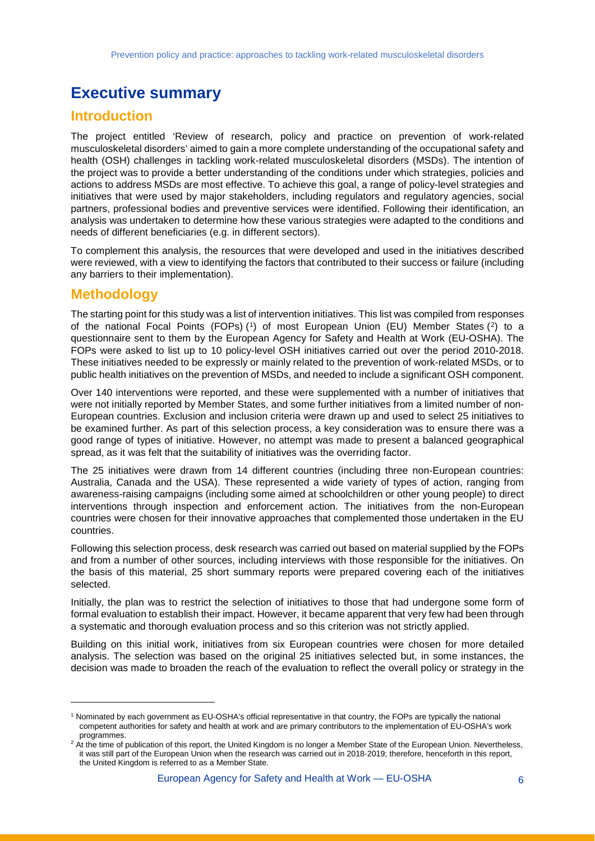## **Executive summary**

## <span id="page-4-0"></span>**Introduction**

The project entitled 'Review of research, policy and practice on prevention of work-related musculoskeletal disorders' aimed to gain a more complete understanding of the occupational safety and health (OSH) challenges in tackling work-related musculoskeletal disorders (MSDs). The intention of the project was to provide a better understanding of the conditions under which strategies, policies and actions to address MSDs are most effective. To achieve this goal, a range of policy-level strategies and initiatives that were used by major stakeholders, including regulators and regulatory agencies, social partners, professional bodies and preventive services were identified. Following their identification, an analysis was undertaken to determine how these various strategies were adapted to the conditions and needs of different beneficiaries (e.g. in different sectors).

To complement this analysis, the resources that were developed and used in the initiatives described were reviewed, with a view to identifying the factors that contributed to their success or failure (including any barriers to their implementation).

## <span id="page-4-1"></span>**Methodology**

-

The starting point for this study was a list of intervention initiatives. This list was compiled from responses of the national Focal Points (FOPs) ([1](#page-4-2)) of most European Union (EU) Member States ([2](#page-4-3)) to a questionnaire sent to them by the European Agency for Safety and Health at Work (EU-OSHA). The FOPs were asked to list up to 10 policy-level OSH initiatives carried out over the period 2010-2018. These initiatives needed to be expressly or mainly related to the prevention of work-related MSDs, or to public health initiatives on the prevention of MSDs, and needed to include a significant OSH component.

Over 140 interventions were reported, and these were supplemented with a number of initiatives that were not initially reported by Member States, and some further initiatives from a limited number of non-European countries. Exclusion and inclusion criteria were drawn up and used to select 25 initiatives to be examined further. As part of this selection process, a key consideration was to ensure there was a good range of types of initiative. However, no attempt was made to present a balanced geographical spread, as it was felt that the suitability of initiatives was the overriding factor.

The 25 initiatives were drawn from 14 different countries (including three non-European countries: Australia, Canada and the USA). These represented a wide variety of types of action, ranging from awareness-raising campaigns (including some aimed at schoolchildren or other young people) to direct interventions through inspection and enforcement action. The initiatives from the non-European countries were chosen for their innovative approaches that complemented those undertaken in the EU countries.

Following this selection process, desk research was carried out based on material supplied by the FOPs and from a number of other sources, including interviews with those responsible for the initiatives. On the basis of this material, 25 short summary reports were prepared covering each of the initiatives selected.

Initially, the plan was to restrict the selection of initiatives to those that had undergone some form of formal evaluation to establish their impact. However, it became apparent that very few had been through a systematic and thorough evaluation process and so this criterion was not strictly applied.

Building on this initial work, initiatives from six European countries were chosen for more detailed analysis. The selection was based on the original 25 initiatives selected but, in some instances, the decision was made to broaden the reach of the evaluation to reflect the overall policy or strategy in the

<span id="page-4-2"></span><sup>1</sup> Nominated by each government as EU-OSHA's official representative in that country, the FOPs are typically the national competent authorities for safety and health at work and are primary contributors to the implementation of EU-OSHA's work programmes.

<span id="page-4-3"></span><sup>&</sup>lt;sup>2</sup> At the time of publication of this report, the United Kingdom is no longer a Member State of the European Union. Nevertheless, it was still part of the European Union when the research was carried out in 2018-2019; therefore, henceforth in this report, the United Kingdom is referred to as a Member State.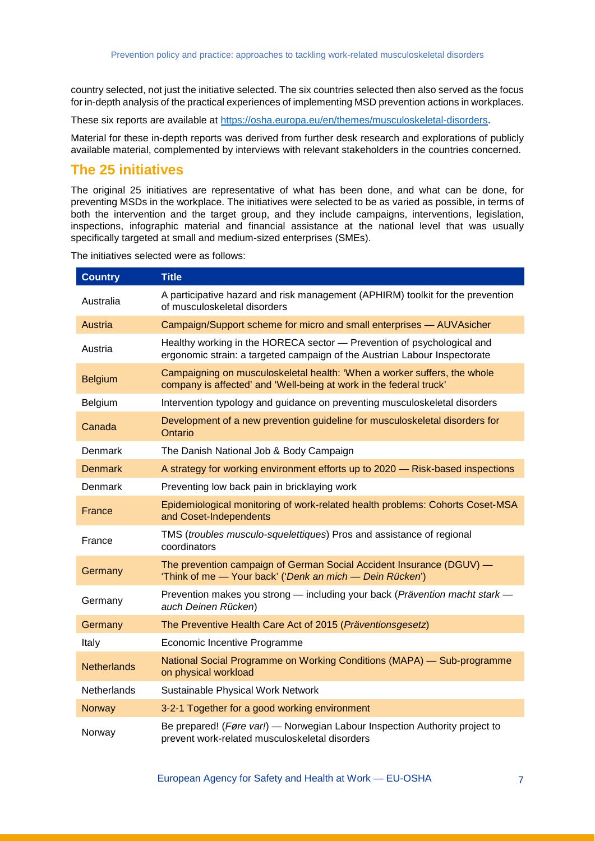country selected, not just the initiative selected. The six countries selected then also served as the focus for in-depth analysis of the practical experiences of implementing MSD prevention actions in workplaces.

These six reports are available at [https://osha.europa.eu/en/themes/musculoskeletal-disorders.](https://osha.europa.eu/en/themes/musculoskeletal-disorders)

Material for these in-depth reports was derived from further desk research and explorations of publicly available material, complemented by interviews with relevant stakeholders in the countries concerned.

### <span id="page-5-0"></span>**The 25 initiatives**

The original 25 initiatives are representative of what has been done, and what can be done, for preventing MSDs in the workplace. The initiatives were selected to be as varied as possible, in terms of both the intervention and the target group, and they include campaigns, interventions, legislation, inspections, infographic material and financial assistance at the national level that was usually specifically targeted at small and medium-sized enterprises (SMEs).

The initiatives selected were as follows:

| <b>Country</b>     | <b>Title</b>                                                                                                                                        |
|--------------------|-----------------------------------------------------------------------------------------------------------------------------------------------------|
| Australia          | A participative hazard and risk management (APHIRM) toolkit for the prevention<br>of musculoskeletal disorders                                      |
| Austria            | Campaign/Support scheme for micro and small enterprises - AUVAsicher                                                                                |
| Austria            | Healthy working in the HORECA sector - Prevention of psychological and<br>ergonomic strain: a targeted campaign of the Austrian Labour Inspectorate |
| <b>Belgium</b>     | Campaigning on musculoskeletal health: 'When a worker suffers, the whole<br>company is affected' and 'Well-being at work in the federal truck'      |
| Belgium            | Intervention typology and guidance on preventing musculoskeletal disorders                                                                          |
| Canada             | Development of a new prevention guideline for musculoskeletal disorders for<br>Ontario                                                              |
| Denmark            | The Danish National Job & Body Campaign                                                                                                             |
| <b>Denmark</b>     | A strategy for working environment efforts up to 2020 - Risk-based inspections                                                                      |
| Denmark            | Preventing low back pain in bricklaying work                                                                                                        |
| France             | Epidemiological monitoring of work-related health problems: Cohorts Coset-MSA<br>and Coset-Independents                                             |
| France             | TMS (troubles musculo-squelettiques) Pros and assistance of regional<br>coordinators                                                                |
| Germany            | The prevention campaign of German Social Accident Insurance (DGUV) -<br>'Think of me - Your back' ('Denk an mich - Dein Rücken')                    |
| Germany            | Prevention makes you strong - including your back (Prävention macht stark -<br>auch Deinen Rücken)                                                  |
| Germany            | The Preventive Health Care Act of 2015 (Präventionsgesetz)                                                                                          |
| Italy              | Economic Incentive Programme                                                                                                                        |
| <b>Netherlands</b> | National Social Programme on Working Conditions (MAPA) - Sub-programme<br>on physical workload                                                      |
| Netherlands        | Sustainable Physical Work Network                                                                                                                   |
| <b>Norway</b>      | 3-2-1 Together for a good working environment                                                                                                       |
| Norway             | Be prepared! (Føre var!) — Norwegian Labour Inspection Authority project to<br>prevent work-related musculoskeletal disorders                       |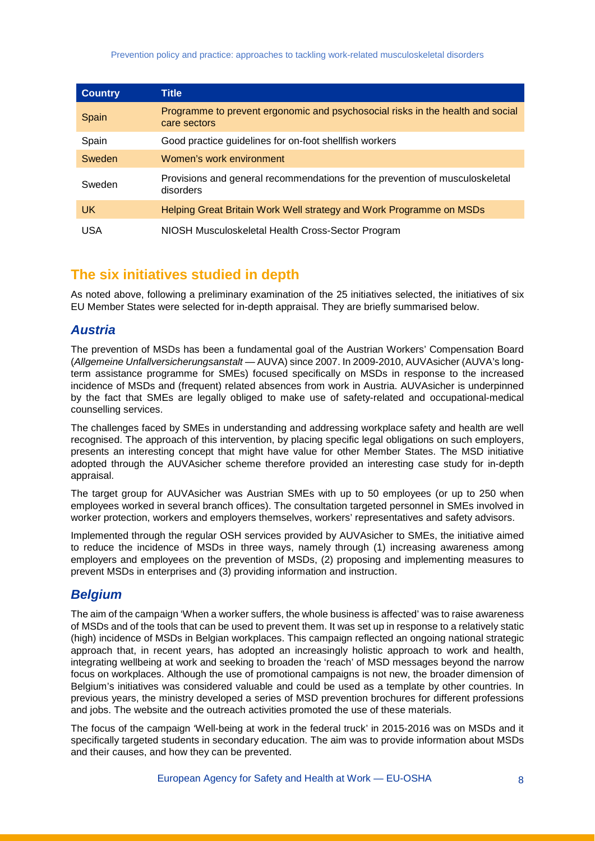#### Prevention policy and practice: approaches to tackling work-related musculoskeletal disorders

| <b>Country</b> | Title                                                                                          |
|----------------|------------------------------------------------------------------------------------------------|
| Spain          | Programme to prevent ergonomic and psychosocial risks in the health and social<br>care sectors |
| Spain          | Good practice guidelines for on-foot shellfish workers                                         |
| Sweden         | Women's work environment                                                                       |
| Sweden         | Provisions and general recommendations for the prevention of musculoskeletal<br>disorders      |
| UK.            | Helping Great Britain Work Well strategy and Work Programme on MSDs                            |
| USA            | NIOSH Musculoskeletal Health Cross-Sector Program                                              |

## <span id="page-6-0"></span>**The six initiatives studied in depth**

As noted above, following a preliminary examination of the 25 initiatives selected, the initiatives of six EU Member States were selected for in-depth appraisal. They are briefly summarised below.

### *Austria*

The prevention of MSDs has been a fundamental goal of the Austrian Workers' Compensation Board (*Allgemeine Unfallversicherungsanstalt* — AUVA) since 2007. In 2009-2010, AUVAsicher (AUVA's longterm assistance programme for SMEs) focused specifically on MSDs in response to the increased incidence of MSDs and (frequent) related absences from work in Austria. AUVAsicher is underpinned by the fact that SMEs are legally obliged to make use of safety-related and occupational-medical counselling services.

The challenges faced by SMEs in understanding and addressing workplace safety and health are well recognised. The approach of this intervention, by placing specific legal obligations on such employers, presents an interesting concept that might have value for other Member States. The MSD initiative adopted through the AUVAsicher scheme therefore provided an interesting case study for in-depth appraisal.

The target group for AUVAsicher was Austrian SMEs with up to 50 employees (or up to 250 when employees worked in several branch offices). The consultation targeted personnel in SMEs involved in worker protection, workers and employers themselves, workers' representatives and safety advisors.

Implemented through the regular OSH services provided by AUVAsicher to SMEs, the initiative aimed to reduce the incidence of MSDs in three ways, namely through (1) increasing awareness among employers and employees on the prevention of MSDs, (2) proposing and implementing measures to prevent MSDs in enterprises and (3) providing information and instruction.

## *Belgium*

The aim of the campaign 'When a worker suffers, the whole business is affected' was to raise awareness of MSDs and of the tools that can be used to prevent them. It was set up in response to a relatively static (high) incidence of MSDs in Belgian workplaces. This campaign reflected an ongoing national strategic approach that, in recent years, has adopted an increasingly holistic approach to work and health, integrating wellbeing at work and seeking to broaden the 'reach' of MSD messages beyond the narrow focus on workplaces. Although the use of promotional campaigns is not new, the broader dimension of Belgium's initiatives was considered valuable and could be used as a template by other countries. In previous years, the ministry developed a series of MSD prevention brochures for different professions and jobs. The website and the outreach activities promoted the use of these materials.

The focus of the campaign 'Well-being at work in the federal truck' in 2015-2016 was on MSDs and it specifically targeted students in secondary education. The aim was to provide information about MSDs and their causes, and how they can be prevented.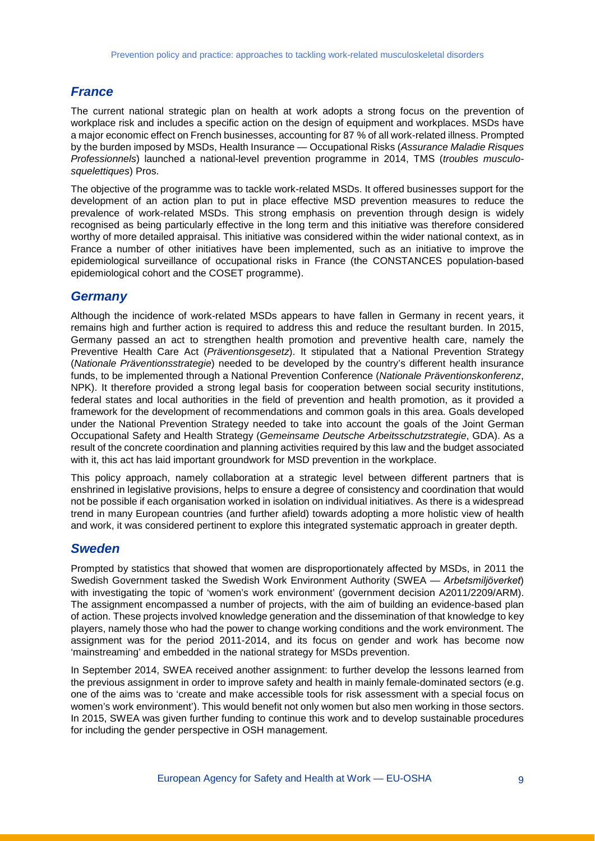## *France*

The current national strategic plan on health at work adopts a strong focus on the prevention of workplace risk and includes a specific action on the design of equipment and workplaces. MSDs have a major economic effect on French businesses, accounting for 87 % of all work-related illness. Prompted by the burden imposed by MSDs, Health Insurance — Occupational Risks (*Assurance Maladie Risques Professionnels*) launched a national-level prevention programme in 2014, TMS (*troubles musculosquelettiques*) Pros.

The objective of the programme was to tackle work-related MSDs. It offered businesses support for the development of an action plan to put in place effective MSD prevention measures to reduce the prevalence of work-related MSDs. This strong emphasis on prevention through design is widely recognised as being particularly effective in the long term and this initiative was therefore considered worthy of more detailed appraisal. This initiative was considered within the wider national context, as in France a number of other initiatives have been implemented, such as an initiative to improve the epidemiological surveillance of occupational risks in France (the CONSTANCES population-based epidemiological cohort and the COSET programme).

### *Germany*

Although the incidence of work-related MSDs appears to have fallen in Germany in recent years, it remains high and further action is required to address this and reduce the resultant burden. In 2015, Germany passed an act to strengthen health promotion and preventive health care, namely the Preventive Health Care Act (*Präventionsgesetz*). It stipulated that a National Prevention Strategy (*Nationale Präventionsstrategie*) needed to be developed by the country's different health insurance funds, to be implemented through a National Prevention Conference (*Nationale Präventionskonferenz*, NPK). It therefore provided a strong legal basis for cooperation between social security institutions, federal states and local authorities in the field of prevention and health promotion, as it provided a framework for the development of recommendations and common goals in this area. Goals developed under the National Prevention Strategy needed to take into account the goals of the Joint German Occupational Safety and Health Strategy (*Gemeinsame Deutsche Arbeitsschutzstrategie*, GDA). As a result of the concrete coordination and planning activities required by this law and the budget associated with it, this act has laid important groundwork for MSD prevention in the workplace.

This policy approach, namely collaboration at a strategic level between different partners that is enshrined in legislative provisions, helps to ensure a degree of consistency and coordination that would not be possible if each organisation worked in isolation on individual initiatives. As there is a widespread trend in many European countries (and further afield) towards adopting a more holistic view of health and work, it was considered pertinent to explore this integrated systematic approach in greater depth.

### *Sweden*

Prompted by statistics that showed that women are disproportionately affected by MSDs, in 2011 the Swedish Government tasked the Swedish Work Environment Authority (SWEA — *Arbetsmiljӧverket*) with investigating the topic of 'women's work environment' (government decision A2011/2209/ARM). The assignment encompassed a number of projects, with the aim of building an evidence-based plan of action. These projects involved knowledge generation and the dissemination of that knowledge to key players, namely those who had the power to change working conditions and the work environment. The assignment was for the period 2011-2014, and its focus on gender and work has become now 'mainstreaming' and embedded in the national strategy for MSDs prevention.

In September 2014, SWEA received another assignment: to further develop the lessons learned from the previous assignment in order to improve safety and health in mainly female-dominated sectors (e.g. one of the aims was to 'create and make accessible tools for risk assessment with a special focus on women's work environment'). This would benefit not only women but also men working in those sectors. In 2015, SWEA was given further funding to continue this work and to develop sustainable procedures for including the gender perspective in OSH management.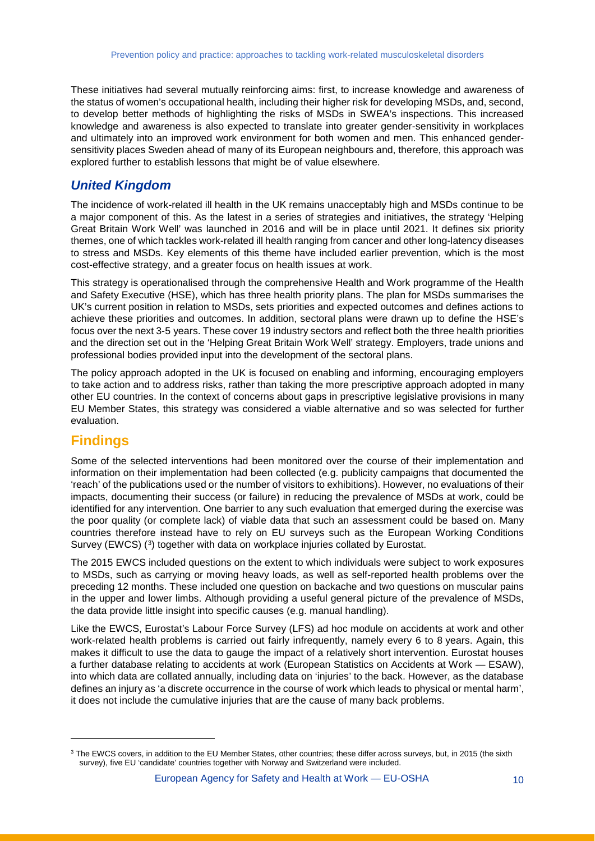These initiatives had several mutually reinforcing aims: first, to increase knowledge and awareness of the status of women's occupational health, including their higher risk for developing MSDs, and, second, to develop better methods of highlighting the risks of MSDs in SWEA's inspections. This increased knowledge and awareness is also expected to translate into greater gender-sensitivity in workplaces and ultimately into an improved work environment for both women and men. This enhanced gendersensitivity places Sweden ahead of many of its European neighbours and, therefore, this approach was explored further to establish lessons that might be of value elsewhere.

## *United Kingdom*

The incidence of work-related ill health in the UK remains unacceptably high and MSDs continue to be a major component of this. As the latest in a series of strategies and initiatives, the strategy 'Helping Great Britain Work Well' was launched in 2016 and will be in place until 2021. It defines six priority themes, one of which tackles work-related ill health ranging from cancer and other long-latency diseases to stress and MSDs. Key elements of this theme have included earlier prevention, which is the most cost-effective strategy, and a greater focus on health issues at work.

This strategy is operationalised through the comprehensive Health and Work programme of the Health and Safety Executive (HSE), which has three health priority plans. The plan for MSDs summarises the UK's current position in relation to MSDs, sets priorities and expected outcomes and defines actions to achieve these priorities and outcomes. In addition, sectoral plans were drawn up to define the HSE's focus over the next 3-5 years. These cover 19 industry sectors and reflect both the three health priorities and the direction set out in the 'Helping Great Britain Work Well' strategy. Employers, trade unions and professional bodies provided input into the development of the sectoral plans.

The policy approach adopted in the UK is focused on enabling and informing, encouraging employers to take action and to address risks, rather than taking the more prescriptive approach adopted in many other EU countries. In the context of concerns about gaps in prescriptive legislative provisions in many EU Member States, this strategy was considered a viable alternative and so was selected for further evaluation.

## <span id="page-8-0"></span>**Findings**

-

Some of the selected interventions had been monitored over the course of their implementation and information on their implementation had been collected (e.g. publicity campaigns that documented the 'reach' of the publications used or the number of visitors to exhibitions). However, no evaluations of their impacts, documenting their success (or failure) in reducing the prevalence of MSDs at work, could be identified for any intervention. One barrier to any such evaluation that emerged during the exercise was the poor quality (or complete lack) of viable data that such an assessment could be based on. Many countries therefore instead have to rely on EU surveys such as the European Working Conditions Survey (EWCS) ([3\)](#page-8-1) together with data on workplace injuries collated by Eurostat.

The 2015 EWCS included questions on the extent to which individuals were subject to work exposures to MSDs, such as carrying or moving heavy loads, as well as self-reported health problems over the preceding 12 months. These included one question on backache and two questions on muscular pains in the upper and lower limbs. Although providing a useful general picture of the prevalence of MSDs, the data provide little insight into specific causes (e.g. manual handling).

Like the EWCS, Eurostat's Labour Force Survey (LFS) ad hoc module on accidents at work and other work-related health problems is carried out fairly infrequently, namely every 6 to 8 years. Again, this makes it difficult to use the data to gauge the impact of a relatively short intervention. Eurostat houses a further database relating to accidents at work (European Statistics on Accidents at Work — ESAW), into which data are collated annually, including data on 'injuries' to the back. However, as the database defines an injury as 'a discrete occurrence in the course of work which leads to physical or mental harm', it does not include the cumulative injuries that are the cause of many back problems.

<span id="page-8-1"></span><sup>&</sup>lt;sup>3</sup> The EWCS covers, in addition to the EU Member States, other countries; these differ across surveys, but, in 2015 (the sixth survey), five EU 'candidate' countries together with Norway and Switzerland were included.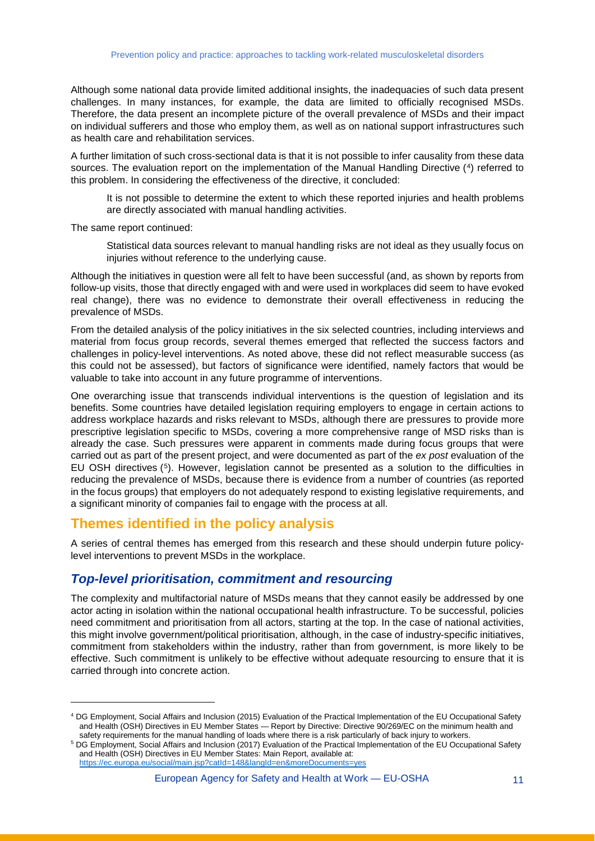Although some national data provide limited additional insights, the inadequacies of such data present challenges. In many instances, for example, the data are limited to officially recognised MSDs. Therefore, the data present an incomplete picture of the overall prevalence of MSDs and their impact on individual sufferers and those who employ them, as well as on national support infrastructures such as health care and rehabilitation services.

A further limitation of such cross-sectional data is that it is not possible to infer causality from these data sources. The evaluation report on the implementation of the Manual Handling Directive ([4](#page-9-1)) referred to this problem. In considering the effectiveness of the directive, it concluded:

It is not possible to determine the extent to which these reported injuries and health problems are directly associated with manual handling activities.

The same report continued:

-

Statistical data sources relevant to manual handling risks are not ideal as they usually focus on injuries without reference to the underlying cause.

Although the initiatives in question were all felt to have been successful (and, as shown by reports from follow-up visits, those that directly engaged with and were used in workplaces did seem to have evoked real change), there was no evidence to demonstrate their overall effectiveness in reducing the prevalence of MSDs.

From the detailed analysis of the policy initiatives in the six selected countries, including interviews and material from focus group records, several themes emerged that reflected the success factors and challenges in policy-level interventions. As noted above, these did not reflect measurable success (as this could not be assessed), but factors of significance were identified, namely factors that would be valuable to take into account in any future programme of interventions.

One overarching issue that transcends individual interventions is the question of legislation and its benefits. Some countries have detailed legislation requiring employers to engage in certain actions to address workplace hazards and risks relevant to MSDs, although there are pressures to provide more prescriptive legislation specific to MSDs, covering a more comprehensive range of MSD risks than is already the case. Such pressures were apparent in comments made during focus groups that were carried out as part of the present project, and were documented as part of the *ex post* evaluation of the EU OSH directives ([5\)](#page-9-2). However, legislation cannot be presented as a solution to the difficulties in reducing the prevalence of MSDs, because there is evidence from a number of countries (as reported in the focus groups) that employers do not adequately respond to existing legislative requirements, and a significant minority of companies fail to engage with the process at all.

## <span id="page-9-0"></span>**Themes identified in the policy analysis**

A series of central themes has emerged from this research and these should underpin future policylevel interventions to prevent MSDs in the workplace.

### *Top-level prioritisation, commitment and resourcing*

The complexity and multifactorial nature of MSDs means that they cannot easily be addressed by one actor acting in isolation within the national occupational health infrastructure. To be successful, policies need commitment and prioritisation from all actors, starting at the top. In the case of national activities, this might involve government/political prioritisation, although, in the case of industry-specific initiatives, commitment from stakeholders within the industry, rather than from government, is more likely to be effective. Such commitment is unlikely to be effective without adequate resourcing to ensure that it is carried through into concrete action.

<https://ec.europa.eu/social/main.jsp?catId=148&langId=en&moreDocuments=yes>

European Agency for Safety and Health at Work — EU-OSHA 11

<span id="page-9-1"></span><sup>4</sup> DG Employment, Social Affairs and Inclusion (2015) Evaluation of the Practical Implementation of the EU Occupational Safety and Health (OSH) Directives in EU Member States — Report by Directive: Directive 90/269/EC on the minimum health and safety requirements for the manual handling of loads where there is a risk particularly of back injury to workers.

<span id="page-9-2"></span><sup>5</sup> DG Employment, Social Affairs and Inclusion (2017) Evaluation of the Practical Implementation of the EU Occupational Safety and Health (OSH) Directives in EU Member States: Main Report, available at: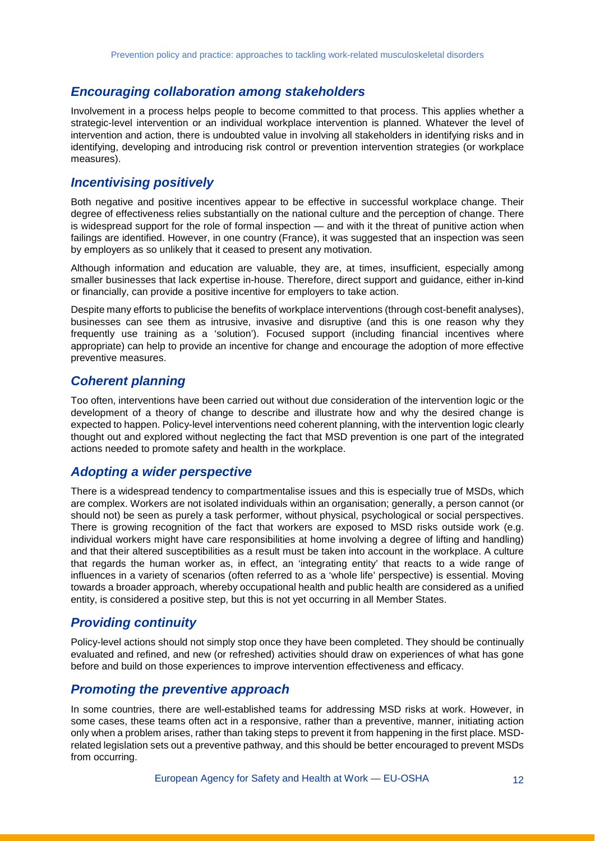#### *Encouraging collaboration among stakeholders*

Involvement in a process helps people to become committed to that process. This applies whether a strategic-level intervention or an individual workplace intervention is planned. Whatever the level of intervention and action, there is undoubted value in involving all stakeholders in identifying risks and in identifying, developing and introducing risk control or prevention intervention strategies (or workplace measures).

#### *Incentivising positively*

Both negative and positive incentives appear to be effective in successful workplace change. Their degree of effectiveness relies substantially on the national culture and the perception of change. There is widespread support for the role of formal inspection — and with it the threat of punitive action when failings are identified. However, in one country (France), it was suggested that an inspection was seen by employers as so unlikely that it ceased to present any motivation.

Although information and education are valuable, they are, at times, insufficient, especially among smaller businesses that lack expertise in-house. Therefore, direct support and guidance, either in-kind or financially, can provide a positive incentive for employers to take action.

Despite many efforts to publicise the benefits of workplace interventions (through cost-benefit analyses), businesses can see them as intrusive, invasive and disruptive (and this is one reason why they frequently use training as a 'solution'). Focused support (including financial incentives where appropriate) can help to provide an incentive for change and encourage the adoption of more effective preventive measures.

#### *Coherent planning*

Too often, interventions have been carried out without due consideration of the intervention logic or the development of a theory of change to describe and illustrate how and why the desired change is expected to happen. Policy-level interventions need coherent planning, with the intervention logic clearly thought out and explored without neglecting the fact that MSD prevention is one part of the integrated actions needed to promote safety and health in the workplace.

#### *Adopting a wider perspective*

There is a widespread tendency to compartmentalise issues and this is especially true of MSDs, which are complex. Workers are not isolated individuals within an organisation; generally, a person cannot (or should not) be seen as purely a task performer, without physical, psychological or social perspectives. There is growing recognition of the fact that workers are exposed to MSD risks outside work (e.g. individual workers might have care responsibilities at home involving a degree of lifting and handling) and that their altered susceptibilities as a result must be taken into account in the workplace. A culture that regards the human worker as, in effect, an 'integrating entity' that reacts to a wide range of influences in a variety of scenarios (often referred to as a 'whole life' perspective) is essential. Moving towards a broader approach, whereby occupational health and public health are considered as a unified entity, is considered a positive step, but this is not yet occurring in all Member States.

#### *Providing continuity*

Policy-level actions should not simply stop once they have been completed. They should be continually evaluated and refined, and new (or refreshed) activities should draw on experiences of what has gone before and build on those experiences to improve intervention effectiveness and efficacy.

### *Promoting the preventive approach*

In some countries, there are well-established teams for addressing MSD risks at work. However, in some cases, these teams often act in a responsive, rather than a preventive, manner, initiating action only when a problem arises, rather than taking steps to prevent it from happening in the first place. MSDrelated legislation sets out a preventive pathway, and this should be better encouraged to prevent MSDs from occurring.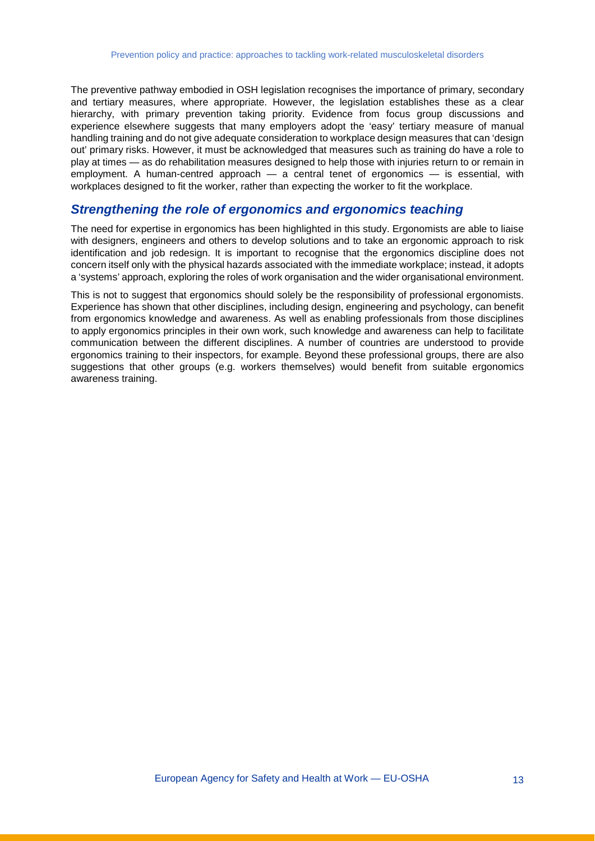The preventive pathway embodied in OSH legislation recognises the importance of primary, secondary and tertiary measures, where appropriate. However, the legislation establishes these as a clear hierarchy, with primary prevention taking priority. Evidence from focus group discussions and experience elsewhere suggests that many employers adopt the 'easy' tertiary measure of manual handling training and do not give adequate consideration to workplace design measures that can 'design out' primary risks. However, it must be acknowledged that measures such as training do have a role to play at times — as do rehabilitation measures designed to help those with injuries return to or remain in employment. A human-centred approach — a central tenet of ergonomics — is essential, with workplaces designed to fit the worker, rather than expecting the worker to fit the workplace.

#### *Strengthening the role of ergonomics and ergonomics teaching*

The need for expertise in ergonomics has been highlighted in this study. Ergonomists are able to liaise with designers, engineers and others to develop solutions and to take an ergonomic approach to risk identification and job redesign. It is important to recognise that the ergonomics discipline does not concern itself only with the physical hazards associated with the immediate workplace; instead, it adopts a 'systems' approach, exploring the roles of work organisation and the wider organisational environment.

This is not to suggest that ergonomics should solely be the responsibility of professional ergonomists. Experience has shown that other disciplines, including design, engineering and psychology, can benefit from ergonomics knowledge and awareness. As well as enabling professionals from those disciplines to apply ergonomics principles in their own work, such knowledge and awareness can help to facilitate communication between the different disciplines. A number of countries are understood to provide ergonomics training to their inspectors, for example. Beyond these professional groups, there are also suggestions that other groups (e.g. workers themselves) would benefit from suitable ergonomics awareness training.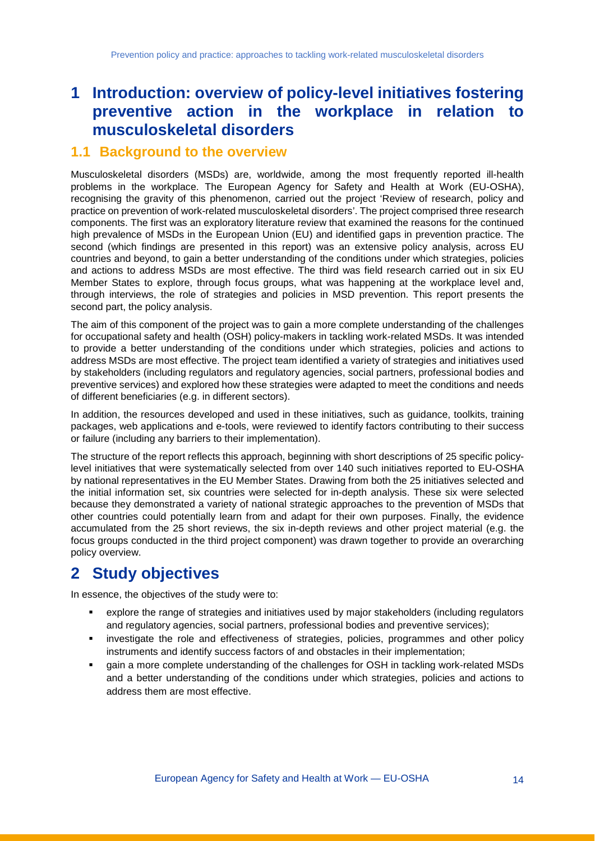## <span id="page-12-0"></span>**1 Introduction: overview of policy-level initiatives fostering preventive action in the workplace in relation to musculoskeletal disorders**

## <span id="page-12-1"></span>**1.1 Background to the overview**

Musculoskeletal disorders (MSDs) are, worldwide, among the most frequently reported ill-health problems in the workplace. The European Agency for Safety and Health at Work (EU-OSHA), recognising the gravity of this phenomenon, carried out the project 'Review of research, policy and practice on prevention of work-related musculoskeletal disorders'. The project comprised three research components. The first was an exploratory literature review that examined the reasons for the continued high prevalence of MSDs in the European Union (EU) and identified gaps in prevention practice. The second (which findings are presented in this report) was an extensive policy analysis, across EU countries and beyond, to gain a better understanding of the conditions under which strategies, policies and actions to address MSDs are most effective. The third was field research carried out in six EU Member States to explore, through focus groups, what was happening at the workplace level and, through interviews, the role of strategies and policies in MSD prevention. This report presents the second part, the policy analysis.

The aim of this component of the project was to gain a more complete understanding of the challenges for occupational safety and health (OSH) policy-makers in tackling work-related MSDs. It was intended to provide a better understanding of the conditions under which strategies, policies and actions to address MSDs are most effective. The project team identified a variety of strategies and initiatives used by stakeholders (including regulators and regulatory agencies, social partners, professional bodies and preventive services) and explored how these strategies were adapted to meet the conditions and needs of different beneficiaries (e.g. in different sectors).

In addition, the resources developed and used in these initiatives, such as guidance, toolkits, training packages, web applications and e-tools, were reviewed to identify factors contributing to their success or failure (including any barriers to their implementation).

The structure of the report reflects this approach, beginning with short descriptions of 25 specific policylevel initiatives that were systematically selected from over 140 such initiatives reported to EU-OSHA by national representatives in the EU Member States. Drawing from both the 25 initiatives selected and the initial information set, six countries were selected for in-depth analysis. These six were selected because they demonstrated a variety of national strategic approaches to the prevention of MSDs that other countries could potentially learn from and adapt for their own purposes. Finally, the evidence accumulated from the 25 short reviews, the six in-depth reviews and other project material (e.g. the focus groups conducted in the third project component) was drawn together to provide an overarching policy overview.

## <span id="page-12-2"></span>**2 Study objectives**

In essence, the objectives of the study were to:

- explore the range of strategies and initiatives used by major stakeholders (including regulators and regulatory agencies, social partners, professional bodies and preventive services);
- **EXECT** investigate the role and effectiveness of strategies, policies, programmes and other policy instruments and identify success factors of and obstacles in their implementation;
- gain a more complete understanding of the challenges for OSH in tackling work-related MSDs and a better understanding of the conditions under which strategies, policies and actions to address them are most effective.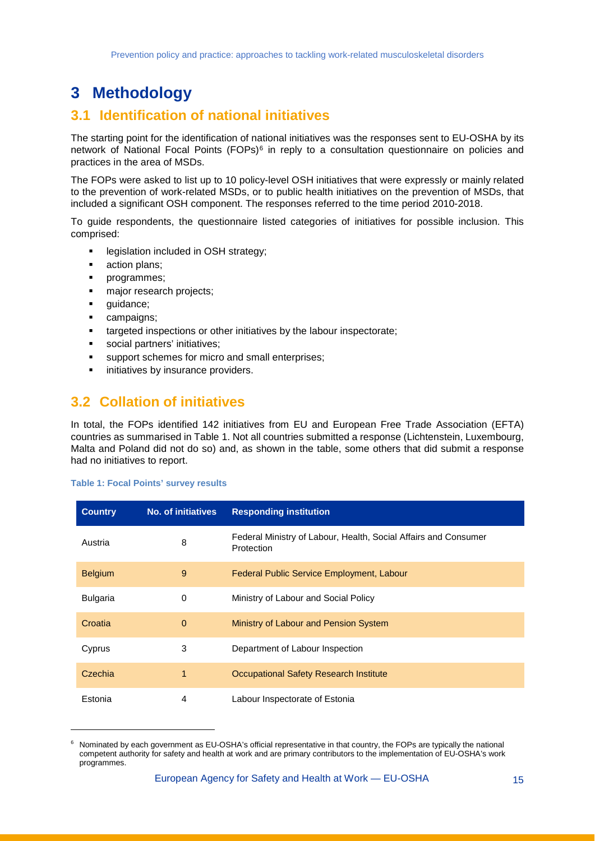## <span id="page-13-0"></span>**3 Methodology**

## <span id="page-13-1"></span>**3.1 Identification of national initiatives**

The starting point for the identification of national initiatives was the responses sent to EU-OSHA by its network of National Focal Points (FOPs)<sup>[6](#page-13-3)</sup> in reply to a consultation questionnaire on policies and practices in the area of MSDs.

The FOPs were asked to list up to 10 policy-level OSH initiatives that were expressly or mainly related to the prevention of work-related MSDs, or to public health initiatives on the prevention of MSDs, that included a significant OSH component. The responses referred to the time period 2010-2018.

To guide respondents, the questionnaire listed categories of initiatives for possible inclusion. This comprised:

- **Example 1** legislation included in OSH strategy;
- **action plans;**
- **•** programmes;
- major research projects;
- quidance;
- campaigns:
- **targeted inspections or other initiatives by the labour inspectorate;**
- social partners' initiatives;
- support schemes for micro and small enterprises;
- initiatives by insurance providers.

## <span id="page-13-2"></span>**3.2 Collation of initiatives**

In total, the FOPs identified 142 initiatives from EU and European Free Trade Association (EFTA) countries as summarised in Table 1. Not all countries submitted a response (Lichtenstein, Luxembourg, Malta and Poland did not do so) and, as shown in the table, some others that did submit a response had no initiatives to report.

|  |  |  |  | <b>Table 1: Focal Points' survey results</b> |
|--|--|--|--|----------------------------------------------|
|--|--|--|--|----------------------------------------------|

-

| <b>Country</b>  | <b>No. of initiatives</b> | <b>Responding institution</b>                                                 |
|-----------------|---------------------------|-------------------------------------------------------------------------------|
| Austria         | 8                         | Federal Ministry of Labour, Health, Social Affairs and Consumer<br>Protection |
| <b>Belgium</b>  | 9                         | Federal Public Service Employment, Labour                                     |
| <b>Bulgaria</b> | 0                         | Ministry of Labour and Social Policy                                          |
| Croatia         | 0                         | Ministry of Labour and Pension System                                         |
| Cyprus          | 3                         | Department of Labour Inspection                                               |
| Czechia         | 1                         | Occupational Safety Research Institute                                        |
| Estonia         | 4                         | Labour Inspectorate of Estonia                                                |

<span id="page-13-3"></span><sup>&</sup>lt;sup>6</sup> Nominated by each government as EU-OSHA's official representative in that country, the FOPs are typically the national competent authority for safety and health at work and are primary contributors to the implementation of EU-OSHA's work programmes.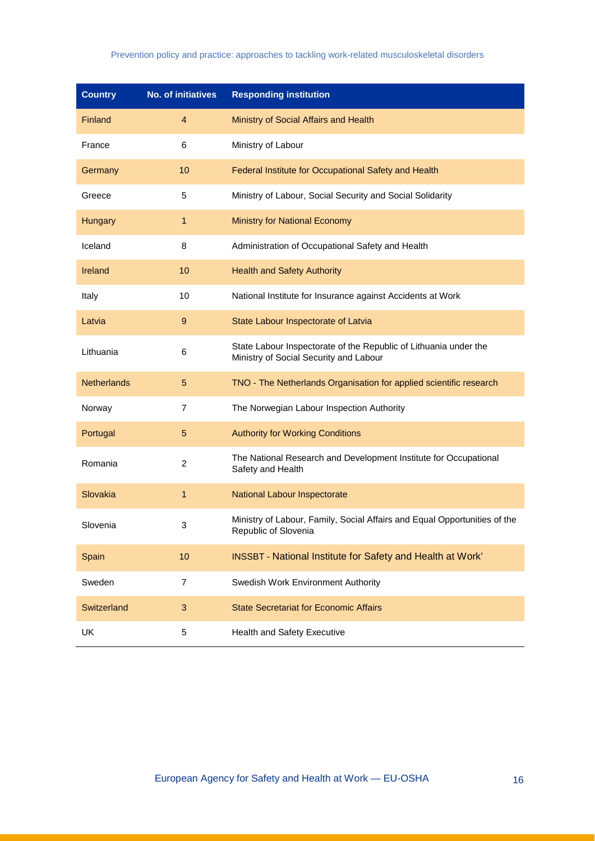#### Prevention policy and practice: approaches to tackling work-related musculoskeletal disorders

| <b>Country</b>     | <b>No. of initiatives</b> | <b>Responding institution</b>                                                                              |
|--------------------|---------------------------|------------------------------------------------------------------------------------------------------------|
| Finland            | 4                         | Ministry of Social Affairs and Health                                                                      |
| France             | 6                         | Ministry of Labour                                                                                         |
| Germany            | 10                        | Federal Institute for Occupational Safety and Health                                                       |
| Greece             | 5                         | Ministry of Labour, Social Security and Social Solidarity                                                  |
| <b>Hungary</b>     | 1                         | <b>Ministry for National Economy</b>                                                                       |
| Iceland            | 8                         | Administration of Occupational Safety and Health                                                           |
| Ireland            | 10                        | <b>Health and Safety Authority</b>                                                                         |
| Italy              | 10                        | National Institute for Insurance against Accidents at Work                                                 |
| Latvia             | 9                         | State Labour Inspectorate of Latvia                                                                        |
| Lithuania          | 6                         | State Labour Inspectorate of the Republic of Lithuania under the<br>Ministry of Social Security and Labour |
| <b>Netherlands</b> | 5                         | TNO - The Netherlands Organisation for applied scientific research                                         |
| Norway             | 7                         | The Norwegian Labour Inspection Authority                                                                  |
| Portugal           | 5                         | <b>Authority for Working Conditions</b>                                                                    |
| Romania            | 2                         | The National Research and Development Institute for Occupational<br>Safety and Health                      |
| Slovakia           | 1                         | National Labour Inspectorate                                                                               |
| Slovenia           | 3                         | Ministry of Labour, Family, Social Affairs and Equal Opportunities of the<br>Republic of Slovenia          |
| Spain              | 10                        | INSSBT - National Institute for Safety and Health at Work'                                                 |
| Sweden             | $\overline{7}$            | Swedish Work Environment Authority                                                                         |
| Switzerland        | 3                         | <b>State Secretariat for Economic Affairs</b>                                                              |
| UK                 | 5                         | <b>Health and Safety Executive</b>                                                                         |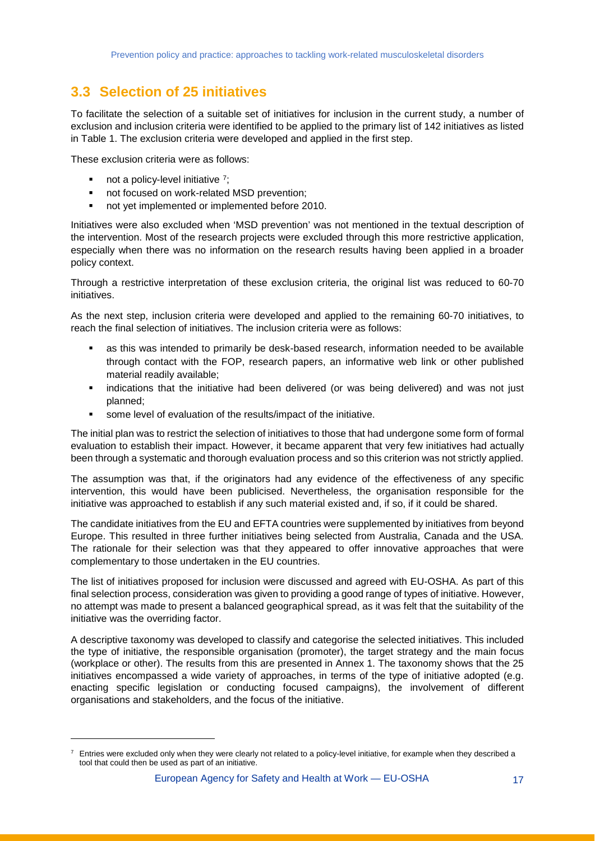## <span id="page-15-0"></span>**3.3 Selection of 25 initiatives**

To facilitate the selection of a suitable set of initiatives for inclusion in the current study, a number of exclusion and inclusion criteria were identified to be applied to the primary list of 142 initiatives as listed in Table 1. The exclusion criteria were developed and applied in the first step.

These exclusion criteria were as follows:

not a policy-level initiative <sup>7</sup>;

-

- not focused on work-related MSD prevention;
- not yet implemented or implemented before 2010.

Initiatives were also excluded when 'MSD prevention' was not mentioned in the textual description of the intervention. Most of the research projects were excluded through this more restrictive application, especially when there was no information on the research results having been applied in a broader policy context.

Through a restrictive interpretation of these exclusion criteria, the original list was reduced to 60-70 initiatives.

As the next step, inclusion criteria were developed and applied to the remaining 60-70 initiatives, to reach the final selection of initiatives. The inclusion criteria were as follows:

- as this was intended to primarily be desk-based research, information needed to be available through contact with the FOP, research papers, an informative web link or other published material readily available;
- **EXEDENT Indications that the initiative had been delivered (or was being delivered) and was not just** planned;
- some level of evaluation of the results/impact of the initiative.

The initial plan was to restrict the selection of initiatives to those that had undergone some form of formal evaluation to establish their impact. However, it became apparent that very few initiatives had actually been through a systematic and thorough evaluation process and so this criterion was not strictly applied.

The assumption was that, if the originators had any evidence of the effectiveness of any specific intervention, this would have been publicised. Nevertheless, the organisation responsible for the initiative was approached to establish if any such material existed and, if so, if it could be shared.

The candidate initiatives from the EU and EFTA countries were supplemented by initiatives from beyond Europe. This resulted in three further initiatives being selected from Australia, Canada and the USA. The rationale for their selection was that they appeared to offer innovative approaches that were complementary to those undertaken in the EU countries.

The list of initiatives proposed for inclusion were discussed and agreed with EU-OSHA. As part of this final selection process, consideration was given to providing a good range of types of initiative. However, no attempt was made to present a balanced geographical spread, as it was felt that the suitability of the initiative was the overriding factor.

A descriptive taxonomy was developed to classify and categorise the selected initiatives. This included the type of initiative, the responsible organisation (promoter), the target strategy and the main focus (workplace or other). The results from this are presented in Annex 1. The taxonomy shows that the 25 initiatives encompassed a wide variety of approaches, in terms of the type of initiative adopted (e.g. enacting specific legislation or conducting focused campaigns), the involvement of different organisations and stakeholders, and the focus of the initiative.

<span id="page-15-1"></span><sup>&</sup>lt;sup>7</sup> Entries were excluded only when they were clearly not related to a policy-level initiative, for example when they described a tool that could then be used as part of an initiative.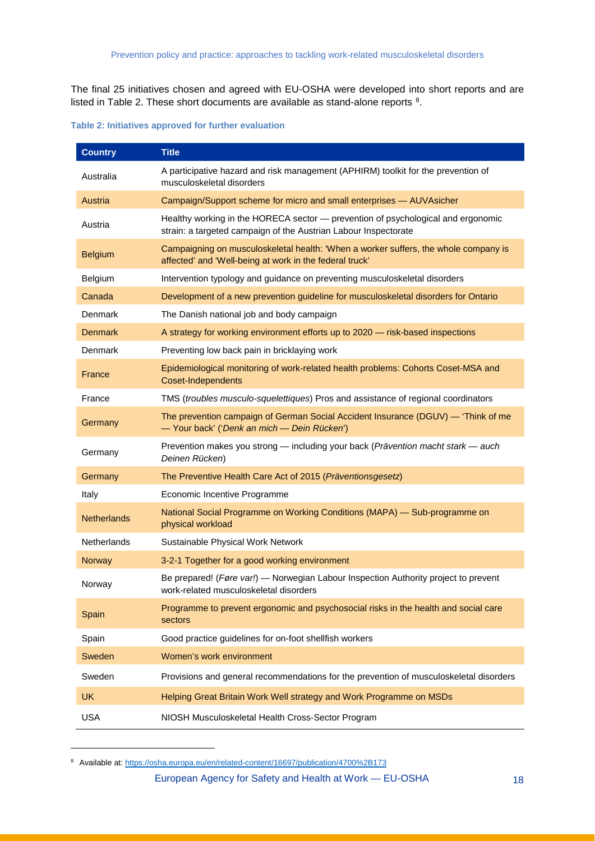The final 25 initiatives chosen and agreed with EU-OSHA were developed into short reports and are listed in Table 2. These short documents are available as stand-alone reports  $8$ .

|  |  |  |  |  | Table 2: Initiatives approved for further evaluation |
|--|--|--|--|--|------------------------------------------------------|
|--|--|--|--|--|------------------------------------------------------|

| <b>Country</b>     | <b>Title</b>                                                                                                                                        |
|--------------------|-----------------------------------------------------------------------------------------------------------------------------------------------------|
| Australia          | A participative hazard and risk management (APHIRM) toolkit for the prevention of<br>musculoskeletal disorders                                      |
| Austria            | Campaign/Support scheme for micro and small enterprises - AUVAsicher                                                                                |
| Austria            | Healthy working in the HORECA sector - prevention of psychological and ergonomic<br>strain: a targeted campaign of the Austrian Labour Inspectorate |
| <b>Belgium</b>     | Campaigning on musculoskeletal health: 'When a worker suffers, the whole company is<br>affected' and 'Well-being at work in the federal truck'      |
| Belgium            | Intervention typology and guidance on preventing musculoskeletal disorders                                                                          |
| Canada             | Development of a new prevention guideline for musculoskeletal disorders for Ontario                                                                 |
| Denmark            | The Danish national job and body campaign                                                                                                           |
| Denmark            | A strategy for working environment efforts up to 2020 - risk-based inspections                                                                      |
| Denmark            | Preventing low back pain in bricklaying work                                                                                                        |
| France             | Epidemiological monitoring of work-related health problems: Cohorts Coset-MSA and<br><b>Coset-Independents</b>                                      |
| France             | TMS (troubles musculo-squelettiques) Pros and assistance of regional coordinators                                                                   |
| Germany            | The prevention campaign of German Social Accident Insurance (DGUV) — 'Think of me<br>-Your back' ('Denk an mich - Dein Rücken')                     |
| Germany            | Prevention makes you strong - including your back (Prävention macht stark - auch<br>Deinen Rücken)                                                  |
| Germany            | The Preventive Health Care Act of 2015 (Präventionsgesetz)                                                                                          |
| Italy              | Economic Incentive Programme                                                                                                                        |
| <b>Netherlands</b> | National Social Programme on Working Conditions (MAPA) - Sub-programme on<br>physical workload                                                      |
| Netherlands        | Sustainable Physical Work Network                                                                                                                   |
| Norway             | 3-2-1 Together for a good working environment                                                                                                       |
| Norway             | Be prepared! (Føre var!) — Norwegian Labour Inspection Authority project to prevent<br>work-related musculoskeletal disorders                       |
| Spain              | Programme to prevent ergonomic and psychosocial risks in the health and social care<br>sectors                                                      |
| Spain              | Good practice guidelines for on-foot shellfish workers                                                                                              |
| Sweden             | Women's work environment                                                                                                                            |
| Sweden             | Provisions and general recommendations for the prevention of musculoskeletal disorders                                                              |
| <b>UK</b>          | Helping Great Britain Work Well strategy and Work Programme on MSDs                                                                                 |
| <b>USA</b>         | NIOSH Musculoskeletal Health Cross-Sector Program                                                                                                   |

<span id="page-16-0"></span><sup>8</sup> Available at[: https://osha.europa.eu/en/related-content/16697/publication/4700%2B173](https://osha.europa.eu/en/related-content/16697/publication/4700%2B173)

-

European Agency for Safety and Health at Work — EU-OSHA 18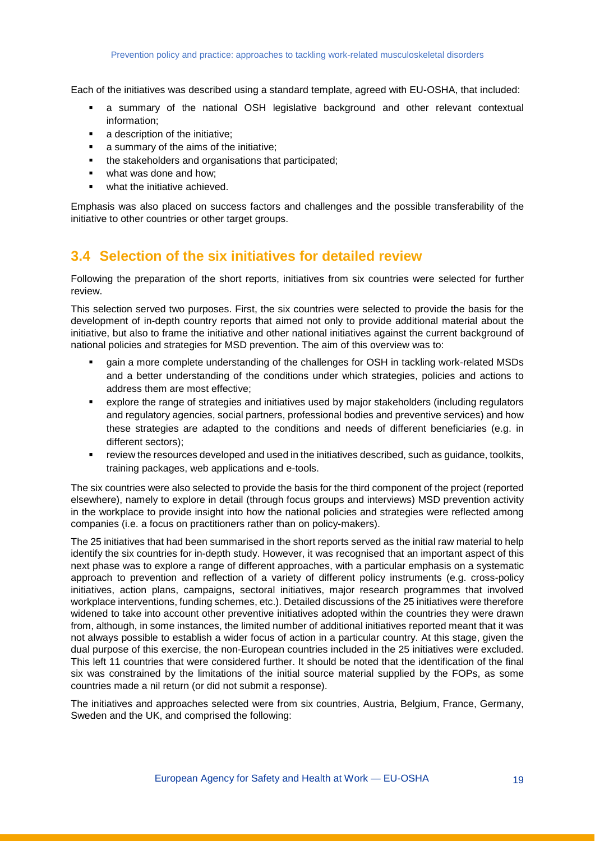Each of the initiatives was described using a standard template, agreed with EU-OSHA, that included:

- a summary of the national OSH legislative background and other relevant contextual information;
- a description of the initiative;
- a summary of the aims of the initiative;
- the stakeholders and organisations that participated;
- what was done and how;
- **u** what the initiative achieved.

Emphasis was also placed on success factors and challenges and the possible transferability of the initiative to other countries or other target groups.

## <span id="page-17-0"></span>**3.4 Selection of the six initiatives for detailed review**

Following the preparation of the short reports, initiatives from six countries were selected for further review.

This selection served two purposes. First, the six countries were selected to provide the basis for the development of in-depth country reports that aimed not only to provide additional material about the initiative, but also to frame the initiative and other national initiatives against the current background of national policies and strategies for MSD prevention. The aim of this overview was to:

- gain a more complete understanding of the challenges for OSH in tackling work-related MSDs and a better understanding of the conditions under which strategies, policies and actions to address them are most effective;
- explore the range of strategies and initiatives used by major stakeholders (including regulators and regulatory agencies, social partners, professional bodies and preventive services) and how these strategies are adapted to the conditions and needs of different beneficiaries (e.g. in different sectors);
- review the resources developed and used in the initiatives described, such as guidance, toolkits, training packages, web applications and e-tools.

The six countries were also selected to provide the basis for the third component of the project (reported elsewhere), namely to explore in detail (through focus groups and interviews) MSD prevention activity in the workplace to provide insight into how the national policies and strategies were reflected among companies (i.e. a focus on practitioners rather than on policy-makers).

The 25 initiatives that had been summarised in the short reports served as the initial raw material to help identify the six countries for in-depth study. However, it was recognised that an important aspect of this next phase was to explore a range of different approaches, with a particular emphasis on a systematic approach to prevention and reflection of a variety of different policy instruments (e.g. cross-policy initiatives, action plans, campaigns, sectoral initiatives, major research programmes that involved workplace interventions, funding schemes, etc.). Detailed discussions of the 25 initiatives were therefore widened to take into account other preventive initiatives adopted within the countries they were drawn from, although, in some instances, the limited number of additional initiatives reported meant that it was not always possible to establish a wider focus of action in a particular country. At this stage, given the dual purpose of this exercise, the non-European countries included in the 25 initiatives were excluded. This left 11 countries that were considered further. It should be noted that the identification of the final six was constrained by the limitations of the initial source material supplied by the FOPs, as some countries made a nil return (or did not submit a response).

The initiatives and approaches selected were from six countries, Austria, Belgium, France, Germany, Sweden and the UK, and comprised the following: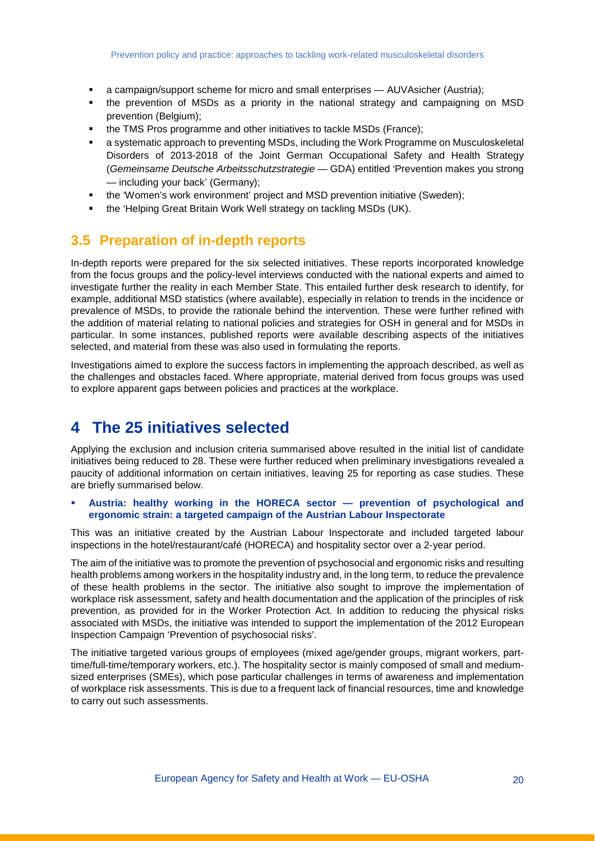- a campaign/support scheme for micro and small enterprises AUVAsicher (Austria);
- the prevention of MSDs as a priority in the national strategy and campaigning on MSD prevention (Belgium);
- the TMS Pros programme and other initiatives to tackle MSDs (France);
- a systematic approach to preventing MSDs, including the Work Programme on Musculoskeletal Disorders of 2013-2018 of the Joint German Occupational Safety and Health Strategy (*Gemeinsame Deutsche Arbeitsschutzstrategie* — GDA) entitled 'Prevention makes you strong — including your back' (Germany);
- the 'Women's work environment' project and MSD prevention initiative (Sweden);
- **the 'Helping Great Britain Work Well strategy on tackling MSDs (UK).**

## <span id="page-18-0"></span>**3.5 Preparation of in-depth reports**

In-depth reports were prepared for the six selected initiatives. These reports incorporated knowledge from the focus groups and the policy-level interviews conducted with the national experts and aimed to investigate further the reality in each Member State. This entailed further desk research to identify, for example, additional MSD statistics (where available), especially in relation to trends in the incidence or prevalence of MSDs, to provide the rationale behind the intervention. These were further refined with the addition of material relating to national policies and strategies for OSH in general and for MSDs in particular. In some instances, published reports were available describing aspects of the initiatives selected, and material from these was also used in formulating the reports.

Investigations aimed to explore the success factors in implementing the approach described, as well as the challenges and obstacles faced. Where appropriate, material derived from focus groups was used to explore apparent gaps between policies and practices at the workplace.

## <span id="page-18-1"></span>**4 The 25 initiatives selected**

Applying the exclusion and inclusion criteria summarised above resulted in the initial list of candidate initiatives being reduced to 28. These were further reduced when preliminary investigations revealed a paucity of additional information on certain initiatives, leaving 25 for reporting as case studies. These are briefly summarised below.

#### **Austria: healthy working in the HORECA sector — prevention of psychological and ergonomic strain: a targeted campaign of the Austrian Labour Inspectorate**

This was an initiative created by the Austrian Labour Inspectorate and included targeted labour inspections in the hotel/restaurant/café (HORECA) and hospitality sector over a 2-year period.

The aim of the initiative was to promote the prevention of psychosocial and ergonomic risks and resulting health problems among workers in the hospitality industry and, in the long term, to reduce the prevalence of these health problems in the sector. The initiative also sought to improve the implementation of workplace risk assessment, safety and health documentation and the application of the principles of risk prevention, as provided for in the Worker Protection Act. In addition to reducing the physical risks associated with MSDs, the initiative was intended to support the implementation of the 2012 European Inspection Campaign 'Prevention of psychosocial risks'.

The initiative targeted various groups of employees (mixed age/gender groups, migrant workers, parttime/full-time/temporary workers, etc.). The hospitality sector is mainly composed of small and mediumsized enterprises (SMEs), which pose particular challenges in terms of awareness and implementation of workplace risk assessments. This is due to a frequent lack of financial resources, time and knowledge to carry out such assessments.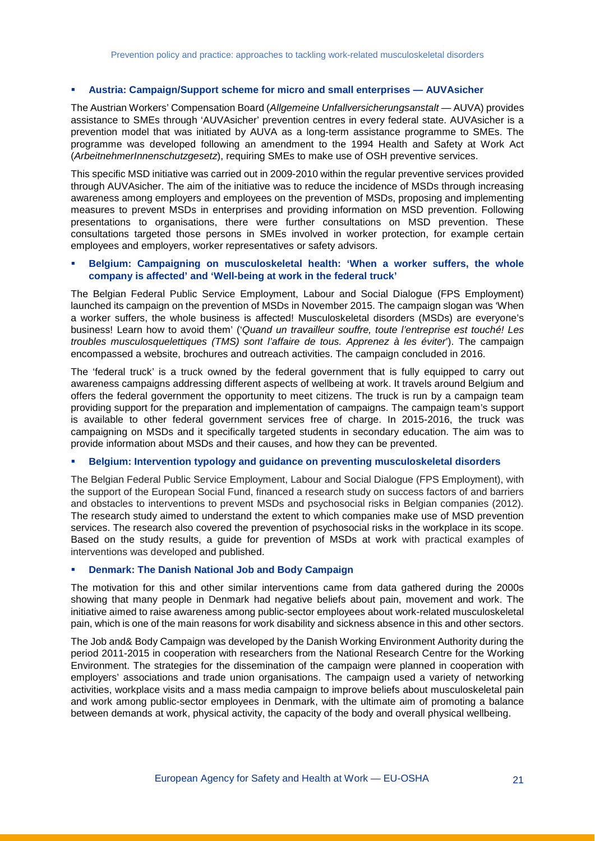#### **Austria: Campaign/Support scheme for micro and small enterprises — AUVAsicher**

The Austrian Workers' Compensation Board (*Allgemeine Unfallversicherungsanstalt* — AUVA) provides assistance to SMEs through 'AUVAsicher' prevention centres in every federal state. AUVAsicher is a prevention model that was initiated by AUVA as a long-term assistance programme to SMEs. The programme was developed following an amendment to the 1994 Health and Safety at Work Act (*ArbeitnehmerInnenschutzgesetz*), requiring SMEs to make use of OSH preventive services.

This specific MSD initiative was carried out in 2009-2010 within the regular preventive services provided through AUVAsicher. The aim of the initiative was to reduce the incidence of MSDs through increasing awareness among employers and employees on the prevention of MSDs, proposing and implementing measures to prevent MSDs in enterprises and providing information on MSD prevention. Following presentations to organisations, there were further consultations on MSD prevention. These consultations targeted those persons in SMEs involved in worker protection, for example certain employees and employers, worker representatives or safety advisors.

#### **Belgium: Campaigning on musculoskeletal health: 'When a worker suffers, the whole company is affected' and 'Well-being at work in the federal truck'**

The Belgian Federal Public Service Employment, Labour and Social Dialogue (FPS Employment) launched its campaign on the prevention of MSDs in November 2015. The campaign slogan was 'When a worker suffers, the whole business is affected! Musculoskeletal disorders (MSDs) are everyone's business! Learn how to avoid them' ('*Quand un travailleur souffre, toute l'entreprise est touché! Les troubles musculosquelettiques (TMS) sont l'affaire de tous. Apprenez à les éviter*'). The campaign encompassed a website, brochures and outreach activities. The campaign concluded in 2016.

The 'federal truck' is a truck owned by the federal government that is fully equipped to carry out awareness campaigns addressing different aspects of wellbeing at work. It travels around Belgium and offers the federal government the opportunity to meet citizens. The truck is run by a campaign team providing support for the preparation and implementation of campaigns. The campaign team's support is available to other federal government services free of charge. In 2015-2016, the truck was campaigning on MSDs and it specifically targeted students in secondary education. The aim was to provide information about MSDs and their causes, and how they can be prevented.

#### **Belgium: Intervention typology and guidance on preventing musculoskeletal disorders**

The Belgian Federal Public Service Employment, Labour and Social Dialogue (FPS Employment), with the support of the European Social Fund, financed a research study on success factors of and barriers and obstacles to interventions to prevent MSDs and psychosocial risks in Belgian companies (2012). The research study aimed to understand the extent to which companies make use of MSD prevention services. The research also covered the prevention of psychosocial risks in the workplace in its scope. Based on the study results, a guide for prevention of MSDs at work with practical examples of interventions was developed and published.

#### **Denmark: The Danish National Job and Body Campaign**

The motivation for this and other similar interventions came from data gathered during the 2000s showing that many people in Denmark had negative beliefs about pain, movement and work. The initiative aimed to raise awareness among public-sector employees about work-related musculoskeletal pain, which is one of the main reasons for work disability and sickness absence in this and other sectors.

The Job and& Body Campaign was developed by the Danish Working Environment Authority during the period 2011-2015 in cooperation with researchers from the National Research Centre for the Working Environment. The strategies for the dissemination of the campaign were planned in cooperation with employers' associations and trade union organisations. The campaign used a variety of networking activities, workplace visits and a mass media campaign to improve beliefs about musculoskeletal pain and work among public-sector employees in Denmark, with the ultimate aim of promoting a balance between demands at work, physical activity, the capacity of the body and overall physical wellbeing.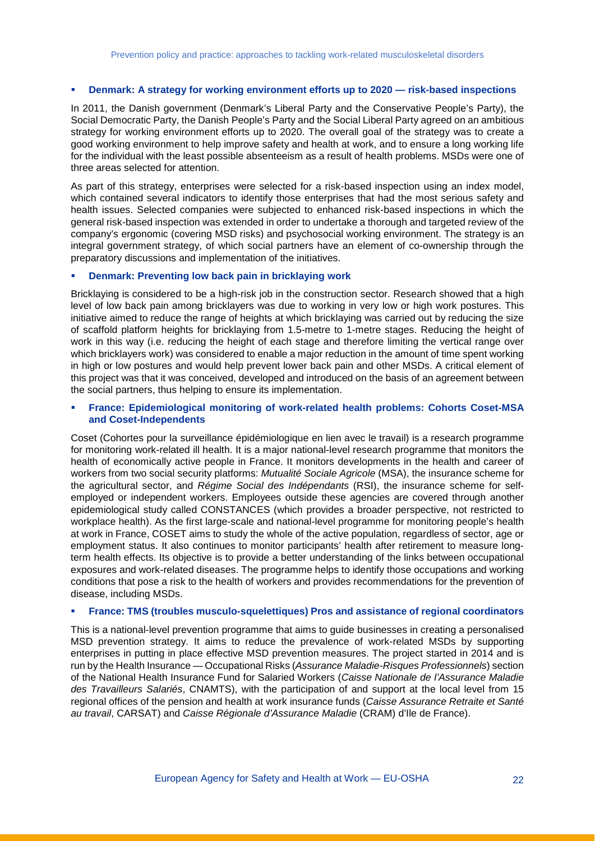#### **Denmark: A strategy for working environment efforts up to 2020 — risk-based inspections**

In 2011, the Danish government (Denmark's Liberal Party and the Conservative People's Party), the Social Democratic Party, the Danish People's Party and the Social Liberal Party agreed on an ambitious strategy for working environment efforts up to 2020. The overall goal of the strategy was to create a good working environment to help improve safety and health at work, and to ensure a long working life for the individual with the least possible absenteeism as a result of health problems. MSDs were one of three areas selected for attention.

As part of this strategy, enterprises were selected for a risk-based inspection using an index model, which contained several indicators to identify those enterprises that had the most serious safety and health issues. Selected companies were subjected to enhanced risk-based inspections in which the general risk-based inspection was extended in order to undertake a thorough and targeted review of the company's ergonomic (covering MSD risks) and psychosocial working environment. The strategy is an integral government strategy, of which social partners have an element of co-ownership through the preparatory discussions and implementation of the initiatives.

#### **Denmark: Preventing low back pain in bricklaying work**

Bricklaying is considered to be a high-risk job in the construction sector. Research showed that a high level of low back pain among bricklayers was due to working in very low or high work postures. This initiative aimed to reduce the range of heights at which bricklaying was carried out by reducing the size of scaffold platform heights for bricklaying from 1.5-metre to 1-metre stages. Reducing the height of work in this way (i.e. reducing the height of each stage and therefore limiting the vertical range over which bricklayers work) was considered to enable a major reduction in the amount of time spent working in high or low postures and would help prevent lower back pain and other MSDs. A critical element of this project was that it was conceived, developed and introduced on the basis of an agreement between the social partners, thus helping to ensure its implementation.

#### **France: Epidemiological monitoring of work-related health problems: Cohorts Coset-MSA and Coset-Independents**

Coset (Cohortes pour la surveillance épidémiologique en lien avec le travail) is a research programme for monitoring work-related ill health. It is a major national-level research programme that monitors the health of economically active people in France. It monitors developments in the health and career of workers from two social security platforms: *Mutualité Sociale Agricole* (MSA), the insurance scheme for the agricultural sector, and *Régime Social des Indépendants* (RSI), the insurance scheme for selfemployed or independent workers. Employees outside these agencies are covered through another epidemiological study called CONSTANCES (which provides a broader perspective, not restricted to workplace health). As the first large-scale and national-level programme for monitoring people's health at work in France, COSET aims to study the whole of the active population, regardless of sector, age or employment status. It also continues to monitor participants' health after retirement to measure longterm health effects. Its objective is to provide a better understanding of the links between occupational exposures and work-related diseases. The programme helps to identify those occupations and working conditions that pose a risk to the health of workers and provides recommendations for the prevention of disease, including MSDs.

#### **France: TMS (troubles musculo-squelettiques) Pros and assistance of regional coordinators**

This is a national-level prevention programme that aims to guide businesses in creating a personalised MSD prevention strategy. It aims to reduce the prevalence of work-related MSDs by supporting enterprises in putting in place effective MSD prevention measures. The project started in 2014 and is run by the Health Insurance — Occupational Risks (*Assurance Maladie-Risques Professionnels*) section of the National Health Insurance Fund for Salaried Workers (*Caisse Nationale de l'Assurance Maladie des Travailleurs Salariés*, CNAMTS), with the participation of and support at the local level from 15 regional offices of the pension and health at work insurance funds (*Caisse Assurance Retraite et Santé au travail*, CARSAT) and *Caisse Régionale d'Assurance Maladie* (CRAM) d'Ile de France).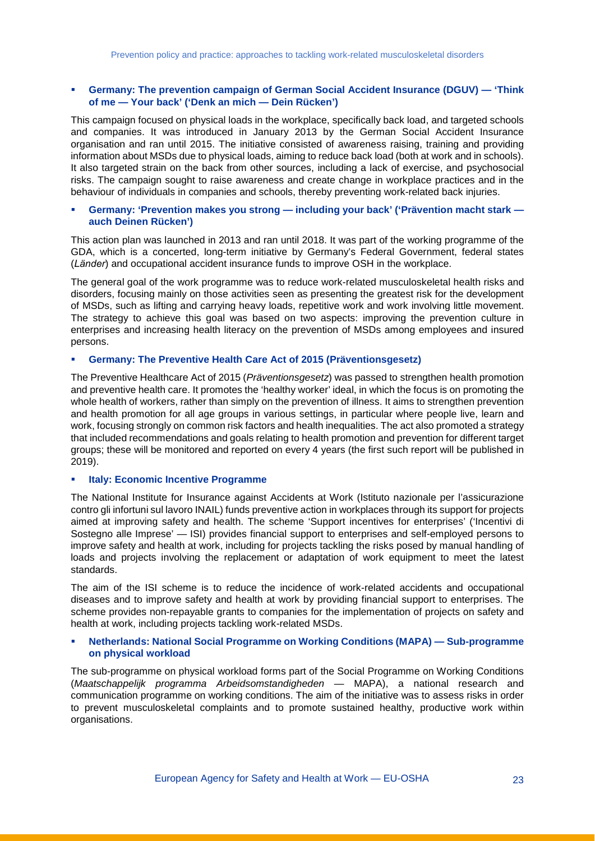#### **Germany: The prevention campaign of German Social Accident Insurance (DGUV) — 'Think of me — Your back' ('Denk an mich — Dein Rücken')**

This campaign focused on physical loads in the workplace, specifically back load, and targeted schools and companies. It was introduced in January 2013 by the German Social Accident Insurance organisation and ran until 2015. The initiative consisted of awareness raising, training and providing information about MSDs due to physical loads, aiming to reduce back load (both at work and in schools). It also targeted strain on the back from other sources, including a lack of exercise, and psychosocial risks. The campaign sought to raise awareness and create change in workplace practices and in the behaviour of individuals in companies and schools, thereby preventing work-related back injuries.

#### **Germany: 'Prevention makes you strong — including your back' ('Prävention macht stark auch Deinen Rücken')**

This action plan was launched in 2013 and ran until 2018. It was part of the working programme of the GDA, which is a concerted, long-term initiative by Germany's Federal Government, federal states (*Lӓnder*) and occupational accident insurance funds to improve OSH in the workplace.

The general goal of the work programme was to reduce work-related musculoskeletal health risks and disorders, focusing mainly on those activities seen as presenting the greatest risk for the development of MSDs, such as lifting and carrying heavy loads, repetitive work and work involving little movement. The strategy to achieve this goal was based on two aspects: improving the prevention culture in enterprises and increasing health literacy on the prevention of MSDs among employees and insured persons.

#### **Germany: The Preventive Health Care Act of 2015 (Präventionsgesetz)**

The Preventive Healthcare Act of 2015 (*Präventionsgesetz*) was passed to strengthen health promotion and preventive health care. It promotes the 'healthy worker' ideal, in which the focus is on promoting the whole health of workers, rather than simply on the prevention of illness. It aims to strengthen prevention and health promotion for all age groups in various settings, in particular where people live, learn and work, focusing strongly on common risk factors and health inequalities. The act also promoted a strategy that included recommendations and goals relating to health promotion and prevention for different target groups; these will be monitored and reported on every 4 years (the first such report will be published in 2019).

#### **Italy: Economic Incentive Programme**

The National Institute for Insurance against Accidents at Work (Istituto nazionale per l'assicurazione contro gli infortuni sul lavoro INAIL) funds preventive action in workplaces through its support for projects aimed at improving safety and health. The scheme 'Support incentives for enterprises' ('Incentivi di Sostegno alle Imprese' — ISI) provides financial support to enterprises and self-employed persons to improve safety and health at work, including for projects tackling the risks posed by manual handling of loads and projects involving the replacement or adaptation of work equipment to meet the latest standards.

The aim of the ISI scheme is to reduce the incidence of work-related accidents and occupational diseases and to improve safety and health at work by providing financial support to enterprises. The scheme provides non-repayable grants to companies for the implementation of projects on safety and health at work, including projects tackling work-related MSDs.

#### **Netherlands: National Social Programme on Working Conditions (MAPA) — Sub-programme on physical workload**

The sub-programme on physical workload forms part of the Social Programme on Working Conditions (*Maatschappelijk programma Arbeidsomstandigheden* — MAPA), a national research and communication programme on working conditions. The aim of the initiative was to assess risks in order to prevent musculoskeletal complaints and to promote sustained healthy, productive work within organisations.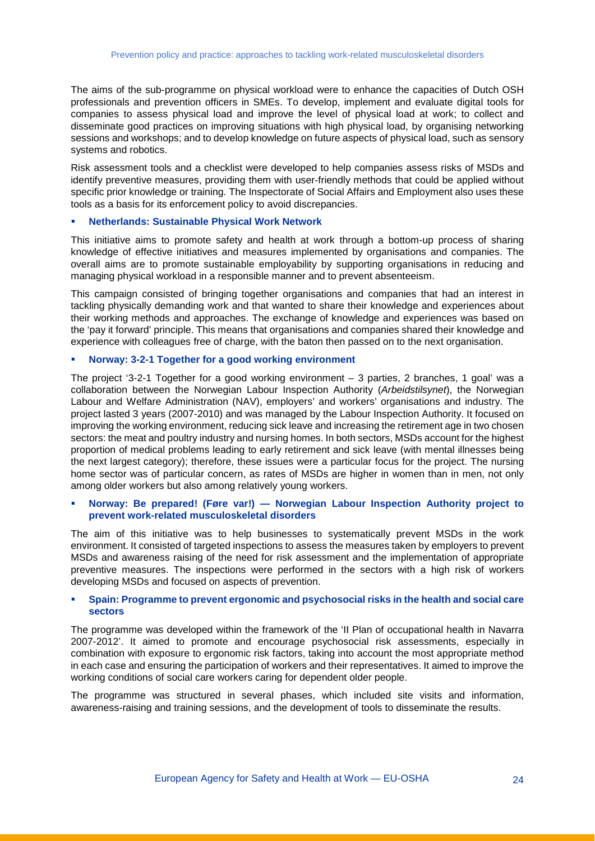The aims of the sub-programme on physical workload were to enhance the capacities of Dutch OSH professionals and prevention officers in SMEs. To develop, implement and evaluate digital tools for companies to assess physical load and improve the level of physical load at work; to collect and disseminate good practices on improving situations with high physical load, by organising networking sessions and workshops; and to develop knowledge on future aspects of physical load, such as sensory systems and robotics.

Risk assessment tools and a checklist were developed to help companies assess risks of MSDs and identify preventive measures, providing them with user-friendly methods that could be applied without specific prior knowledge or training. The Inspectorate of Social Affairs and Employment also uses these tools as a basis for its enforcement policy to avoid discrepancies.

#### **Netherlands: Sustainable Physical Work Network**

This initiative aims to promote safety and health at work through a bottom-up process of sharing knowledge of effective initiatives and measures implemented by organisations and companies. The overall aims are to promote sustainable employability by supporting organisations in reducing and managing physical workload in a responsible manner and to prevent absenteeism.

This campaign consisted of bringing together organisations and companies that had an interest in tackling physically demanding work and that wanted to share their knowledge and experiences about their working methods and approaches. The exchange of knowledge and experiences was based on the 'pay it forward' principle. This means that organisations and companies shared their knowledge and experience with colleagues free of charge, with the baton then passed on to the next organisation.

#### **Norway: 3-2-1 Together for a good working environment**

The project '3-2-1 Together for a good working environment – 3 parties, 2 branches, 1 goal' was a collaboration between the Norwegian Labour Inspection Authority (*Arbeidstilsynet*), the Norwegian Labour and Welfare Administration (NAV), employers' and workers' organisations and industry. The project lasted 3 years (2007-2010) and was managed by the Labour Inspection Authority. It focused on improving the working environment, reducing sick leave and increasing the retirement age in two chosen sectors: the meat and poultry industry and nursing homes. In both sectors, MSDs account for the highest proportion of medical problems leading to early retirement and sick leave (with mental illnesses being the next largest category); therefore, these issues were a particular focus for the project. The nursing home sector was of particular concern, as rates of MSDs are higher in women than in men, not only among older workers but also among relatively young workers.

#### **Norway: Be prepared! (Føre var!) — Norwegian Labour Inspection Authority project to prevent work-related musculoskeletal disorders**

The aim of this initiative was to help businesses to systematically prevent MSDs in the work environment. It consisted of targeted inspections to assess the measures taken by employers to prevent MSDs and awareness raising of the need for risk assessment and the implementation of appropriate preventive measures. The inspections were performed in the sectors with a high risk of workers developing MSDs and focused on aspects of prevention.

#### **Spain: Programme to prevent ergonomic and psychosocial risks in the health and social care sectors**

The programme was developed within the framework of the 'II Plan of occupational health in Navarra 2007-2012'. It aimed to promote and encourage psychosocial risk assessments, especially in combination with exposure to ergonomic risk factors, taking into account the most appropriate method in each case and ensuring the participation of workers and their representatives. It aimed to improve the working conditions of social care workers caring for dependent older people.

The programme was structured in several phases, which included site visits and information, awareness-raising and training sessions, and the development of tools to disseminate the results.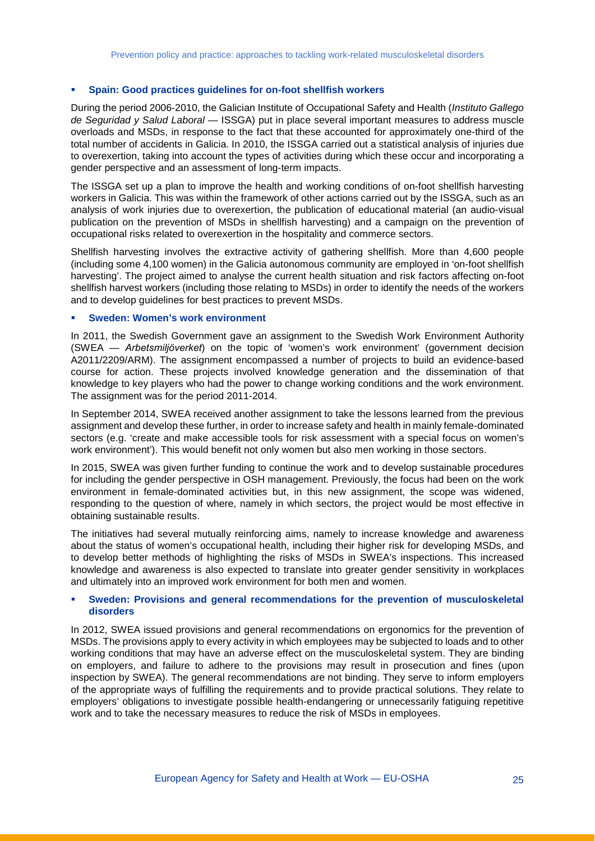#### **Spain: Good practices guidelines for on-foot shellfish workers**

During the period 2006-2010, the Galician Institute of Occupational Safety and Health (*Instituto Gallego de Seguridad y Salud Laboral* — ISSGA) put in place several important measures to address muscle overloads and MSDs, in response to the fact that these accounted for approximately one-third of the total number of accidents in Galicia. In 2010, the ISSGA carried out a statistical analysis of injuries due to overexertion, taking into account the types of activities during which these occur and incorporating a gender perspective and an assessment of long-term impacts.

The ISSGA set up a plan to improve the health and working conditions of on-foot shellfish harvesting workers in Galicia. This was within the framework of other actions carried out by the ISSGA, such as an analysis of work injuries due to overexertion, the publication of educational material (an audio-visual publication on the prevention of MSDs in shellfish harvesting) and a campaign on the prevention of occupational risks related to overexertion in the hospitality and commerce sectors.

Shellfish harvesting involves the extractive activity of gathering shellfish. More than 4,600 people (including some 4,100 women) in the Galicia autonomous community are employed in 'on-foot shellfish harvesting'. The project aimed to analyse the current health situation and risk factors affecting on-foot shellfish harvest workers (including those relating to MSDs) in order to identify the needs of the workers and to develop guidelines for best practices to prevent MSDs.

#### **Sweden: Women's work environment**

In 2011, the Swedish Government gave an assignment to the Swedish Work Environment Authority (SWEA — *Arbetsmiljӧverket*) on the topic of 'women's work environment' (government decision A2011/2209/ARM). The assignment encompassed a number of projects to build an evidence-based course for action. These projects involved knowledge generation and the dissemination of that knowledge to key players who had the power to change working conditions and the work environment. The assignment was for the period 2011-2014.

In September 2014, SWEA received another assignment to take the lessons learned from the previous assignment and develop these further, in order to increase safety and health in mainly female-dominated sectors (e.g. 'create and make accessible tools for risk assessment with a special focus on women's work environment'). This would benefit not only women but also men working in those sectors.

In 2015, SWEA was given further funding to continue the work and to develop sustainable procedures for including the gender perspective in OSH management. Previously, the focus had been on the work environment in female-dominated activities but, in this new assignment, the scope was widened, responding to the question of where, namely in which sectors, the project would be most effective in obtaining sustainable results.

The initiatives had several mutually reinforcing aims, namely to increase knowledge and awareness about the status of women's occupational health, including their higher risk for developing MSDs, and to develop better methods of highlighting the risks of MSDs in SWEA's inspections. This increased knowledge and awareness is also expected to translate into greater gender sensitivity in workplaces and ultimately into an improved work environment for both men and women.

#### **Sweden: Provisions and general recommendations for the prevention of musculoskeletal disorders**

In 2012, SWEA issued provisions and general recommendations on ergonomics for the prevention of MSDs. The provisions apply to every activity in which employees may be subjected to loads and to other working conditions that may have an adverse effect on the musculoskeletal system. They are binding on employers, and failure to adhere to the provisions may result in prosecution and fines (upon inspection by SWEA). The general recommendations are not binding. They serve to inform employers of the appropriate ways of fulfilling the requirements and to provide practical solutions. They relate to employers' obligations to investigate possible health-endangering or unnecessarily fatiguing repetitive work and to take the necessary measures to reduce the risk of MSDs in employees.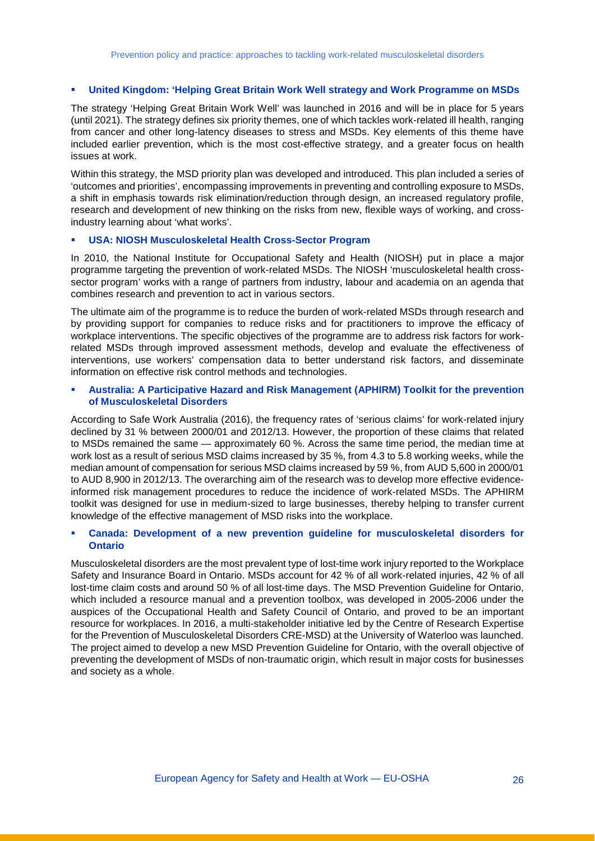#### **United Kingdom: 'Helping Great Britain Work Well strategy and Work Programme on MSDs**

The strategy 'Helping Great Britain Work Well' was launched in 2016 and will be in place for 5 years (until 2021). The strategy defines six priority themes, one of which tackles work-related ill health, ranging from cancer and other long-latency diseases to stress and MSDs. Key elements of this theme have included earlier prevention, which is the most cost-effective strategy, and a greater focus on health issues at work.

Within this strategy, the MSD priority plan was developed and introduced. This plan included a series of 'outcomes and priorities', encompassing improvements in preventing and controlling exposure to MSDs, a shift in emphasis towards risk elimination/reduction through design, an increased regulatory profile, research and development of new thinking on the risks from new, flexible ways of working, and crossindustry learning about 'what works'.

#### **USA: NIOSH Musculoskeletal Health Cross-Sector Program**

In 2010, the National Institute for Occupational Safety and Health (NIOSH) put in place a major programme targeting the prevention of work-related MSDs. The NIOSH 'musculoskeletal health crosssector program' works with a range of partners from industry, labour and academia on an agenda that combines research and prevention to act in various sectors.

The ultimate aim of the programme is to reduce the burden of work-related MSDs through research and by providing support for companies to reduce risks and for practitioners to improve the efficacy of workplace interventions. The specific objectives of the programme are to address risk factors for workrelated MSDs through improved assessment methods, develop and evaluate the effectiveness of interventions, use workers' compensation data to better understand risk factors, and disseminate information on effective risk control methods and technologies.

#### **Australia: A Participative Hazard and Risk Management (APHIRM) Toolkit for the prevention of Musculoskeletal Disorders**

According to Safe Work Australia (2016), the frequency rates of 'serious claims' for work-related injury declined by 31 % between 2000/01 and 2012/13. However, the proportion of these claims that related to MSDs remained the same — approximately 60 %. Across the same time period, the median time at work lost as a result of serious MSD claims increased by 35 %, from 4.3 to 5.8 working weeks, while the median amount of compensation for serious MSD claims increased by 59 %, from AUD 5,600 in 2000/01 to AUD 8,900 in 2012/13. The overarching aim of the research was to develop more effective evidenceinformed risk management procedures to reduce the incidence of work-related MSDs. The APHIRM toolkit was designed for use in medium-sized to large businesses, thereby helping to transfer current knowledge of the effective management of MSD risks into the workplace.

#### **Canada: Development of a new prevention guideline for musculoskeletal disorders for Ontario**

Musculoskeletal disorders are the most prevalent type of lost-time work injury reported to the Workplace Safety and Insurance Board in Ontario. MSDs account for 42 % of all work-related injuries, 42 % of all lost-time claim costs and around 50 % of all lost-time days. The MSD Prevention Guideline for Ontario, which included a resource manual and a prevention toolbox, was developed in 2005-2006 under the auspices of the Occupational Health and Safety Council of Ontario, and proved to be an important resource for workplaces. In 2016, a multi-stakeholder initiative led by the Centre of Research Expertise for the Prevention of Musculoskeletal Disorders CRE-MSD) at the University of Waterloo was launched. The project aimed to develop a new MSD Prevention Guideline for Ontario, with the overall objective of preventing the development of MSDs of non-traumatic origin, which result in major costs for businesses and society as a whole.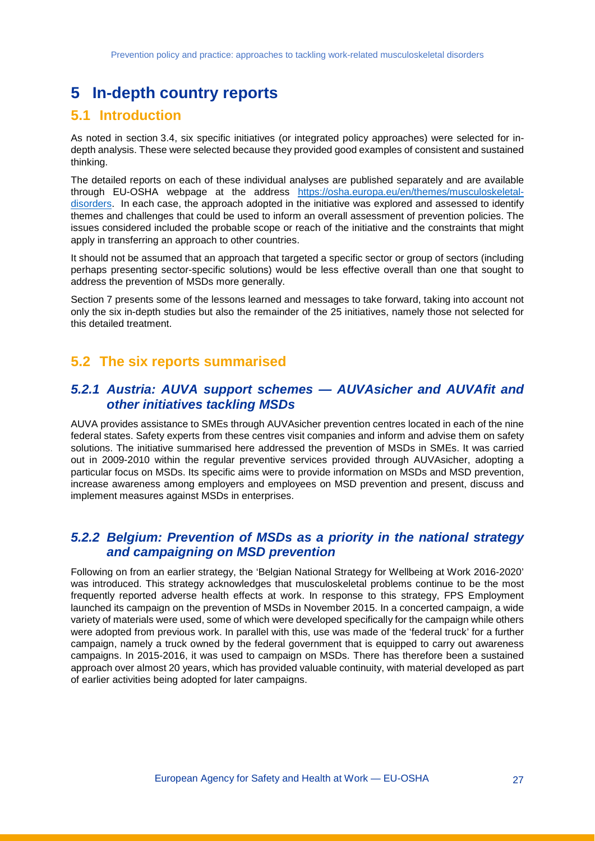## <span id="page-25-0"></span>**5 In-depth country reports**

## <span id="page-25-1"></span>**5.1 Introduction**

As noted in section 3.4, six specific initiatives (or integrated policy approaches) were selected for indepth analysis. These were selected because they provided good examples of consistent and sustained thinking.

The detailed reports on each of these individual analyses are published separately and are available through EU-OSHA webpage at the address [https://osha.europa.eu/en/themes/musculoskeletal](https://osha.europa.eu/en/themes/musculoskeletal-disorders)[disorders.](https://osha.europa.eu/en/themes/musculoskeletal-disorders) In each case, the approach adopted in the initiative was explored and assessed to identify themes and challenges that could be used to inform an overall assessment of prevention policies. The issues considered included the probable scope or reach of the initiative and the constraints that might apply in transferring an approach to other countries.

It should not be assumed that an approach that targeted a specific sector or group of sectors (including perhaps presenting sector-specific solutions) would be less effective overall than one that sought to address the prevention of MSDs more generally.

Section 7 presents some of the lessons learned and messages to take forward, taking into account not only the six in-depth studies but also the remainder of the 25 initiatives, namely those not selected for this detailed treatment.

### <span id="page-25-2"></span>**5.2 The six reports summarised**

### *5.2.1 Austria: AUVA support schemes — AUVAsicher and AUVAfit and other initiatives tackling MSDs*

AUVA provides assistance to SMEs through AUVAsicher prevention centres located in each of the nine federal states. Safety experts from these centres visit companies and inform and advise them on safety solutions. The initiative summarised here addressed the prevention of MSDs in SMEs. It was carried out in 2009-2010 within the regular preventive services provided through AUVAsicher, adopting a particular focus on MSDs. Its specific aims were to provide information on MSDs and MSD prevention, increase awareness among employers and employees on MSD prevention and present, discuss and implement measures against MSDs in enterprises.

### *5.2.2 Belgium: Prevention of MSDs as a priority in the national strategy and campaigning on MSD prevention*

Following on from an earlier strategy, the 'Belgian National Strategy for Wellbeing at Work 2016-2020' was introduced. This strategy acknowledges that musculoskeletal problems continue to be the most frequently reported adverse health effects at work. In response to this strategy, FPS Employment launched its campaign on the prevention of MSDs in November 2015. In a concerted campaign, a wide variety of materials were used, some of which were developed specifically for the campaign while others were adopted from previous work. In parallel with this, use was made of the 'federal truck' for a further campaign, namely a truck owned by the federal government that is equipped to carry out awareness campaigns. In 2015-2016, it was used to campaign on MSDs. There has therefore been a sustained approach over almost 20 years, which has provided valuable continuity, with material developed as part of earlier activities being adopted for later campaigns.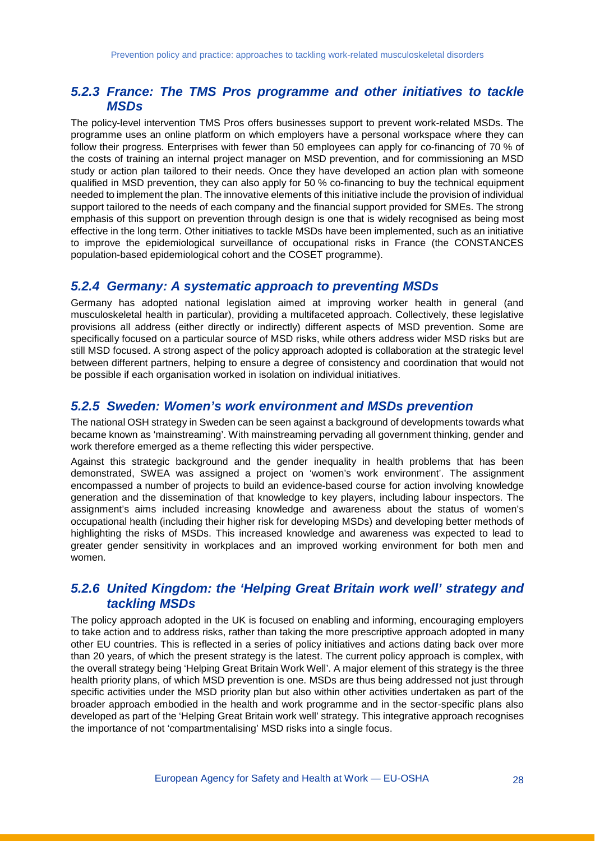#### *5.2.3 France: The TMS Pros programme and other initiatives to tackle MSDs*

The policy-level intervention TMS Pros offers businesses support to prevent work-related MSDs. The programme uses an online platform on which employers have a personal workspace where they can follow their progress. Enterprises with fewer than 50 employees can apply for co-financing of 70 % of the costs of training an internal project manager on MSD prevention, and for commissioning an MSD study or action plan tailored to their needs. Once they have developed an action plan with someone qualified in MSD prevention, they can also apply for 50 % co-financing to buy the technical equipment needed to implement the plan. The innovative elements of this initiative include the provision of individual support tailored to the needs of each company and the financial support provided for SMEs. The strong emphasis of this support on prevention through design is one that is widely recognised as being most effective in the long term. Other initiatives to tackle MSDs have been implemented, such as an initiative to improve the epidemiological surveillance of occupational risks in France (the CONSTANCES population-based epidemiological cohort and the COSET programme).

#### *5.2.4 Germany: A systematic approach to preventing MSDs*

Germany has adopted national legislation aimed at improving worker health in general (and musculoskeletal health in particular), providing a multifaceted approach. Collectively, these legislative provisions all address (either directly or indirectly) different aspects of MSD prevention. Some are specifically focused on a particular source of MSD risks, while others address wider MSD risks but are still MSD focused. A strong aspect of the policy approach adopted is collaboration at the strategic level between different partners, helping to ensure a degree of consistency and coordination that would not be possible if each organisation worked in isolation on individual initiatives.

#### *5.2.5 Sweden: Women's work environment and MSDs prevention*

The national OSH strategy in Sweden can be seen against a background of developments towards what became known as 'mainstreaming'. With mainstreaming pervading all government thinking, gender and work therefore emerged as a theme reflecting this wider perspective.

Against this strategic background and the gender inequality in health problems that has been demonstrated, SWEA was assigned a project on 'women's work environment'. The assignment encompassed a number of projects to build an evidence-based course for action involving knowledge generation and the dissemination of that knowledge to key players, including labour inspectors. The assignment's aims included increasing knowledge and awareness about the status of women's occupational health (including their higher risk for developing MSDs) and developing better methods of highlighting the risks of MSDs. This increased knowledge and awareness was expected to lead to greater gender sensitivity in workplaces and an improved working environment for both men and women.

### *5.2.6 United Kingdom: the 'Helping Great Britain work well' strategy and tackling MSDs*

The policy approach adopted in the UK is focused on enabling and informing, encouraging employers to take action and to address risks, rather than taking the more prescriptive approach adopted in many other EU countries. This is reflected in a series of policy initiatives and actions dating back over more than 20 years, of which the present strategy is the latest. The current policy approach is complex, with the overall strategy being 'Helping Great Britain Work Well'. A major element of this strategy is the three health priority plans, of which MSD prevention is one. MSDs are thus being addressed not just through specific activities under the MSD priority plan but also within other activities undertaken as part of the broader approach embodied in the health and work programme and in the sector-specific plans also developed as part of the 'Helping Great Britain work well' strategy. This integrative approach recognises the importance of not 'compartmentalising' MSD risks into a single focus.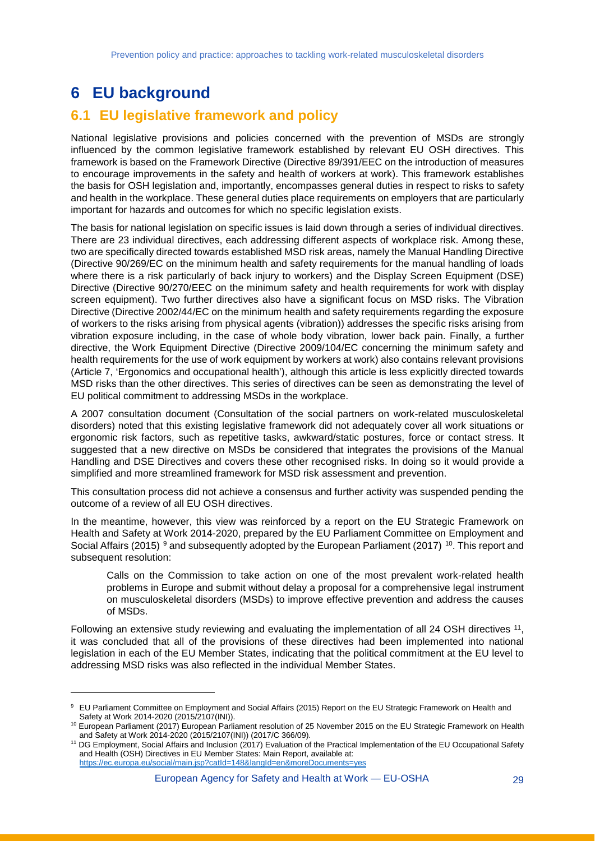## <span id="page-27-0"></span>**6 EU background**

-

## <span id="page-27-1"></span>**6.1 EU legislative framework and policy**

National legislative provisions and policies concerned with the prevention of MSDs are strongly influenced by the common legislative framework established by relevant EU OSH directives. This framework is based on the Framework Directive (Directive 89/391/EEC on the introduction of measures to encourage improvements in the safety and health of workers at work). This framework establishes the basis for OSH legislation and, importantly, encompasses general duties in respect to risks to safety and health in the workplace. These general duties place requirements on employers that are particularly important for hazards and outcomes for which no specific legislation exists.

The basis for national legislation on specific issues is laid down through a series of individual directives. There are 23 individual directives, each addressing different aspects of workplace risk. Among these, two are specifically directed towards established MSD risk areas, namely the Manual Handling Directive (Directive 90/269/EC on the minimum health and safety requirements for the manual handling of loads where there is a risk particularly of back injury to workers) and the Display Screen Equipment (DSE) Directive (Directive 90/270/EEC on the minimum safety and health requirements for work with display screen equipment). Two further directives also have a significant focus on MSD risks. The Vibration Directive (Directive 2002/44/EC on the minimum health and safety requirements regarding the exposure of workers to the risks arising from physical agents (vibration)) addresses the specific risks arising from vibration exposure including, in the case of whole body vibration, lower back pain. Finally, a further directive, the Work Equipment Directive (Directive 2009/104/EC concerning the minimum safety and health requirements for the use of work equipment by workers at work) also contains relevant provisions (Article 7, 'Ergonomics and occupational health'), although this article is less explicitly directed towards MSD risks than the other directives. This series of directives can be seen as demonstrating the level of EU political commitment to addressing MSDs in the workplace.

A 2007 consultation document (Consultation of the social partners on work-related musculoskeletal disorders) noted that this existing legislative framework did not adequately cover all work situations or ergonomic risk factors, such as repetitive tasks, awkward/static postures, force or contact stress. It suggested that a new directive on MSDs be considered that integrates the provisions of the Manual Handling and DSE Directives and covers these other recognised risks. In doing so it would provide a simplified and more streamlined framework for MSD risk assessment and prevention.

This consultation process did not achieve a consensus and further activity was suspended pending the outcome of a review of all EU OSH directives.

In the meantime, however, this view was reinforced by a report on the EU Strategic Framework on Health and Safety at Work 2014-2020, prepared by the EU Parliament Committee on Employment and Social Affairs (2015) [9](#page-27-2) and subsequently adopted by the European Parliament (2017) <sup>10</sup>. This report and subsequent resolution:

Calls on the Commission to take action on one of the most prevalent work-related health problems in Europe and submit without delay a proposal for a comprehensive legal instrument on musculoskeletal disorders (MSDs) to improve effective prevention and address the causes of MSDs.

Following an extensive study reviewing and evaluating the implementation of all 24 OSH directives [11,](#page-27-4) it was concluded that all of the provisions of these directives had been implemented into national legislation in each of the EU Member States, indicating that the political commitment at the EU level to addressing MSD risks was also reflected in the individual Member States.

European Agency for Safety and Health at Work — EU-OSHA 29

<span id="page-27-2"></span><sup>&</sup>lt;sup>9</sup> EU Parliament Committee on Employment and Social Affairs (2015) Report on the EU Strategic Framework on Health and Safety at Work 2014-2020 (2015/2107(INI)).

<span id="page-27-3"></span><sup>&</sup>lt;sup>10</sup> European Parliament (2017) European Parliament resolution of 25 November 2015 on the EU Strategic Framework on Health and Safety at Work 2014-2020 (2015/2107(INI)) (2017/C 366/09).

<span id="page-27-4"></span><sup>&</sup>lt;sup>11</sup> DG Employment, Social Affairs and Inclusion (2017) Evaluation of the Practical Implementation of the EU Occupational Safety and Health (OSH) Directives in EU Member States: Main Report, available at: <https://ec.europa.eu/social/main.jsp?catId=148&langId=en&moreDocuments=yes>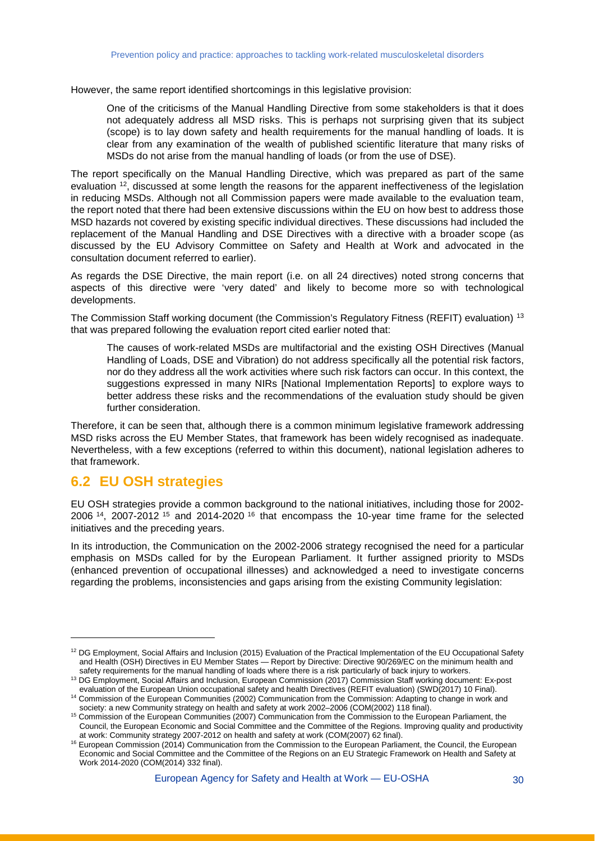However, the same report identified shortcomings in this legislative provision:

One of the criticisms of the Manual Handling Directive from some stakeholders is that it does not adequately address all MSD risks. This is perhaps not surprising given that its subject (scope) is to lay down safety and health requirements for the manual handling of loads. It is clear from any examination of the wealth of published scientific literature that many risks of MSDs do not arise from the manual handling of loads (or from the use of DSE).

The report specifically on the Manual Handling Directive, which was prepared as part of the same evaluation <sup>12</sup>, discussed at some length the reasons for the apparent ineffectiveness of the legislation in reducing MSDs. Although not all Commission papers were made available to the evaluation team, the report noted that there had been extensive discussions within the EU on how best to address those MSD hazards not covered by existing specific individual directives. These discussions had included the replacement of the Manual Handling and DSE Directives with a directive with a broader scope (as discussed by the EU Advisory Committee on Safety and Health at Work and advocated in the consultation document referred to earlier).

As regards the DSE Directive, the main report (i.e. on all 24 directives) noted strong concerns that aspects of this directive were 'very dated' and likely to become more so with technological developments.

The Commission Staff working document (the Commission's Regulatory Fitness (REFIT) evaluation) [13](#page-28-2) that was prepared following the evaluation report cited earlier noted that:

The causes of work-related MSDs are multifactorial and the existing OSH Directives (Manual Handling of Loads, DSE and Vibration) do not address specifically all the potential risk factors, nor do they address all the work activities where such risk factors can occur. In this context, the suggestions expressed in many NIRs [National Implementation Reports] to explore ways to better address these risks and the recommendations of the evaluation study should be given further consideration.

Therefore, it can be seen that, although there is a common minimum legislative framework addressing MSD risks across the EU Member States, that framework has been widely recognised as inadequate. Nevertheless, with a few exceptions (referred to within this document), national legislation adheres to that framework.

## <span id="page-28-0"></span>**6.2 EU OSH strategies**

-

EU OSH strategies provide a common background to the national initiatives, including those for 2002- 2006  $14$ , 2007-2012  $15$  and 2014-2020  $16$  that encompass the 10-year time frame for the selected initiatives and the preceding years.

In its introduction, the Communication on the 2002-2006 strategy recognised the need for a particular emphasis on MSDs called for by the European Parliament. It further assigned priority to MSDs (enhanced prevention of occupational illnesses) and acknowledged a need to investigate concerns regarding the problems, inconsistencies and gaps arising from the existing Community legislation:

<span id="page-28-1"></span><sup>&</sup>lt;sup>12</sup> DG Employment, Social Affairs and Inclusion (2015) Evaluation of the Practical Implementation of the EU Occupational Safety and Health (OSH) Directives in EU Member States — Report by Directive: Directive 90/269/EC on the minimum health and safety requirements for the manual handling of loads where there is a risk particularly of back injury to workers.

<span id="page-28-2"></span><sup>13</sup> DG Employment, Social Affairs and Inclusion, European Commission (2017) Commission Staff working document: Ex-post evaluation of the European Union occupational safety and health Directives (REFIT evaluation) (SWD(2017) 10 Final).

<span id="page-28-3"></span><sup>&</sup>lt;sup>14</sup> Commission of the European Communities (2002) Communication from the Commission: Adapting to change in work and society: a new Community strategy on health and safety at work 2002–2006 (COM(2002) 118 final).

<span id="page-28-4"></span><sup>15</sup> Commission of the European Communities (2007) Communication from the Commission to the European Parliament, the Council, the European Economic and Social Committee and the Committee of the Regions. Improving quality and productivity at work: Community strategy 2007-2012 on health and safety at work (COM(2007) 62 final).

<span id="page-28-5"></span><sup>&</sup>lt;sup>16</sup> European Commission (2014) Communication from the Commission to the European Parliament, the Council, the European Economic and Social Committee and the Committee of the Regions on an EU Strategic Framework on Health and Safety at Work 2014-2020 (COM(2014) 332 final).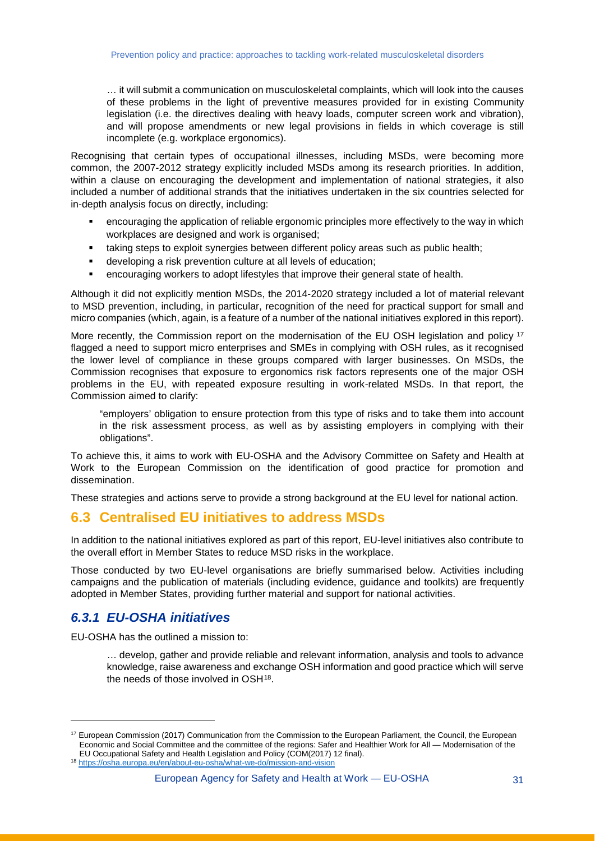… it will submit a communication on musculoskeletal complaints, which will look into the causes of these problems in the light of preventive measures provided for in existing Community legislation (i.e. the directives dealing with heavy loads, computer screen work and vibration), and will propose amendments or new legal provisions in fields in which coverage is still incomplete (e.g. workplace ergonomics).

Recognising that certain types of occupational illnesses, including MSDs, were becoming more common, the 2007-2012 strategy explicitly included MSDs among its research priorities. In addition, within a clause on encouraging the development and implementation of national strategies, it also included a number of additional strands that the initiatives undertaken in the six countries selected for in-depth analysis focus on directly, including:

- encouraging the application of reliable ergonomic principles more effectively to the way in which workplaces are designed and work is organised;
- taking steps to exploit synergies between different policy areas such as public health;
- developing a risk prevention culture at all levels of education;
- encouraging workers to adopt lifestyles that improve their general state of health.

Although it did not explicitly mention MSDs, the 2014-2020 strategy included a lot of material relevant to MSD prevention, including, in particular, recognition of the need for practical support for small and micro companies (which, again, is a feature of a number of the national initiatives explored in this report).

More recently, the Commission report on the modernisation of the EU OSH legislation and policy <sup>[17](#page-29-1)</sup> flagged a need to support micro enterprises and SMEs in complying with OSH rules, as it recognised the lower level of compliance in these groups compared with larger businesses. On MSDs, the Commission recognises that exposure to ergonomics risk factors represents one of the major OSH problems in the EU, with repeated exposure resulting in work-related MSDs. In that report, the Commission aimed to clarify:

"employers' obligation to ensure protection from this type of risks and to take them into account in the risk assessment process, as well as by assisting employers in complying with their obligations".

To achieve this, it aims to work with EU-OSHA and the Advisory Committee on Safety and Health at Work to the European Commission on the identification of good practice for promotion and dissemination.

These strategies and actions serve to provide a strong background at the EU level for national action.

## <span id="page-29-0"></span>**6.3 Centralised EU initiatives to address MSDs**

In addition to the national initiatives explored as part of this report, EU-level initiatives also contribute to the overall effort in Member States to reduce MSD risks in the workplace.

Those conducted by two EU-level organisations are briefly summarised below. Activities including campaigns and the publication of materials (including evidence, guidance and toolkits) are frequently adopted in Member States, providing further material and support for national activities.

## *6.3.1 EU-OSHA initiatives*

-

EU-OSHA has the outlined a mission to:

… develop, gather and provide reliable and relevant information, analysis and tools to advance knowledge, raise awareness and exchange OSH information and good practice which will serve the needs of those involved in OSH[18](#page-29-2).

<span id="page-29-1"></span><sup>&</sup>lt;sup>17</sup> European Commission (2017) Communication from the Commission to the European Parliament, the Council, the European Economic and Social Committee and the committee of the regions: Safer and Healthier Work for All — Modernisation of the EU Occupational Safety and Health Legislation and Policy (COM(2017) 12 final).

<span id="page-29-2"></span><sup>18</sup> <https://osha.europa.eu/en/about-eu-osha/what-we-do/mission-and-vision>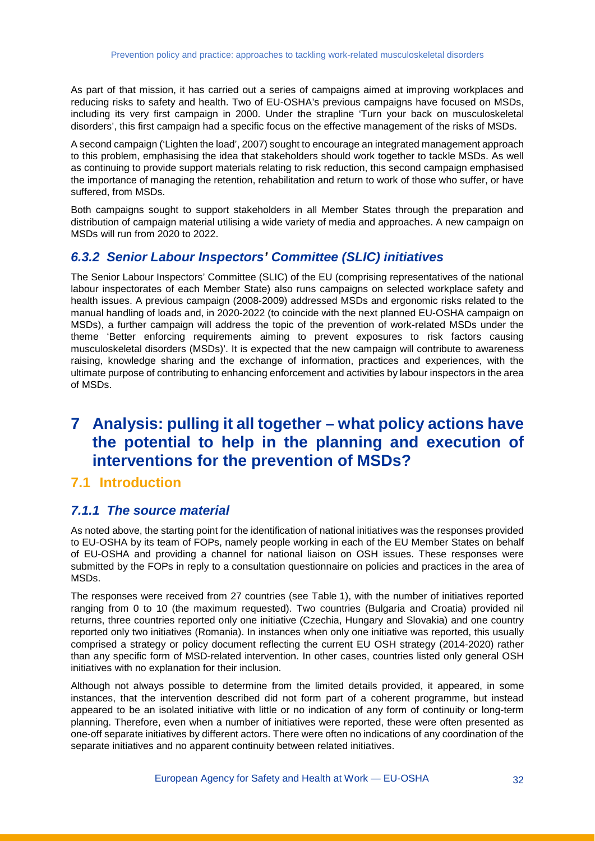As part of that mission, it has carried out a series of campaigns aimed at improving workplaces and reducing risks to safety and health. Two of EU-OSHA's previous campaigns have focused on MSDs, including its very first campaign in 2000. Under the strapline 'Turn your back on musculoskeletal disorders', this first campaign had a specific focus on the effective management of the risks of MSDs.

A second campaign ('Lighten the load', 2007) sought to encourage an integrated management approach to this problem, emphasising the idea that stakeholders should work together to tackle MSDs. As well as continuing to provide support materials relating to risk reduction, this second campaign emphasised the importance of managing the retention, rehabilitation and return to work of those who suffer, or have suffered, from MSDs.

Both campaigns sought to support stakeholders in all Member States through the preparation and distribution of campaign material utilising a wide variety of media and approaches. A new campaign on MSDs will run from 2020 to 2022.

### *6.3.2 Senior Labour Inspectors' Committee (SLIC) initiatives*

The Senior Labour Inspectors' Committee (SLIC) of the EU (comprising representatives of the national labour inspectorates of each Member State) also runs campaigns on selected workplace safety and health issues. A previous campaign (2008-2009) addressed MSDs and ergonomic risks related to the manual handling of loads and, in 2020-2022 (to coincide with the next planned EU-OSHA campaign on MSDs), a further campaign will address the topic of the prevention of work-related MSDs under the theme 'Better enforcing requirements aiming to prevent exposures to risk factors causing musculoskeletal disorders (MSDs)'. It is expected that the new campaign will contribute to awareness raising, knowledge sharing and the exchange of information, practices and experiences, with the ultimate purpose of contributing to enhancing enforcement and activities by labour inspectors in the area of MSDs.

## <span id="page-30-0"></span>**7 Analysis: pulling it all together – what policy actions have the potential to help in the planning and execution of interventions for the prevention of MSDs?**

## <span id="page-30-1"></span>**7.1 Introduction**

### *7.1.1 The source material*

As noted above, the starting point for the identification of national initiatives was the responses provided to EU-OSHA by its team of FOPs, namely people working in each of the EU Member States on behalf of EU-OSHA and providing a channel for national liaison on OSH issues. These responses were submitted by the FOPs in reply to a consultation questionnaire on policies and practices in the area of MSDs.

The responses were received from 27 countries (see Table 1), with the number of initiatives reported ranging from 0 to 10 (the maximum requested). Two countries (Bulgaria and Croatia) provided nil returns, three countries reported only one initiative (Czechia, Hungary and Slovakia) and one country reported only two initiatives (Romania). In instances when only one initiative was reported, this usually comprised a strategy or policy document reflecting the current EU OSH strategy (2014-2020) rather than any specific form of MSD-related intervention. In other cases, countries listed only general OSH initiatives with no explanation for their inclusion.

Although not always possible to determine from the limited details provided, it appeared, in some instances, that the intervention described did not form part of a coherent programme, but instead appeared to be an isolated initiative with little or no indication of any form of continuity or long-term planning. Therefore, even when a number of initiatives were reported, these were often presented as one-off separate initiatives by different actors. There were often no indications of any coordination of the separate initiatives and no apparent continuity between related initiatives.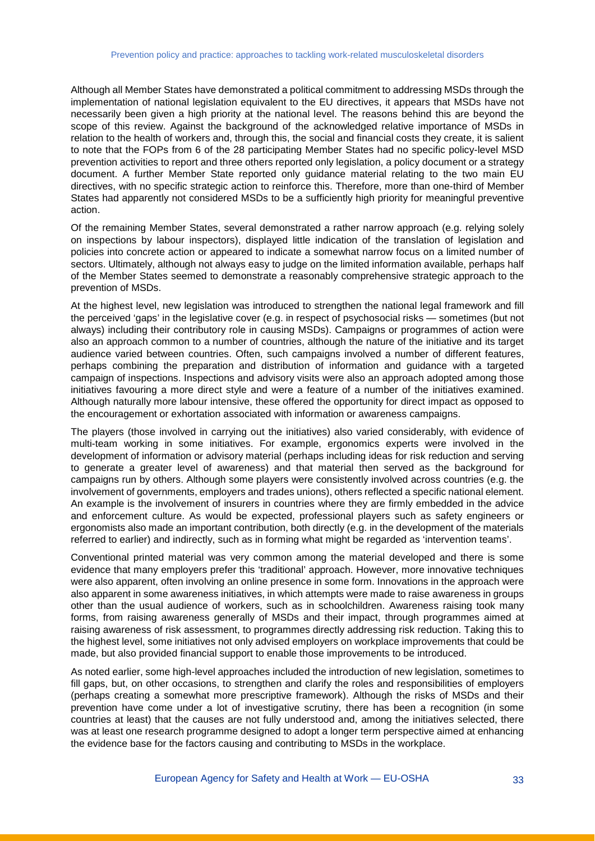Although all Member States have demonstrated a political commitment to addressing MSDs through the implementation of national legislation equivalent to the EU directives, it appears that MSDs have not necessarily been given a high priority at the national level. The reasons behind this are beyond the scope of this review. Against the background of the acknowledged relative importance of MSDs in relation to the health of workers and, through this, the social and financial costs they create, it is salient to note that the FOPs from 6 of the 28 participating Member States had no specific policy-level MSD prevention activities to report and three others reported only legislation, a policy document or a strategy document. A further Member State reported only guidance material relating to the two main EU directives, with no specific strategic action to reinforce this. Therefore, more than one-third of Member States had apparently not considered MSDs to be a sufficiently high priority for meaningful preventive action.

Of the remaining Member States, several demonstrated a rather narrow approach (e.g. relying solely on inspections by labour inspectors), displayed little indication of the translation of legislation and policies into concrete action or appeared to indicate a somewhat narrow focus on a limited number of sectors. Ultimately, although not always easy to judge on the limited information available, perhaps half of the Member States seemed to demonstrate a reasonably comprehensive strategic approach to the prevention of MSDs.

At the highest level, new legislation was introduced to strengthen the national legal framework and fill the perceived 'gaps' in the legislative cover (e.g. in respect of psychosocial risks — sometimes (but not always) including their contributory role in causing MSDs). Campaigns or programmes of action were also an approach common to a number of countries, although the nature of the initiative and its target audience varied between countries. Often, such campaigns involved a number of different features, perhaps combining the preparation and distribution of information and guidance with a targeted campaign of inspections. Inspections and advisory visits were also an approach adopted among those initiatives favouring a more direct style and were a feature of a number of the initiatives examined. Although naturally more labour intensive, these offered the opportunity for direct impact as opposed to the encouragement or exhortation associated with information or awareness campaigns.

The players (those involved in carrying out the initiatives) also varied considerably, with evidence of multi-team working in some initiatives. For example, ergonomics experts were involved in the development of information or advisory material (perhaps including ideas for risk reduction and serving to generate a greater level of awareness) and that material then served as the background for campaigns run by others. Although some players were consistently involved across countries (e.g. the involvement of governments, employers and trades unions), others reflected a specific national element. An example is the involvement of insurers in countries where they are firmly embedded in the advice and enforcement culture. As would be expected, professional players such as safety engineers or ergonomists also made an important contribution, both directly (e.g. in the development of the materials referred to earlier) and indirectly, such as in forming what might be regarded as 'intervention teams'.

Conventional printed material was very common among the material developed and there is some evidence that many employers prefer this 'traditional' approach. However, more innovative techniques were also apparent, often involving an online presence in some form. Innovations in the approach were also apparent in some awareness initiatives, in which attempts were made to raise awareness in groups other than the usual audience of workers, such as in schoolchildren. Awareness raising took many forms, from raising awareness generally of MSDs and their impact, through programmes aimed at raising awareness of risk assessment, to programmes directly addressing risk reduction. Taking this to the highest level, some initiatives not only advised employers on workplace improvements that could be made, but also provided financial support to enable those improvements to be introduced.

As noted earlier, some high-level approaches included the introduction of new legislation, sometimes to fill gaps, but, on other occasions, to strengthen and clarify the roles and responsibilities of employers (perhaps creating a somewhat more prescriptive framework). Although the risks of MSDs and their prevention have come under a lot of investigative scrutiny, there has been a recognition (in some countries at least) that the causes are not fully understood and, among the initiatives selected, there was at least one research programme designed to adopt a longer term perspective aimed at enhancing the evidence base for the factors causing and contributing to MSDs in the workplace.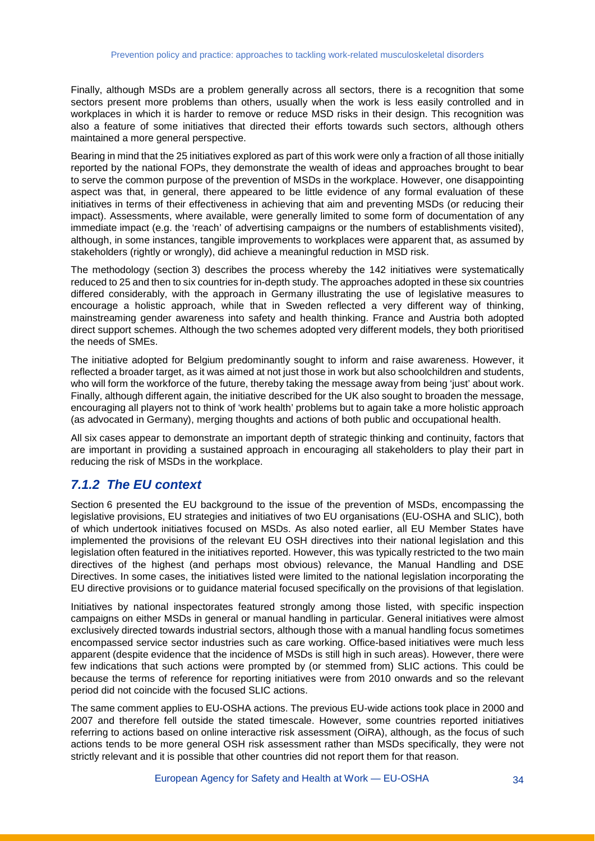Finally, although MSDs are a problem generally across all sectors, there is a recognition that some sectors present more problems than others, usually when the work is less easily controlled and in workplaces in which it is harder to remove or reduce MSD risks in their design. This recognition was also a feature of some initiatives that directed their efforts towards such sectors, although others maintained a more general perspective.

Bearing in mind that the 25 initiatives explored as part of this work were only a fraction of all those initially reported by the national FOPs, they demonstrate the wealth of ideas and approaches brought to bear to serve the common purpose of the prevention of MSDs in the workplace. However, one disappointing aspect was that, in general, there appeared to be little evidence of any formal evaluation of these initiatives in terms of their effectiveness in achieving that aim and preventing MSDs (or reducing their impact). Assessments, where available, were generally limited to some form of documentation of any immediate impact (e.g. the 'reach' of advertising campaigns or the numbers of establishments visited), although, in some instances, tangible improvements to workplaces were apparent that, as assumed by stakeholders (rightly or wrongly), did achieve a meaningful reduction in MSD risk.

The methodology (section 3) describes the process whereby the 142 initiatives were systematically reduced to 25 and then to six countries for in-depth study. The approaches adopted in these six countries differed considerably, with the approach in Germany illustrating the use of legislative measures to encourage a holistic approach, while that in Sweden reflected a very different way of thinking, mainstreaming gender awareness into safety and health thinking. France and Austria both adopted direct support schemes. Although the two schemes adopted very different models, they both prioritised the needs of SMEs.

The initiative adopted for Belgium predominantly sought to inform and raise awareness. However, it reflected a broader target, as it was aimed at not just those in work but also schoolchildren and students, who will form the workforce of the future, thereby taking the message away from being 'just' about work. Finally, although different again, the initiative described for the UK also sought to broaden the message, encouraging all players not to think of 'work health' problems but to again take a more holistic approach (as advocated in Germany), merging thoughts and actions of both public and occupational health.

All six cases appear to demonstrate an important depth of strategic thinking and continuity, factors that are important in providing a sustained approach in encouraging all stakeholders to play their part in reducing the risk of MSDs in the workplace.

## *7.1.2 The EU context*

Section 6 presented the EU background to the issue of the prevention of MSDs, encompassing the legislative provisions, EU strategies and initiatives of two EU organisations (EU-OSHA and SLIC), both of which undertook initiatives focused on MSDs. As also noted earlier, all EU Member States have implemented the provisions of the relevant EU OSH directives into their national legislation and this legislation often featured in the initiatives reported. However, this was typically restricted to the two main directives of the highest (and perhaps most obvious) relevance, the Manual Handling and DSE Directives. In some cases, the initiatives listed were limited to the national legislation incorporating the EU directive provisions or to guidance material focused specifically on the provisions of that legislation.

Initiatives by national inspectorates featured strongly among those listed, with specific inspection campaigns on either MSDs in general or manual handling in particular. General initiatives were almost exclusively directed towards industrial sectors, although those with a manual handling focus sometimes encompassed service sector industries such as care working. Office-based initiatives were much less apparent (despite evidence that the incidence of MSDs is still high in such areas). However, there were few indications that such actions were prompted by (or stemmed from) SLIC actions. This could be because the terms of reference for reporting initiatives were from 2010 onwards and so the relevant period did not coincide with the focused SLIC actions.

The same comment applies to EU-OSHA actions. The previous EU-wide actions took place in 2000 and 2007 and therefore fell outside the stated timescale. However, some countries reported initiatives referring to actions based on online interactive risk assessment (OiRA), although, as the focus of such actions tends to be more general OSH risk assessment rather than MSDs specifically, they were not strictly relevant and it is possible that other countries did not report them for that reason.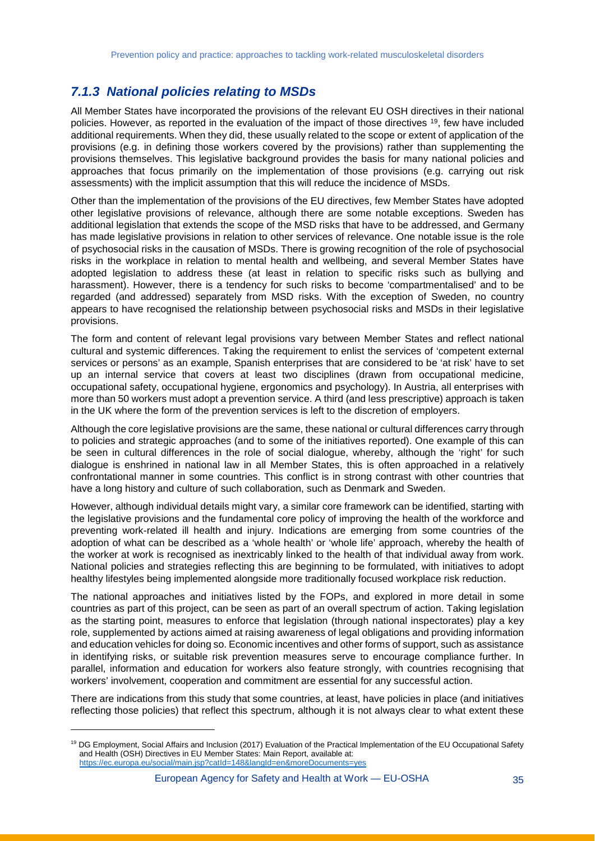## *7.1.3 National policies relating to MSDs*

All Member States have incorporated the provisions of the relevant EU OSH directives in their national policies. However, as reported in the evaluation of the impact of those directives [19](#page-33-0), few have included additional requirements. When they did, these usually related to the scope or extent of application of the provisions (e.g. in defining those workers covered by the provisions) rather than supplementing the provisions themselves. This legislative background provides the basis for many national policies and approaches that focus primarily on the implementation of those provisions (e.g. carrying out risk assessments) with the implicit assumption that this will reduce the incidence of MSDs.

Other than the implementation of the provisions of the EU directives, few Member States have adopted other legislative provisions of relevance, although there are some notable exceptions. Sweden has additional legislation that extends the scope of the MSD risks that have to be addressed, and Germany has made legislative provisions in relation to other services of relevance. One notable issue is the role of psychosocial risks in the causation of MSDs. There is growing recognition of the role of psychosocial risks in the workplace in relation to mental health and wellbeing, and several Member States have adopted legislation to address these (at least in relation to specific risks such as bullying and harassment). However, there is a tendency for such risks to become 'compartmentalised' and to be regarded (and addressed) separately from MSD risks. With the exception of Sweden, no country appears to have recognised the relationship between psychosocial risks and MSDs in their legislative provisions.

The form and content of relevant legal provisions vary between Member States and reflect national cultural and systemic differences. Taking the requirement to enlist the services of 'competent external services or persons' as an example, Spanish enterprises that are considered to be 'at risk' have to set up an internal service that covers at least two disciplines (drawn from occupational medicine, occupational safety, occupational hygiene, ergonomics and psychology). In Austria, all enterprises with more than 50 workers must adopt a prevention service. A third (and less prescriptive) approach is taken in the UK where the form of the prevention services is left to the discretion of employers.

Although the core legislative provisions are the same, these national or cultural differences carry through to policies and strategic approaches (and to some of the initiatives reported). One example of this can be seen in cultural differences in the role of social dialogue, whereby, although the 'right' for such dialogue is enshrined in national law in all Member States, this is often approached in a relatively confrontational manner in some countries. This conflict is in strong contrast with other countries that have a long history and culture of such collaboration, such as Denmark and Sweden.

However, although individual details might vary, a similar core framework can be identified, starting with the legislative provisions and the fundamental core policy of improving the health of the workforce and preventing work-related ill health and injury. Indications are emerging from some countries of the adoption of what can be described as a 'whole health' or 'whole life' approach, whereby the health of the worker at work is recognised as inextricably linked to the health of that individual away from work. National policies and strategies reflecting this are beginning to be formulated, with initiatives to adopt healthy lifestyles being implemented alongside more traditionally focused workplace risk reduction.

The national approaches and initiatives listed by the FOPs, and explored in more detail in some countries as part of this project, can be seen as part of an overall spectrum of action. Taking legislation as the starting point, measures to enforce that legislation (through national inspectorates) play a key role, supplemented by actions aimed at raising awareness of legal obligations and providing information and education vehicles for doing so. Economic incentives and other forms of support, such as assistance in identifying risks, or suitable risk prevention measures serve to encourage compliance further. In parallel, information and education for workers also feature strongly, with countries recognising that workers' involvement, cooperation and commitment are essential for any successful action.

There are indications from this study that some countries, at least, have policies in place (and initiatives reflecting those policies) that reflect this spectrum, although it is not always clear to what extent these

-

<span id="page-33-0"></span><sup>&</sup>lt;sup>19</sup> DG Employment, Social Affairs and Inclusion (2017) Evaluation of the Practical Implementation of the EU Occupational Safety and Health (OSH) Directives in EU Member States: Main Report, available at: <https://ec.europa.eu/social/main.jsp?catId=148&langId=en&moreDocuments=yes>

European Agency for Safety and Health at Work — EU-OSHA 35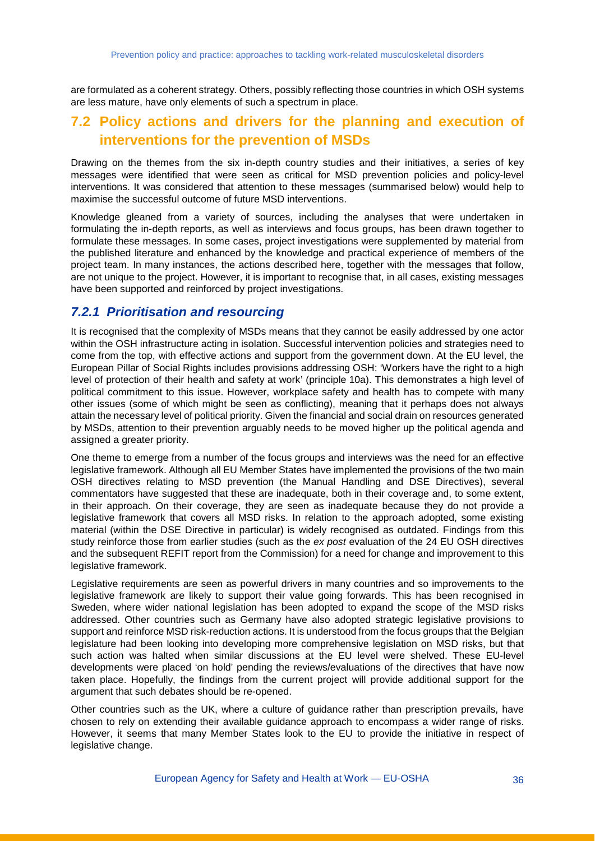are formulated as a coherent strategy. Others, possibly reflecting those countries in which OSH systems are less mature, have only elements of such a spectrum in place.

## <span id="page-34-0"></span>**7.2 Policy actions and drivers for the planning and execution of interventions for the prevention of MSDs**

Drawing on the themes from the six in-depth country studies and their initiatives, a series of key messages were identified that were seen as critical for MSD prevention policies and policy-level interventions. It was considered that attention to these messages (summarised below) would help to maximise the successful outcome of future MSD interventions.

Knowledge gleaned from a variety of sources, including the analyses that were undertaken in formulating the in-depth reports, as well as interviews and focus groups, has been drawn together to formulate these messages. In some cases, project investigations were supplemented by material from the published literature and enhanced by the knowledge and practical experience of members of the project team. In many instances, the actions described here, together with the messages that follow, are not unique to the project. However, it is important to recognise that, in all cases, existing messages have been supported and reinforced by project investigations.

## *7.2.1 Prioritisation and resourcing*

It is recognised that the complexity of MSDs means that they cannot be easily addressed by one actor within the OSH infrastructure acting in isolation. Successful intervention policies and strategies need to come from the top, with effective actions and support from the government down. At the EU level, the European Pillar of Social Rights includes provisions addressing OSH: 'Workers have the right to a high level of protection of their health and safety at work' (principle 10a). This demonstrates a high level of political commitment to this issue. However, workplace safety and health has to compete with many other issues (some of which might be seen as conflicting), meaning that it perhaps does not always attain the necessary level of political priority. Given the financial and social drain on resources generated by MSDs, attention to their prevention arguably needs to be moved higher up the political agenda and assigned a greater priority.

One theme to emerge from a number of the focus groups and interviews was the need for an effective legislative framework. Although all EU Member States have implemented the provisions of the two main OSH directives relating to MSD prevention (the Manual Handling and DSE Directives), several commentators have suggested that these are inadequate, both in their coverage and, to some extent, in their approach. On their coverage, they are seen as inadequate because they do not provide a legislative framework that covers all MSD risks. In relation to the approach adopted, some existing material (within the DSE Directive in particular) is widely recognised as outdated. Findings from this study reinforce those from earlier studies (such as the *ex post* evaluation of the 24 EU OSH directives and the subsequent REFIT report from the Commission) for a need for change and improvement to this legislative framework.

Legislative requirements are seen as powerful drivers in many countries and so improvements to the legislative framework are likely to support their value going forwards. This has been recognised in Sweden, where wider national legislation has been adopted to expand the scope of the MSD risks addressed. Other countries such as Germany have also adopted strategic legislative provisions to support and reinforce MSD risk-reduction actions. It is understood from the focus groups that the Belgian legislature had been looking into developing more comprehensive legislation on MSD risks, but that such action was halted when similar discussions at the EU level were shelved. These EU-level developments were placed 'on hold' pending the reviews/evaluations of the directives that have now taken place. Hopefully, the findings from the current project will provide additional support for the argument that such debates should be re-opened.

Other countries such as the UK, where a culture of guidance rather than prescription prevails, have chosen to rely on extending their available guidance approach to encompass a wider range of risks. However, it seems that many Member States look to the EU to provide the initiative in respect of legislative change.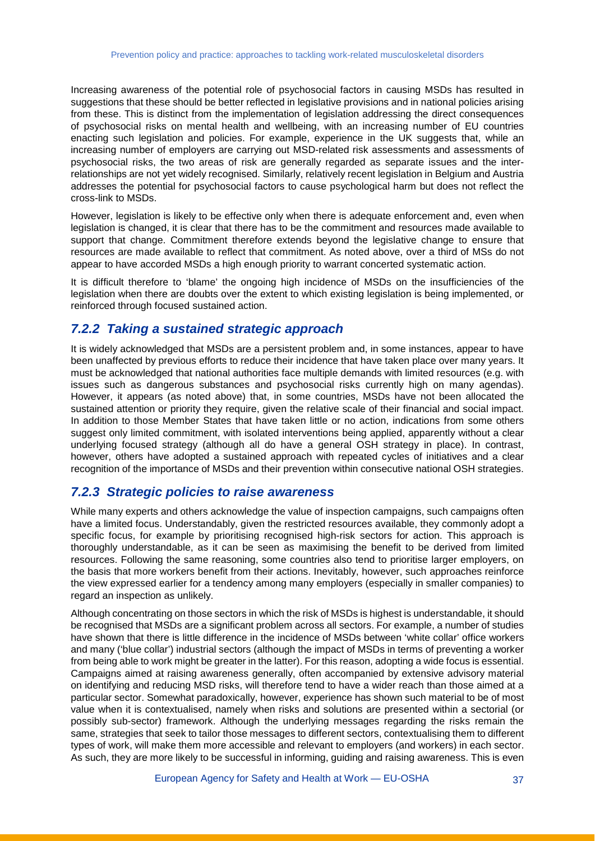Increasing awareness of the potential role of psychosocial factors in causing MSDs has resulted in suggestions that these should be better reflected in legislative provisions and in national policies arising from these. This is distinct from the implementation of legislation addressing the direct consequences of psychosocial risks on mental health and wellbeing, with an increasing number of EU countries enacting such legislation and policies. For example, experience in the UK suggests that, while an increasing number of employers are carrying out MSD-related risk assessments and assessments of psychosocial risks, the two areas of risk are generally regarded as separate issues and the interrelationships are not yet widely recognised. Similarly, relatively recent legislation in Belgium and Austria addresses the potential for psychosocial factors to cause psychological harm but does not reflect the cross-link to MSDs.

However, legislation is likely to be effective only when there is adequate enforcement and, even when legislation is changed, it is clear that there has to be the commitment and resources made available to support that change. Commitment therefore extends beyond the legislative change to ensure that resources are made available to reflect that commitment. As noted above, over a third of MSs do not appear to have accorded MSDs a high enough priority to warrant concerted systematic action.

It is difficult therefore to 'blame' the ongoing high incidence of MSDs on the insufficiencies of the legislation when there are doubts over the extent to which existing legislation is being implemented, or reinforced through focused sustained action.

### *7.2.2 Taking a sustained strategic approach*

It is widely acknowledged that MSDs are a persistent problem and, in some instances, appear to have been unaffected by previous efforts to reduce their incidence that have taken place over many years. It must be acknowledged that national authorities face multiple demands with limited resources (e.g. with issues such as dangerous substances and psychosocial risks currently high on many agendas). However, it appears (as noted above) that, in some countries, MSDs have not been allocated the sustained attention or priority they require, given the relative scale of their financial and social impact. In addition to those Member States that have taken little or no action, indications from some others suggest only limited commitment, with isolated interventions being applied, apparently without a clear underlying focused strategy (although all do have a general OSH strategy in place). In contrast, however, others have adopted a sustained approach with repeated cycles of initiatives and a clear recognition of the importance of MSDs and their prevention within consecutive national OSH strategies.

### *7.2.3 Strategic policies to raise awareness*

While many experts and others acknowledge the value of inspection campaigns, such campaigns often have a limited focus. Understandably, given the restricted resources available, they commonly adopt a specific focus, for example by prioritising recognised high-risk sectors for action. This approach is thoroughly understandable, as it can be seen as maximising the benefit to be derived from limited resources. Following the same reasoning, some countries also tend to prioritise larger employers, on the basis that more workers benefit from their actions. Inevitably, however, such approaches reinforce the view expressed earlier for a tendency among many employers (especially in smaller companies) to regard an inspection as unlikely.

Although concentrating on those sectors in which the risk of MSDs is highest is understandable, it should be recognised that MSDs are a significant problem across all sectors. For example, a number of studies have shown that there is little difference in the incidence of MSDs between 'white collar' office workers and many ('blue collar') industrial sectors (although the impact of MSDs in terms of preventing a worker from being able to work might be greater in the latter). For this reason, adopting a wide focus is essential. Campaigns aimed at raising awareness generally, often accompanied by extensive advisory material on identifying and reducing MSD risks, will therefore tend to have a wider reach than those aimed at a particular sector. Somewhat paradoxically, however, experience has shown such material to be of most value when it is contextualised, namely when risks and solutions are presented within a sectorial (or possibly sub-sector) framework. Although the underlying messages regarding the risks remain the same, strategies that seek to tailor those messages to different sectors, contextualising them to different types of work, will make them more accessible and relevant to employers (and workers) in each sector. As such, they are more likely to be successful in informing, guiding and raising awareness. This is even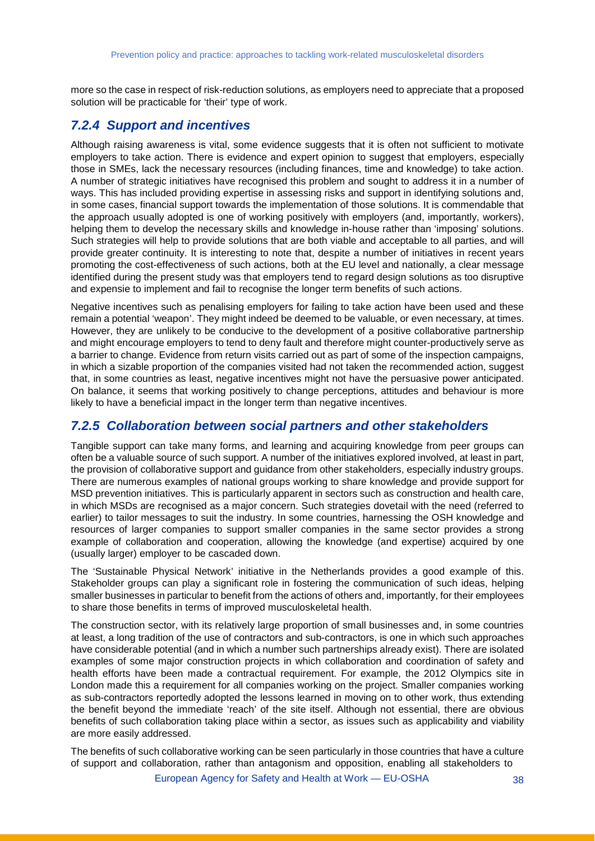more so the case in respect of risk-reduction solutions, as employers need to appreciate that a proposed solution will be practicable for 'their' type of work.

### *7.2.4 Support and incentives*

Although raising awareness is vital, some evidence suggests that it is often not sufficient to motivate employers to take action. There is evidence and expert opinion to suggest that employers, especially those in SMEs, lack the necessary resources (including finances, time and knowledge) to take action. A number of strategic initiatives have recognised this problem and sought to address it in a number of ways. This has included providing expertise in assessing risks and support in identifying solutions and, in some cases, financial support towards the implementation of those solutions. It is commendable that the approach usually adopted is one of working positively with employers (and, importantly, workers), helping them to develop the necessary skills and knowledge in-house rather than 'imposing' solutions. Such strategies will help to provide solutions that are both viable and acceptable to all parties, and will provide greater continuity. It is interesting to note that, despite a number of initiatives in recent years promoting the cost-effectiveness of such actions, both at the EU level and nationally, a clear message identified during the present study was that employers tend to regard design solutions as too disruptive and expensie to implement and fail to recognise the longer term benefits of such actions.

Negative incentives such as penalising employers for failing to take action have been used and these remain a potential 'weapon'. They might indeed be deemed to be valuable, or even necessary, at times. However, they are unlikely to be conducive to the development of a positive collaborative partnership and might encourage employers to tend to deny fault and therefore might counter-productively serve as a barrier to change. Evidence from return visits carried out as part of some of the inspection campaigns, in which a sizable proportion of the companies visited had not taken the recommended action, suggest that, in some countries as least, negative incentives might not have the persuasive power anticipated. On balance, it seems that working positively to change perceptions, attitudes and behaviour is more likely to have a beneficial impact in the longer term than negative incentives.

#### *7.2.5 Collaboration between social partners and other stakeholders*

Tangible support can take many forms, and learning and acquiring knowledge from peer groups can often be a valuable source of such support. A number of the initiatives explored involved, at least in part, the provision of collaborative support and guidance from other stakeholders, especially industry groups. There are numerous examples of national groups working to share knowledge and provide support for MSD prevention initiatives. This is particularly apparent in sectors such as construction and health care, in which MSDs are recognised as a major concern. Such strategies dovetail with the need (referred to earlier) to tailor messages to suit the industry. In some countries, harnessing the OSH knowledge and resources of larger companies to support smaller companies in the same sector provides a strong example of collaboration and cooperation, allowing the knowledge (and expertise) acquired by one (usually larger) employer to be cascaded down.

The 'Sustainable Physical Network' initiative in the Netherlands provides a good example of this. Stakeholder groups can play a significant role in fostering the communication of such ideas, helping smaller businesses in particular to benefit from the actions of others and, importantly, for their employees to share those benefits in terms of improved musculoskeletal health.

The construction sector, with its relatively large proportion of small businesses and, in some countries at least, a long tradition of the use of contractors and sub-contractors, is one in which such approaches have considerable potential (and in which a number such partnerships already exist). There are isolated examples of some major construction projects in which collaboration and coordination of safety and health efforts have been made a contractual requirement. For example, the 2012 Olympics site in London made this a requirement for all companies working on the project. Smaller companies working as sub-contractors reportedly adopted the lessons learned in moving on to other work, thus extending the benefit beyond the immediate 'reach' of the site itself. Although not essential, there are obvious benefits of such collaboration taking place within a sector, as issues such as applicability and viability are more easily addressed.

The benefits of such collaborative working can be seen particularly in those countries that have a culture of support and collaboration, rather than antagonism and opposition, enabling all stakeholders to

European Agency for Safety and Health at Work — EU-OSHA 38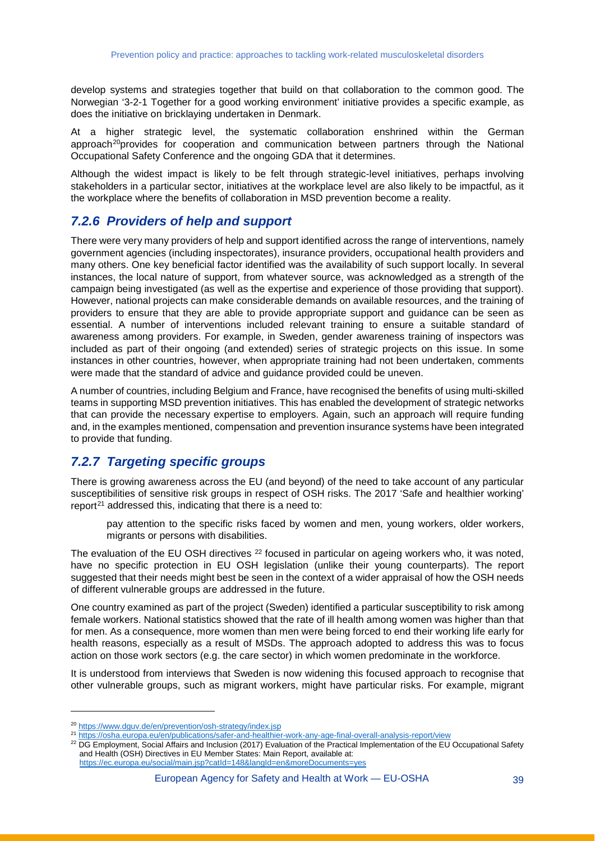develop systems and strategies together that build on that collaboration to the common good. The Norwegian '3-2-1 Together for a good working environment' initiative provides a specific example, as does the initiative on bricklaying undertaken in Denmark.

At a higher strategic level, the systematic collaboration enshrined within the German approach<sup>[20](#page-37-0)</sup>provides for cooperation and communication between partners through the National Occupational Safety Conference and the ongoing GDA that it determines.

Although the widest impact is likely to be felt through strategic-level initiatives, perhaps involving stakeholders in a particular sector, initiatives at the workplace level are also likely to be impactful, as it the workplace where the benefits of collaboration in MSD prevention become a reality.

## *7.2.6 Providers of help and support*

There were very many providers of help and support identified across the range of interventions, namely government agencies (including inspectorates), insurance providers, occupational health providers and many others. One key beneficial factor identified was the availability of such support locally. In several instances, the local nature of support, from whatever source, was acknowledged as a strength of the campaign being investigated (as well as the expertise and experience of those providing that support). However, national projects can make considerable demands on available resources, and the training of providers to ensure that they are able to provide appropriate support and guidance can be seen as essential. A number of interventions included relevant training to ensure a suitable standard of awareness among providers. For example, in Sweden, gender awareness training of inspectors was included as part of their ongoing (and extended) series of strategic projects on this issue. In some instances in other countries, however, when appropriate training had not been undertaken, comments were made that the standard of advice and guidance provided could be uneven.

A number of countries, including Belgium and France, have recognised the benefits of using multi-skilled teams in supporting MSD prevention initiatives. This has enabled the development of strategic networks that can provide the necessary expertise to employers. Again, such an approach will require funding and, in the examples mentioned, compensation and prevention insurance systems have been integrated to provide that funding.

## *7.2.7 Targeting specific groups*

There is growing awareness across the EU (and beyond) of the need to take account of any particular susceptibilities of sensitive risk groups in respect of OSH risks. The 2017 'Safe and healthier working' report $21$  addressed this, indicating that there is a need to:

pay attention to the specific risks faced by women and men, young workers, older workers, migrants or persons with disabilities.

The evaluation of the EU OSH directives <sup>[22](#page-37-2)</sup> focused in particular on ageing workers who, it was noted, have no specific protection in EU OSH legislation (unlike their young counterparts). The report suggested that their needs might best be seen in the context of a wider appraisal of how the OSH needs of different vulnerable groups are addressed in the future.

One country examined as part of the project (Sweden) identified a particular susceptibility to risk among female workers. National statistics showed that the rate of ill health among women was higher than that for men. As a consequence, more women than men were being forced to end their working life early for health reasons, especially as a result of MSDs. The approach adopted to address this was to focus action on those work sectors (e.g. the care sector) in which women predominate in the workforce.

It is understood from interviews that Sweden is now widening this focused approach to recognise that other vulnerable groups, such as migrant workers, might have particular risks. For example, migrant

-

European Agency for Safety and Health at Work — EU-OSHA 39

<span id="page-37-0"></span><sup>20</sup> <https://www.dguv.de/en/prevention/osh-strategy/index.jsp>

<span id="page-37-1"></span><sup>21</sup> <https://osha.europa.eu/en/publications/safer-and-healthier-work-any-age-final-overall-analysis-report/view>

<span id="page-37-2"></span><sup>&</sup>lt;sup>22</sup> DG Employment, Social Affairs and Inclusion (2017) Evaluation of the Practical Implementation of the EU Occupational Safety and Health (OSH) Directives in EU Member States: Main Report, available at: <https://ec.europa.eu/social/main.jsp?catId=148&langId=en&moreDocuments=yes>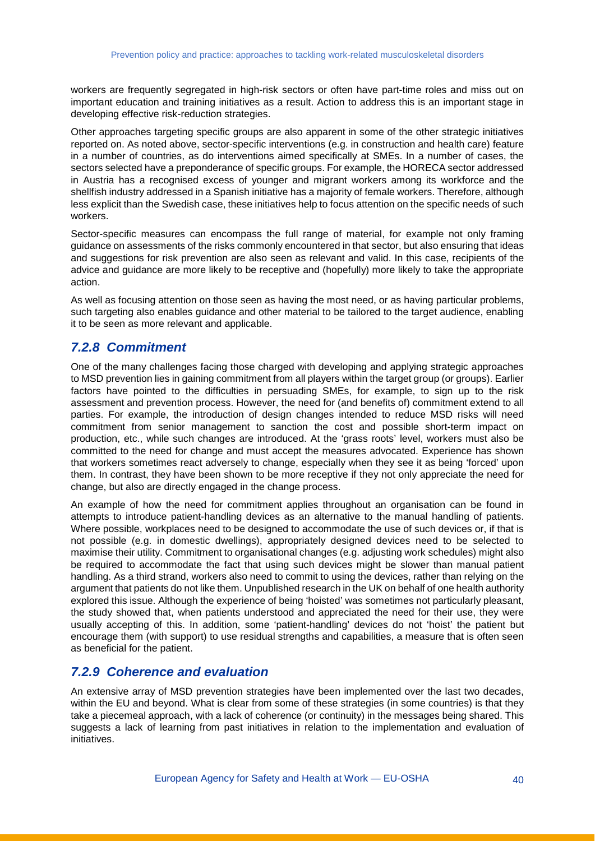workers are frequently segregated in high-risk sectors or often have part-time roles and miss out on important education and training initiatives as a result. Action to address this is an important stage in developing effective risk-reduction strategies.

Other approaches targeting specific groups are also apparent in some of the other strategic initiatives reported on. As noted above, sector-specific interventions (e.g. in construction and health care) feature in a number of countries, as do interventions aimed specifically at SMEs. In a number of cases, the sectors selected have a preponderance of specific groups. For example, the HORECA sector addressed in Austria has a recognised excess of younger and migrant workers among its workforce and the shellfish industry addressed in a Spanish initiative has a majority of female workers. Therefore, although less explicit than the Swedish case, these initiatives help to focus attention on the specific needs of such workers.

Sector-specific measures can encompass the full range of material, for example not only framing guidance on assessments of the risks commonly encountered in that sector, but also ensuring that ideas and suggestions for risk prevention are also seen as relevant and valid. In this case, recipients of the advice and guidance are more likely to be receptive and (hopefully) more likely to take the appropriate action.

As well as focusing attention on those seen as having the most need, or as having particular problems, such targeting also enables guidance and other material to be tailored to the target audience, enabling it to be seen as more relevant and applicable.

## *7.2.8 Commitment*

One of the many challenges facing those charged with developing and applying strategic approaches to MSD prevention lies in gaining commitment from all players within the target group (or groups). Earlier factors have pointed to the difficulties in persuading SMEs, for example, to sign up to the risk assessment and prevention process. However, the need for (and benefits of) commitment extend to all parties. For example, the introduction of design changes intended to reduce MSD risks will need commitment from senior management to sanction the cost and possible short-term impact on production, etc., while such changes are introduced. At the 'grass roots' level, workers must also be committed to the need for change and must accept the measures advocated. Experience has shown that workers sometimes react adversely to change, especially when they see it as being 'forced' upon them. In contrast, they have been shown to be more receptive if they not only appreciate the need for change, but also are directly engaged in the change process.

An example of how the need for commitment applies throughout an organisation can be found in attempts to introduce patient-handling devices as an alternative to the manual handling of patients. Where possible, workplaces need to be designed to accommodate the use of such devices or, if that is not possible (e.g. in domestic dwellings), appropriately designed devices need to be selected to maximise their utility. Commitment to organisational changes (e.g. adjusting work schedules) might also be required to accommodate the fact that using such devices might be slower than manual patient handling. As a third strand, workers also need to commit to using the devices, rather than relying on the argument that patients do not like them. Unpublished research in the UK on behalf of one health authority explored this issue. Although the experience of being 'hoisted' was sometimes not particularly pleasant, the study showed that, when patients understood and appreciated the need for their use, they were usually accepting of this. In addition, some 'patient-handling' devices do not 'hoist' the patient but encourage them (with support) to use residual strengths and capabilities, a measure that is often seen as beneficial for the patient.

## *7.2.9 Coherence and evaluation*

An extensive array of MSD prevention strategies have been implemented over the last two decades, within the EU and beyond. What is clear from some of these strategies (in some countries) is that they take a piecemeal approach, with a lack of coherence (or continuity) in the messages being shared. This suggests a lack of learning from past initiatives in relation to the implementation and evaluation of initiatives.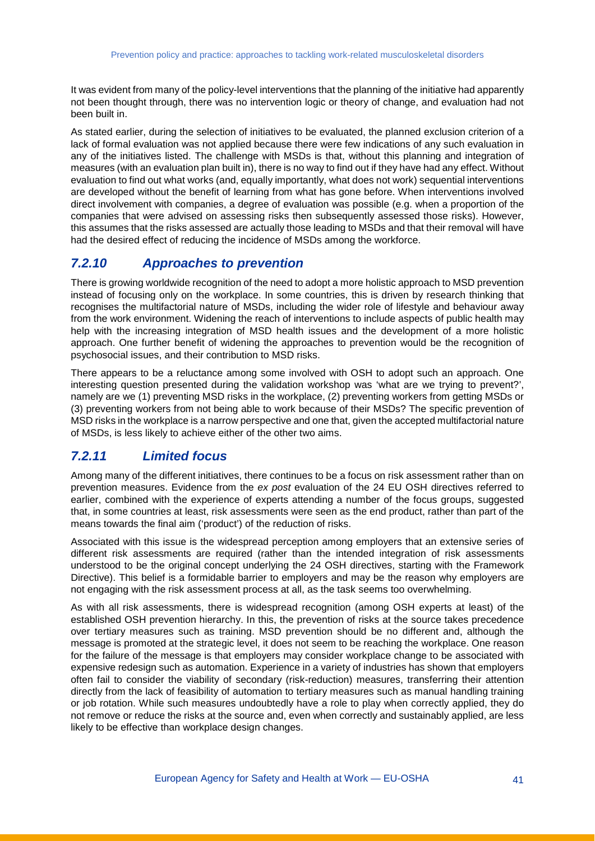It was evident from many of the policy-level interventions that the planning of the initiative had apparently not been thought through, there was no intervention logic or theory of change, and evaluation had not been built in.

As stated earlier, during the selection of initiatives to be evaluated, the planned exclusion criterion of a lack of formal evaluation was not applied because there were few indications of any such evaluation in any of the initiatives listed. The challenge with MSDs is that, without this planning and integration of measures (with an evaluation plan built in), there is no way to find out if they have had any effect. Without evaluation to find out what works (and, equally importantly, what does not work) sequential interventions are developed without the benefit of learning from what has gone before. When interventions involved direct involvement with companies, a degree of evaluation was possible (e.g. when a proportion of the companies that were advised on assessing risks then subsequently assessed those risks). However, this assumes that the risks assessed are actually those leading to MSDs and that their removal will have had the desired effect of reducing the incidence of MSDs among the workforce.

## *7.2.10 Approaches to prevention*

There is growing worldwide recognition of the need to adopt a more holistic approach to MSD prevention instead of focusing only on the workplace. In some countries, this is driven by research thinking that recognises the multifactorial nature of MSDs, including the wider role of lifestyle and behaviour away from the work environment. Widening the reach of interventions to include aspects of public health may help with the increasing integration of MSD health issues and the development of a more holistic approach. One further benefit of widening the approaches to prevention would be the recognition of psychosocial issues, and their contribution to MSD risks.

There appears to be a reluctance among some involved with OSH to adopt such an approach. One interesting question presented during the validation workshop was 'what are we trying to prevent?', namely are we (1) preventing MSD risks in the workplace, (2) preventing workers from getting MSDs or (3) preventing workers from not being able to work because of their MSDs? The specific prevention of MSD risks in the workplace is a narrow perspective and one that, given the accepted multifactorial nature of MSDs, is less likely to achieve either of the other two aims.

## *7.2.11 Limited focus*

Among many of the different initiatives, there continues to be a focus on risk assessment rather than on prevention measures. Evidence from the *ex post* evaluation of the 24 EU OSH directives referred to earlier, combined with the experience of experts attending a number of the focus groups, suggested that, in some countries at least, risk assessments were seen as the end product, rather than part of the means towards the final aim ('product') of the reduction of risks.

Associated with this issue is the widespread perception among employers that an extensive series of different risk assessments are required (rather than the intended integration of risk assessments understood to be the original concept underlying the 24 OSH directives, starting with the Framework Directive). This belief is a formidable barrier to employers and may be the reason why employers are not engaging with the risk assessment process at all, as the task seems too overwhelming.

As with all risk assessments, there is widespread recognition (among OSH experts at least) of the established OSH prevention hierarchy. In this, the prevention of risks at the source takes precedence over tertiary measures such as training. MSD prevention should be no different and, although the message is promoted at the strategic level, it does not seem to be reaching the workplace. One reason for the failure of the message is that employers may consider workplace change to be associated with expensive redesign such as automation. Experience in a variety of industries has shown that employers often fail to consider the viability of secondary (risk-reduction) measures, transferring their attention directly from the lack of feasibility of automation to tertiary measures such as manual handling training or job rotation. While such measures undoubtedly have a role to play when correctly applied, they do not remove or reduce the risks at the source and, even when correctly and sustainably applied, are less likely to be effective than workplace design changes.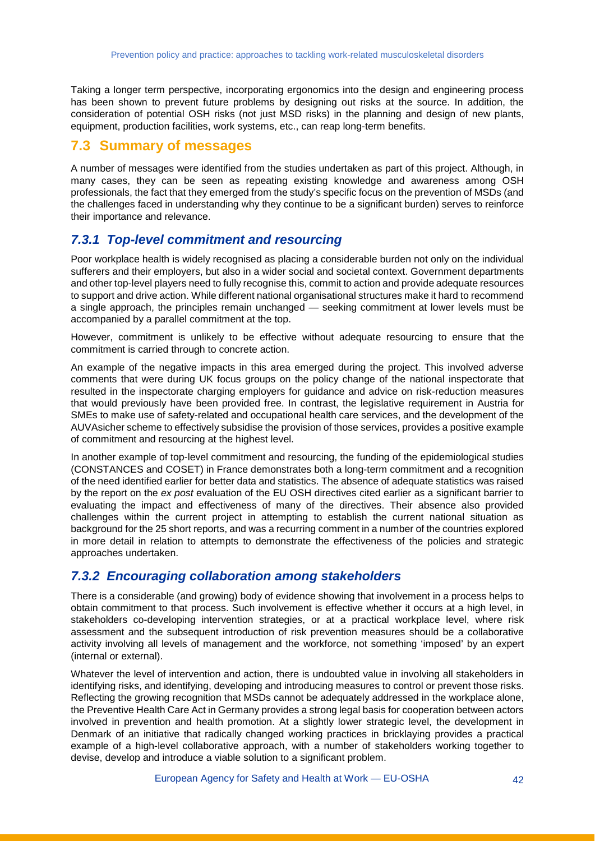Taking a longer term perspective, incorporating ergonomics into the design and engineering process has been shown to prevent future problems by designing out risks at the source. In addition, the consideration of potential OSH risks (not just MSD risks) in the planning and design of new plants, equipment, production facilities, work systems, etc., can reap long-term benefits.

## <span id="page-40-0"></span>**7.3 Summary of messages**

A number of messages were identified from the studies undertaken as part of this project. Although, in many cases, they can be seen as repeating existing knowledge and awareness among OSH professionals, the fact that they emerged from the study's specific focus on the prevention of MSDs (and the challenges faced in understanding why they continue to be a significant burden) serves to reinforce their importance and relevance.

## *7.3.1 Top-level commitment and resourcing*

Poor workplace health is widely recognised as placing a considerable burden not only on the individual sufferers and their employers, but also in a wider social and societal context. Government departments and other top-level players need to fully recognise this, commit to action and provide adequate resources to support and drive action. While different national organisational structures make it hard to recommend a single approach, the principles remain unchanged — seeking commitment at lower levels must be accompanied by a parallel commitment at the top.

However, commitment is unlikely to be effective without adequate resourcing to ensure that the commitment is carried through to concrete action.

An example of the negative impacts in this area emerged during the project. This involved adverse comments that were during UK focus groups on the policy change of the national inspectorate that resulted in the inspectorate charging employers for guidance and advice on risk-reduction measures that would previously have been provided free. In contrast, the legislative requirement in Austria for SMEs to make use of safety-related and occupational health care services, and the development of the AUVAsicher scheme to effectively subsidise the provision of those services, provides a positive example of commitment and resourcing at the highest level.

In another example of top-level commitment and resourcing, the funding of the epidemiological studies (CONSTANCES and COSET) in France demonstrates both a long-term commitment and a recognition of the need identified earlier for better data and statistics. The absence of adequate statistics was raised by the report on the *ex post* evaluation of the EU OSH directives cited earlier as a significant barrier to evaluating the impact and effectiveness of many of the directives. Their absence also provided challenges within the current project in attempting to establish the current national situation as background for the 25 short reports, and was a recurring comment in a number of the countries explored in more detail in relation to attempts to demonstrate the effectiveness of the policies and strategic approaches undertaken.

### *7.3.2 Encouraging collaboration among stakeholders*

There is a considerable (and growing) body of evidence showing that involvement in a process helps to obtain commitment to that process. Such involvement is effective whether it occurs at a high level, in stakeholders co-developing intervention strategies, or at a practical workplace level, where risk assessment and the subsequent introduction of risk prevention measures should be a collaborative activity involving all levels of management and the workforce, not something 'imposed' by an expert (internal or external).

Whatever the level of intervention and action, there is undoubted value in involving all stakeholders in identifying risks, and identifying, developing and introducing measures to control or prevent those risks. Reflecting the growing recognition that MSDs cannot be adequately addressed in the workplace alone, the Preventive Health Care Act in Germany provides a strong legal basis for cooperation between actors involved in prevention and health promotion. At a slightly lower strategic level, the development in Denmark of an initiative that radically changed working practices in bricklaying provides a practical example of a high-level collaborative approach, with a number of stakeholders working together to devise, develop and introduce a viable solution to a significant problem.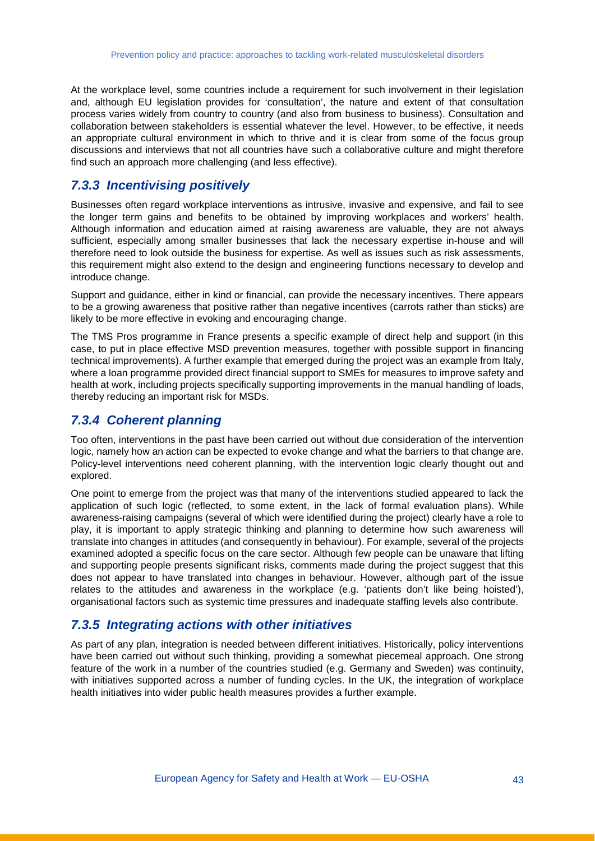At the workplace level, some countries include a requirement for such involvement in their legislation and, although EU legislation provides for 'consultation', the nature and extent of that consultation process varies widely from country to country (and also from business to business). Consultation and collaboration between stakeholders is essential whatever the level. However, to be effective, it needs an appropriate cultural environment in which to thrive and it is clear from some of the focus group discussions and interviews that not all countries have such a collaborative culture and might therefore find such an approach more challenging (and less effective).

#### *7.3.3 Incentivising positively*

Businesses often regard workplace interventions as intrusive, invasive and expensive, and fail to see the longer term gains and benefits to be obtained by improving workplaces and workers' health. Although information and education aimed at raising awareness are valuable, they are not always sufficient, especially among smaller businesses that lack the necessary expertise in-house and will therefore need to look outside the business for expertise. As well as issues such as risk assessments, this requirement might also extend to the design and engineering functions necessary to develop and introduce change.

Support and guidance, either in kind or financial, can provide the necessary incentives. There appears to be a growing awareness that positive rather than negative incentives (carrots rather than sticks) are likely to be more effective in evoking and encouraging change.

The TMS Pros programme in France presents a specific example of direct help and support (in this case, to put in place effective MSD prevention measures, together with possible support in financing technical improvements). A further example that emerged during the project was an example from Italy, where a loan programme provided direct financial support to SMEs for measures to improve safety and health at work, including projects specifically supporting improvements in the manual handling of loads, thereby reducing an important risk for MSDs.

#### *7.3.4 Coherent planning*

Too often, interventions in the past have been carried out without due consideration of the intervention logic, namely how an action can be expected to evoke change and what the barriers to that change are. Policy-level interventions need coherent planning, with the intervention logic clearly thought out and explored.

One point to emerge from the project was that many of the interventions studied appeared to lack the application of such logic (reflected, to some extent, in the lack of formal evaluation plans). While awareness-raising campaigns (several of which were identified during the project) clearly have a role to play, it is important to apply strategic thinking and planning to determine how such awareness will translate into changes in attitudes (and consequently in behaviour). For example, several of the projects examined adopted a specific focus on the care sector. Although few people can be unaware that lifting and supporting people presents significant risks, comments made during the project suggest that this does not appear to have translated into changes in behaviour. However, although part of the issue relates to the attitudes and awareness in the workplace (e.g. 'patients don't like being hoisted'), organisational factors such as systemic time pressures and inadequate staffing levels also contribute.

#### *7.3.5 Integrating actions with other initiatives*

As part of any plan, integration is needed between different initiatives. Historically, policy interventions have been carried out without such thinking, providing a somewhat piecemeal approach. One strong feature of the work in a number of the countries studied (e.g. Germany and Sweden) was continuity, with initiatives supported across a number of funding cycles. In the UK, the integration of workplace health initiatives into wider public health measures provides a further example.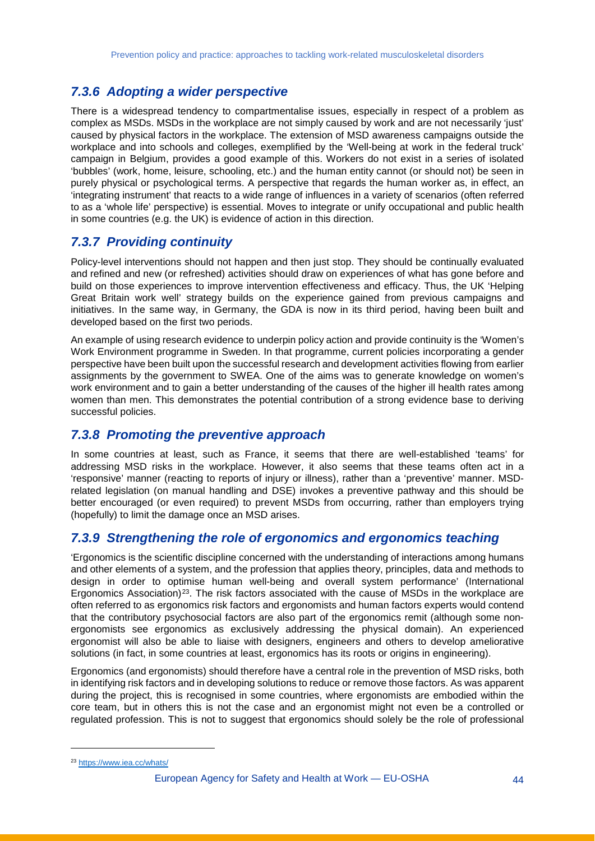## *7.3.6 Adopting a wider perspective*

There is a widespread tendency to compartmentalise issues, especially in respect of a problem as complex as MSDs. MSDs in the workplace are not simply caused by work and are not necessarily 'just' caused by physical factors in the workplace. The extension of MSD awareness campaigns outside the workplace and into schools and colleges, exemplified by the 'Well-being at work in the federal truck' campaign in Belgium, provides a good example of this. Workers do not exist in a series of isolated 'bubbles' (work, home, leisure, schooling, etc.) and the human entity cannot (or should not) be seen in purely physical or psychological terms. A perspective that regards the human worker as, in effect, an 'integrating instrument' that reacts to a wide range of influences in a variety of scenarios (often referred to as a 'whole life' perspective) is essential. Moves to integrate or unify occupational and public health in some countries (e.g. the UK) is evidence of action in this direction.

## *7.3.7 Providing continuity*

Policy-level interventions should not happen and then just stop. They should be continually evaluated and refined and new (or refreshed) activities should draw on experiences of what has gone before and build on those experiences to improve intervention effectiveness and efficacy. Thus, the UK 'Helping Great Britain work well' strategy builds on the experience gained from previous campaigns and initiatives. In the same way, in Germany, the GDA is now in its third period, having been built and developed based on the first two periods.

An example of using research evidence to underpin policy action and provide continuity is the 'Women's Work Environment programme in Sweden. In that programme, current policies incorporating a gender perspective have been built upon the successful research and development activities flowing from earlier assignments by the government to SWEA. One of the aims was to generate knowledge on women's work environment and to gain a better understanding of the causes of the higher ill health rates among women than men. This demonstrates the potential contribution of a strong evidence base to deriving successful policies.

## *7.3.8 Promoting the preventive approach*

In some countries at least, such as France, it seems that there are well-established 'teams' for addressing MSD risks in the workplace. However, it also seems that these teams often act in a 'responsive' manner (reacting to reports of injury or illness), rather than a 'preventive' manner. MSDrelated legislation (on manual handling and DSE) invokes a preventive pathway and this should be better encouraged (or even required) to prevent MSDs from occurring, rather than employers trying (hopefully) to limit the damage once an MSD arises.

## *7.3.9 Strengthening the role of ergonomics and ergonomics teaching*

'Ergonomics is the scientific discipline concerned with the understanding of interactions among humans and other elements of a system, and the profession that applies theory, principles, data and methods to design in order to optimise human well-being and overall system performance' (International Ergonomics Association)<sup>[23](#page-42-0)</sup>. The risk factors associated with the cause of MSDs in the workplace are often referred to as ergonomics risk factors and ergonomists and human factors experts would contend that the contributory psychosocial factors are also part of the ergonomics remit (although some nonergonomists see ergonomics as exclusively addressing the physical domain). An experienced ergonomist will also be able to liaise with designers, engineers and others to develop ameliorative solutions (in fact, in some countries at least, ergonomics has its roots or origins in engineering).

Ergonomics (and ergonomists) should therefore have a central role in the prevention of MSD risks, both in identifying risk factors and in developing solutions to reduce or remove those factors. As was apparent during the project, this is recognised in some countries, where ergonomists are embodied within the core team, but in others this is not the case and an ergonomist might not even be a controlled or regulated profession. This is not to suggest that ergonomics should solely be the role of professional

-

<span id="page-42-0"></span><sup>23</sup> <https://www.iea.cc/whats/>

European Agency for Safety and Health at Work — EU-OSHA 44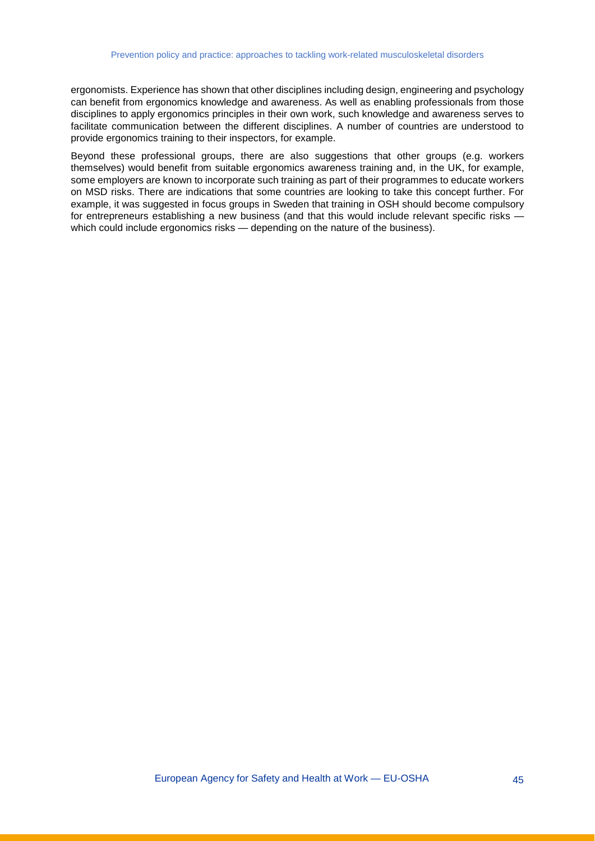ergonomists. Experience has shown that other disciplines including design, engineering and psychology can benefit from ergonomics knowledge and awareness. As well as enabling professionals from those disciplines to apply ergonomics principles in their own work, such knowledge and awareness serves to facilitate communication between the different disciplines. A number of countries are understood to provide ergonomics training to their inspectors, for example.

Beyond these professional groups, there are also suggestions that other groups (e.g. workers themselves) would benefit from suitable ergonomics awareness training and, in the UK, for example, some employers are known to incorporate such training as part of their programmes to educate workers on MSD risks. There are indications that some countries are looking to take this concept further. For example, it was suggested in focus groups in Sweden that training in OSH should become compulsory for entrepreneurs establishing a new business (and that this would include relevant specific risks which could include ergonomics risks — depending on the nature of the business).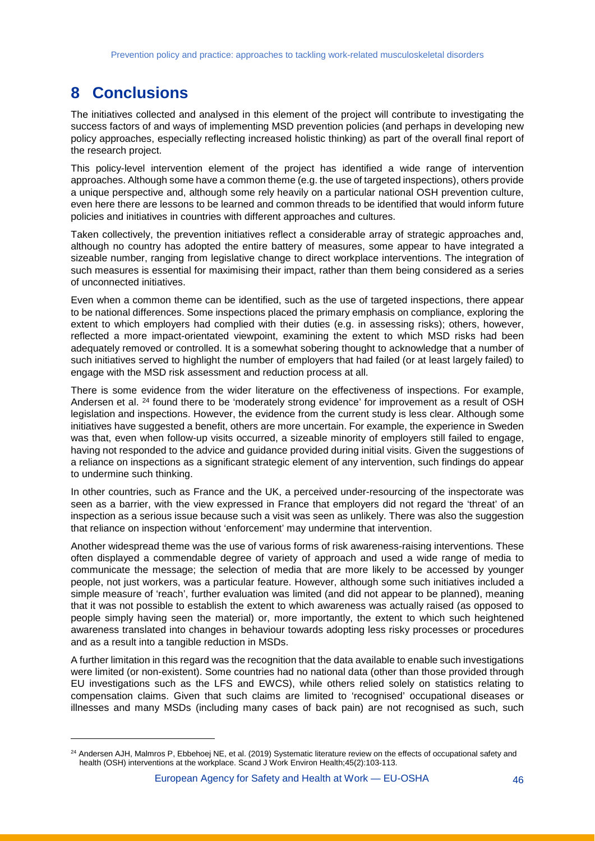## <span id="page-44-0"></span>**8 Conclusions**

-

The initiatives collected and analysed in this element of the project will contribute to investigating the success factors of and ways of implementing MSD prevention policies (and perhaps in developing new policy approaches, especially reflecting increased holistic thinking) as part of the overall final report of the research project.

This policy-level intervention element of the project has identified a wide range of intervention approaches. Although some have a common theme (e.g. the use of targeted inspections), others provide a unique perspective and, although some rely heavily on a particular national OSH prevention culture, even here there are lessons to be learned and common threads to be identified that would inform future policies and initiatives in countries with different approaches and cultures.

Taken collectively, the prevention initiatives reflect a considerable array of strategic approaches and, although no country has adopted the entire battery of measures, some appear to have integrated a sizeable number, ranging from legislative change to direct workplace interventions. The integration of such measures is essential for maximising their impact, rather than them being considered as a series of unconnected initiatives.

Even when a common theme can be identified, such as the use of targeted inspections, there appear to be national differences. Some inspections placed the primary emphasis on compliance, exploring the extent to which employers had complied with their duties (e.g. in assessing risks); others, however, reflected a more impact-orientated viewpoint, examining the extent to which MSD risks had been adequately removed or controlled. It is a somewhat sobering thought to acknowledge that a number of such initiatives served to highlight the number of employers that had failed (or at least largely failed) to engage with the MSD risk assessment and reduction process at all.

There is some evidence from the wider literature on the effectiveness of inspections. For example, Andersen et al. [24](#page-44-1) found there to be 'moderately strong evidence' for improvement as a result of OSH legislation and inspections. However, the evidence from the current study is less clear. Although some initiatives have suggested a benefit, others are more uncertain. For example, the experience in Sweden was that, even when follow-up visits occurred, a sizeable minority of employers still failed to engage, having not responded to the advice and guidance provided during initial visits. Given the suggestions of a reliance on inspections as a significant strategic element of any intervention, such findings do appear to undermine such thinking.

In other countries, such as France and the UK, a perceived under-resourcing of the inspectorate was seen as a barrier, with the view expressed in France that employers did not regard the 'threat' of an inspection as a serious issue because such a visit was seen as unlikely. There was also the suggestion that reliance on inspection without 'enforcement' may undermine that intervention.

Another widespread theme was the use of various forms of risk awareness-raising interventions. These often displayed a commendable degree of variety of approach and used a wide range of media to communicate the message; the selection of media that are more likely to be accessed by younger people, not just workers, was a particular feature. However, although some such initiatives included a simple measure of 'reach', further evaluation was limited (and did not appear to be planned), meaning that it was not possible to establish the extent to which awareness was actually raised (as opposed to people simply having seen the material) or, more importantly, the extent to which such heightened awareness translated into changes in behaviour towards adopting less risky processes or procedures and as a result into a tangible reduction in MSDs.

A further limitation in this regard was the recognition that the data available to enable such investigations were limited (or non-existent). Some countries had no national data (other than those provided through EU investigations such as the LFS and EWCS), while others relied solely on statistics relating to compensation claims. Given that such claims are limited to 'recognised' occupational diseases or illnesses and many MSDs (including many cases of back pain) are not recognised as such, such

<span id="page-44-1"></span><sup>&</sup>lt;sup>24</sup> Andersen AJH, Malmros P, Ebbehoej NE, et al. (2019) Systematic literature review on the effects of occupational safety and health (OSH) interventions at the workplace. Scand J Work Environ Health;45(2):103-113.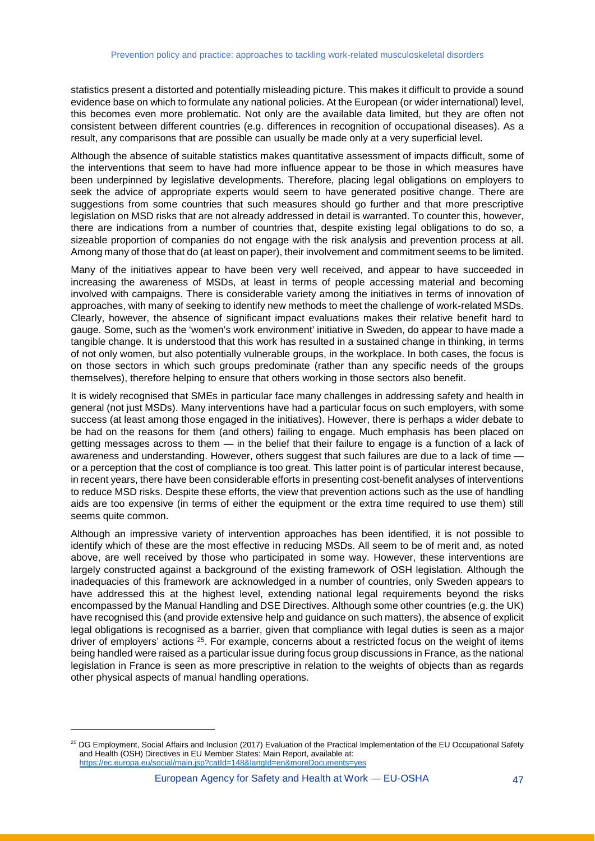statistics present a distorted and potentially misleading picture. This makes it difficult to provide a sound evidence base on which to formulate any national policies. At the European (or wider international) level, this becomes even more problematic. Not only are the available data limited, but they are often not consistent between different countries (e.g. differences in recognition of occupational diseases). As a result, any comparisons that are possible can usually be made only at a very superficial level.

Although the absence of suitable statistics makes quantitative assessment of impacts difficult, some of the interventions that seem to have had more influence appear to be those in which measures have been underpinned by legislative developments. Therefore, placing legal obligations on employers to seek the advice of appropriate experts would seem to have generated positive change. There are suggestions from some countries that such measures should go further and that more prescriptive legislation on MSD risks that are not already addressed in detail is warranted. To counter this, however, there are indications from a number of countries that, despite existing legal obligations to do so, a sizeable proportion of companies do not engage with the risk analysis and prevention process at all. Among many of those that do (at least on paper), their involvement and commitment seems to be limited.

Many of the initiatives appear to have been very well received, and appear to have succeeded in increasing the awareness of MSDs, at least in terms of people accessing material and becoming involved with campaigns. There is considerable variety among the initiatives in terms of innovation of approaches, with many of seeking to identify new methods to meet the challenge of work-related MSDs. Clearly, however, the absence of significant impact evaluations makes their relative benefit hard to gauge. Some, such as the 'women's work environment' initiative in Sweden, do appear to have made a tangible change. It is understood that this work has resulted in a sustained change in thinking, in terms of not only women, but also potentially vulnerable groups, in the workplace. In both cases, the focus is on those sectors in which such groups predominate (rather than any specific needs of the groups themselves), therefore helping to ensure that others working in those sectors also benefit.

It is widely recognised that SMEs in particular face many challenges in addressing safety and health in general (not just MSDs). Many interventions have had a particular focus on such employers, with some success (at least among those engaged in the initiatives). However, there is perhaps a wider debate to be had on the reasons for them (and others) failing to engage. Much emphasis has been placed on getting messages across to them — in the belief that their failure to engage is a function of a lack of awareness and understanding. However, others suggest that such failures are due to a lack of time  $$ or a perception that the cost of compliance is too great. This latter point is of particular interest because, in recent years, there have been considerable efforts in presenting cost-benefit analyses of interventions to reduce MSD risks. Despite these efforts, the view that prevention actions such as the use of handling aids are too expensive (in terms of either the equipment or the extra time required to use them) still seems quite common.

Although an impressive variety of intervention approaches has been identified, it is not possible to identify which of these are the most effective in reducing MSDs. All seem to be of merit and, as noted above, are well received by those who participated in some way. However, these interventions are largely constructed against a background of the existing framework of OSH legislation. Although the inadequacies of this framework are acknowledged in a number of countries, only Sweden appears to have addressed this at the highest level, extending national legal requirements beyond the risks encompassed by the Manual Handling and DSE Directives. Although some other countries (e.g. the UK) have recognised this (and provide extensive help and guidance on such matters), the absence of explicit legal obligations is recognised as a barrier, given that compliance with legal duties is seen as a major driver of employers' actions [25.](#page-45-0) For example, concerns about a restricted focus on the weight of items being handled were raised as a particular issue during focus group discussions in France, as the national legislation in France is seen as more prescriptive in relation to the weights of objects than as regards other physical aspects of manual handling operations.

-

<span id="page-45-0"></span><sup>&</sup>lt;sup>25</sup> DG Employment, Social Affairs and Inclusion (2017) Evaluation of the Practical Implementation of the EU Occupational Safety and Health (OSH) Directives in EU Member States: Main Report, available at: <https://ec.europa.eu/social/main.jsp?catId=148&langId=en&moreDocuments=yes>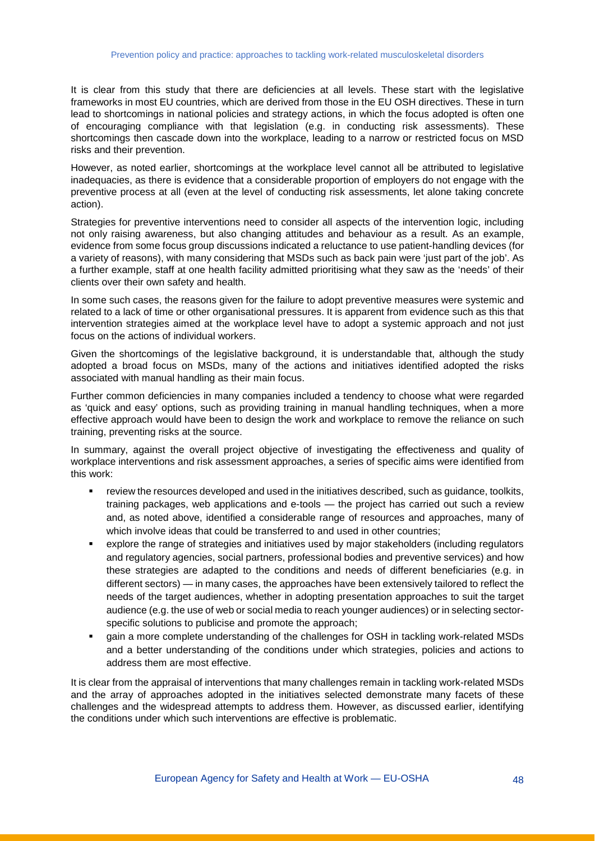It is clear from this study that there are deficiencies at all levels. These start with the legislative frameworks in most EU countries, which are derived from those in the EU OSH directives. These in turn lead to shortcomings in national policies and strategy actions, in which the focus adopted is often one of encouraging compliance with that legislation (e.g. in conducting risk assessments). These shortcomings then cascade down into the workplace, leading to a narrow or restricted focus on MSD risks and their prevention.

However, as noted earlier, shortcomings at the workplace level cannot all be attributed to legislative inadequacies, as there is evidence that a considerable proportion of employers do not engage with the preventive process at all (even at the level of conducting risk assessments, let alone taking concrete action).

Strategies for preventive interventions need to consider all aspects of the intervention logic, including not only raising awareness, but also changing attitudes and behaviour as a result. As an example, evidence from some focus group discussions indicated a reluctance to use patient-handling devices (for a variety of reasons), with many considering that MSDs such as back pain were 'just part of the job'. As a further example, staff at one health facility admitted prioritising what they saw as the 'needs' of their clients over their own safety and health.

In some such cases, the reasons given for the failure to adopt preventive measures were systemic and related to a lack of time or other organisational pressures. It is apparent from evidence such as this that intervention strategies aimed at the workplace level have to adopt a systemic approach and not just focus on the actions of individual workers.

Given the shortcomings of the legislative background, it is understandable that, although the study adopted a broad focus on MSDs, many of the actions and initiatives identified adopted the risks associated with manual handling as their main focus.

Further common deficiencies in many companies included a tendency to choose what were regarded as 'quick and easy' options, such as providing training in manual handling techniques, when a more effective approach would have been to design the work and workplace to remove the reliance on such training, preventing risks at the source.

In summary, against the overall project objective of investigating the effectiveness and quality of workplace interventions and risk assessment approaches, a series of specific aims were identified from this work:

- review the resources developed and used in the initiatives described, such as guidance, toolkits, training packages, web applications and e-tools — the project has carried out such a review and, as noted above, identified a considerable range of resources and approaches, many of which involve ideas that could be transferred to and used in other countries;
- explore the range of strategies and initiatives used by major stakeholders (including regulators and regulatory agencies, social partners, professional bodies and preventive services) and how these strategies are adapted to the conditions and needs of different beneficiaries (e.g. in different sectors) — in many cases, the approaches have been extensively tailored to reflect the needs of the target audiences, whether in adopting presentation approaches to suit the target audience (e.g. the use of web or social media to reach younger audiences) or in selecting sectorspecific solutions to publicise and promote the approach;
- gain a more complete understanding of the challenges for OSH in tackling work-related MSDs and a better understanding of the conditions under which strategies, policies and actions to address them are most effective.

It is clear from the appraisal of interventions that many challenges remain in tackling work-related MSDs and the array of approaches adopted in the initiatives selected demonstrate many facets of these challenges and the widespread attempts to address them. However, as discussed earlier, identifying the conditions under which such interventions are effective is problematic.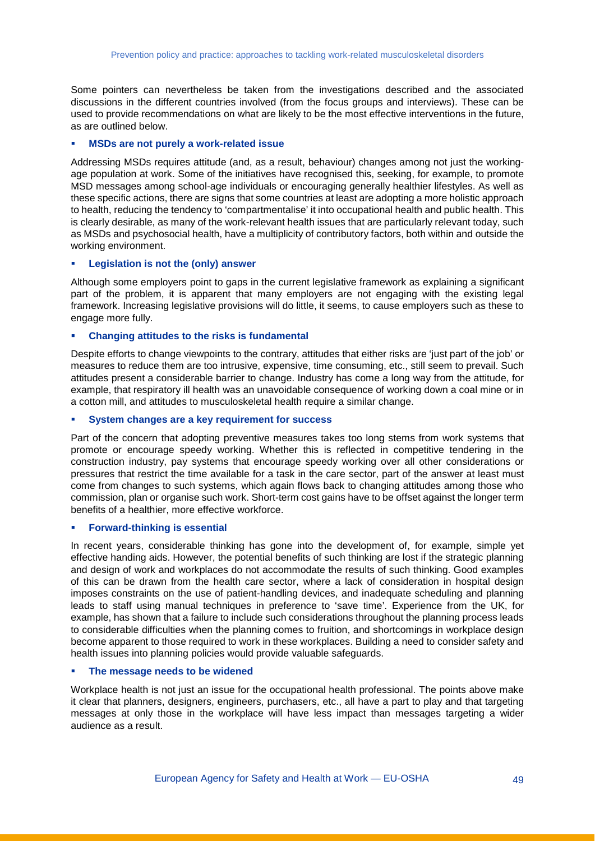Some pointers can nevertheless be taken from the investigations described and the associated discussions in the different countries involved (from the focus groups and interviews). These can be used to provide recommendations on what are likely to be the most effective interventions in the future, as are outlined below.

#### **MSDs are not purely a work-related issue**

Addressing MSDs requires attitude (and, as a result, behaviour) changes among not just the workingage population at work. Some of the initiatives have recognised this, seeking, for example, to promote MSD messages among school-age individuals or encouraging generally healthier lifestyles. As well as these specific actions, there are signs that some countries at least are adopting a more holistic approach to health, reducing the tendency to 'compartmentalise' it into occupational health and public health. This is clearly desirable, as many of the work-relevant health issues that are particularly relevant today, such as MSDs and psychosocial health, have a multiplicity of contributory factors, both within and outside the working environment.

#### **Legislation is not the (only) answer**

Although some employers point to gaps in the current legislative framework as explaining a significant part of the problem, it is apparent that many employers are not engaging with the existing legal framework. Increasing legislative provisions will do little, it seems, to cause employers such as these to engage more fully.

#### **Changing attitudes to the risks is fundamental**

Despite efforts to change viewpoints to the contrary, attitudes that either risks are 'just part of the job' or measures to reduce them are too intrusive, expensive, time consuming, etc., still seem to prevail. Such attitudes present a considerable barrier to change. Industry has come a long way from the attitude, for example, that respiratory ill health was an unavoidable consequence of working down a coal mine or in a cotton mill, and attitudes to musculoskeletal health require a similar change.

#### **System changes are a key requirement for success**

Part of the concern that adopting preventive measures takes too long stems from work systems that promote or encourage speedy working. Whether this is reflected in competitive tendering in the construction industry, pay systems that encourage speedy working over all other considerations or pressures that restrict the time available for a task in the care sector, part of the answer at least must come from changes to such systems, which again flows back to changing attitudes among those who commission, plan or organise such work. Short-term cost gains have to be offset against the longer term benefits of a healthier, more effective workforce.

#### **Forward-thinking is essential**

In recent years, considerable thinking has gone into the development of, for example, simple yet effective handing aids. However, the potential benefits of such thinking are lost if the strategic planning and design of work and workplaces do not accommodate the results of such thinking. Good examples of this can be drawn from the health care sector, where a lack of consideration in hospital design imposes constraints on the use of patient-handling devices, and inadequate scheduling and planning leads to staff using manual techniques in preference to 'save time'. Experience from the UK, for example, has shown that a failure to include such considerations throughout the planning process leads to considerable difficulties when the planning comes to fruition, and shortcomings in workplace design become apparent to those required to work in these workplaces. Building a need to consider safety and health issues into planning policies would provide valuable safeguards.

#### **The message needs to be widened**

Workplace health is not just an issue for the occupational health professional. The points above make it clear that planners, designers, engineers, purchasers, etc., all have a part to play and that targeting messages at only those in the workplace will have less impact than messages targeting a wider audience as a result.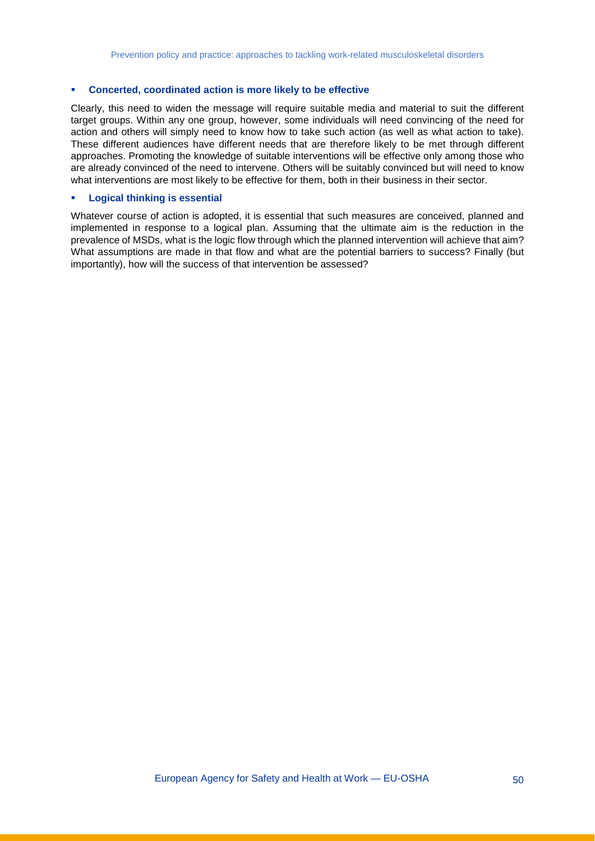#### **Concerted, coordinated action is more likely to be effective**

Clearly, this need to widen the message will require suitable media and material to suit the different target groups. Within any one group, however, some individuals will need convincing of the need for action and others will simply need to know how to take such action (as well as what action to take). These different audiences have different needs that are therefore likely to be met through different approaches. Promoting the knowledge of suitable interventions will be effective only among those who are already convinced of the need to intervene. Others will be suitably convinced but will need to know what interventions are most likely to be effective for them, both in their business in their sector.

#### **Logical thinking is essential**

Whatever course of action is adopted, it is essential that such measures are conceived, planned and implemented in response to a logical plan. Assuming that the ultimate aim is the reduction in the prevalence of MSDs, what is the logic flow through which the planned intervention will achieve that aim? What assumptions are made in that flow and what are the potential barriers to success? Finally (but importantly), how will the success of that intervention be assessed?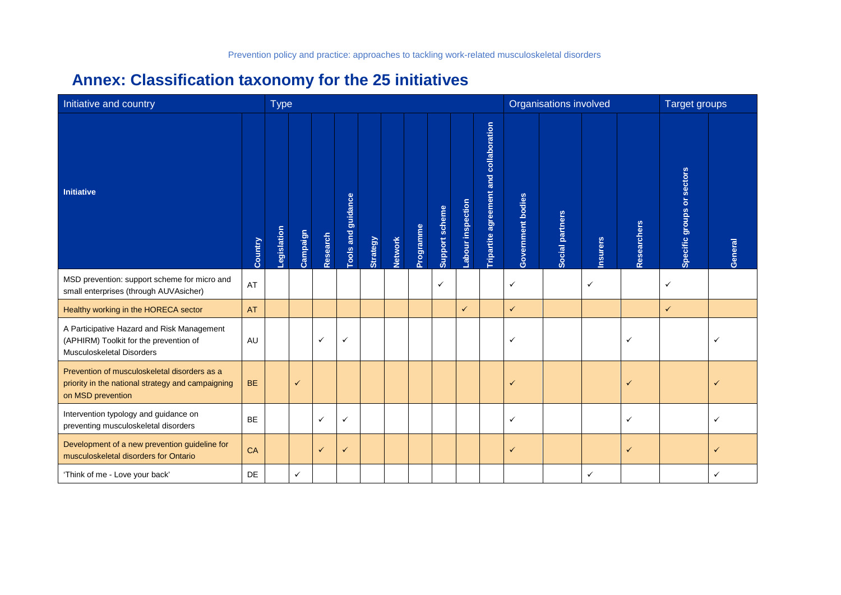## **Annex: Classification taxonomy for the 25 initiatives**

<span id="page-49-0"></span>

| Initiative and country                                                                                                 | <b>Type</b> |                   |              |              |                           |          |                |           |                | Organisations involved |                                        |                   |                 | Target groups |              |                               |              |
|------------------------------------------------------------------------------------------------------------------------|-------------|-------------------|--------------|--------------|---------------------------|----------|----------------|-----------|----------------|------------------------|----------------------------------------|-------------------|-----------------|---------------|--------------|-------------------------------|--------------|
| <b>Initiative</b>                                                                                                      | Country     | <b>egislation</b> | Campaign     | Research     | <b>Tools and guidance</b> | Strategy | <b>Network</b> | Programme | Support scheme | abour inspection       | Tripartite agreement and collaboration | Government bodies | Social partners | nsurers       | Researchers  | sectors<br>Specific groups or | General      |
| MSD prevention: support scheme for micro and<br>small enterprises (through AUVAsicher)                                 | AT          |                   |              |              |                           |          |                |           | $\checkmark$   |                        |                                        | ✓                 |                 | $\checkmark$  |              | ✓                             |              |
| Healthy working in the HORECA sector                                                                                   | <b>AT</b>   |                   |              |              |                           |          |                |           |                | $\checkmark$           |                                        | $\checkmark$      |                 |               |              | ✓                             |              |
| A Participative Hazard and Risk Management<br>(APHIRM) Toolkit for the prevention of<br>Musculoskeletal Disorders      | <b>AU</b>   |                   |              | ✓            | $\checkmark$              |          |                |           |                |                        |                                        | ✓                 |                 |               | ✓            |                               | ✓            |
| Prevention of musculoskeletal disorders as a<br>priority in the national strategy and campaigning<br>on MSD prevention | <b>BE</b>   |                   | $\checkmark$ |              |                           |          |                |           |                |                        |                                        | $\checkmark$      |                 |               | $\checkmark$ |                               | ✓            |
| Intervention typology and guidance on<br>preventing musculoskeletal disorders                                          | <b>BE</b>   |                   |              | $\checkmark$ | $\checkmark$              |          |                |           |                |                        |                                        | ✓                 |                 |               | ✓            |                               | ✓            |
| Development of a new prevention guideline for<br>musculoskeletal disorders for Ontario                                 | CA          |                   |              | $\checkmark$ | $\checkmark$              |          |                |           |                |                        |                                        | $\checkmark$      |                 |               | ✓            |                               | $\checkmark$ |
| 'Think of me - Love your back'                                                                                         | DE          |                   | ✓            |              |                           |          |                |           |                |                        |                                        |                   |                 | ✓             |              |                               | ✓            |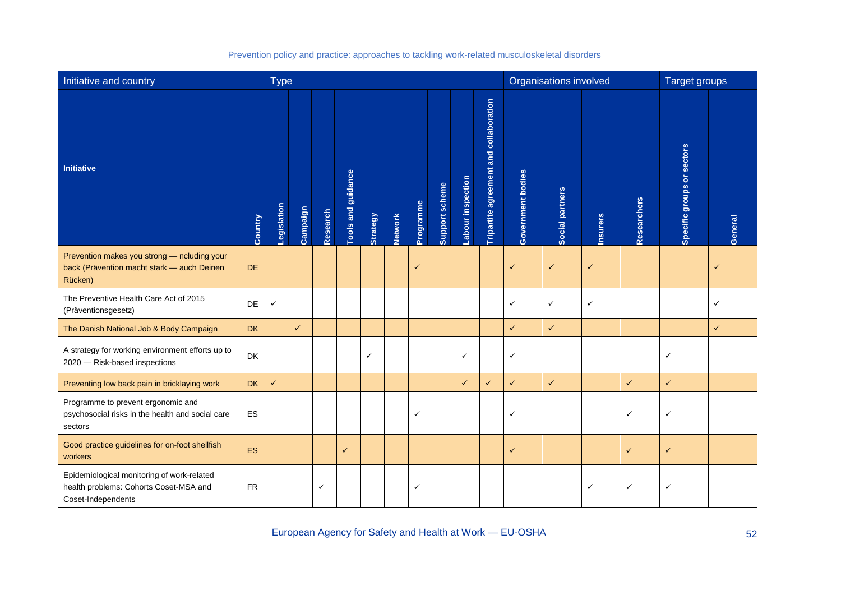#### Prevention policy and practice: approaches to tackling work-related musculoskeletal disorders

| Initiative and country                                                                                     | <b>Type</b> |              |              |              |                    |                 |                |              |                       |                  |                                        | <b>Organisations involved</b> | <b>Target groups</b> |                 |              |                            |              |
|------------------------------------------------------------------------------------------------------------|-------------|--------------|--------------|--------------|--------------------|-----------------|----------------|--------------|-----------------------|------------------|----------------------------------------|-------------------------------|----------------------|-----------------|--------------|----------------------------|--------------|
| <b>Initiative</b>                                                                                          | Country     | Legislation  | Campaign     | Research     | Tools and guidance | <b>Strategy</b> | <b>Network</b> | Programme    | <b>Support scheme</b> | abour inspection | Tripartite agreement and collaboration | Government bodies             | Social partners      | <b>Insurers</b> | Researchers  | Specific groups or sectors | General      |
| Prevention makes you strong - ncluding your<br>back (Prävention macht stark - auch Deinen<br>Rücken)       | <b>DE</b>   |              |              |              |                    |                 |                | $\checkmark$ |                       |                  |                                        | $\checkmark$                  | $\checkmark$         | $\checkmark$    |              |                            |              |
| The Preventive Health Care Act of 2015<br>(Präventionsgesetz)                                              | DE          | $\checkmark$ |              |              |                    |                 |                |              |                       |                  |                                        | $\checkmark$                  | $\checkmark$         | $\checkmark$    |              |                            | $\checkmark$ |
| The Danish National Job & Body Campaign                                                                    | <b>DK</b>   |              | $\checkmark$ |              |                    |                 |                |              |                       |                  |                                        | $\checkmark$                  | $\checkmark$         |                 |              |                            | $\checkmark$ |
| A strategy for working environment efforts up to<br>2020 - Risk-based inspections                          | DK          |              |              |              |                    | $\checkmark$    |                |              |                       | $\checkmark$     |                                        | ✓                             |                      |                 |              | $\checkmark$               |              |
| Preventing low back pain in bricklaying work                                                               | <b>DK</b>   | $\checkmark$ |              |              |                    |                 |                |              |                       | $\checkmark$     | $\checkmark$                           | $\checkmark$                  | $\checkmark$         |                 | $\checkmark$ | $\checkmark$               |              |
| Programme to prevent ergonomic and<br>psychosocial risks in the health and social care<br>sectors          | ES          |              |              |              |                    |                 |                | $\checkmark$ |                       |                  |                                        | $\checkmark$                  |                      |                 | ✓            | $\checkmark$               |              |
| Good practice guidelines for on-foot shellfish<br>workers                                                  | <b>ES</b>   |              |              |              | $\checkmark$       |                 |                |              |                       |                  |                                        | $\checkmark$                  |                      |                 | ✓            | $\checkmark$               |              |
| Epidemiological monitoring of work-related<br>health problems: Cohorts Coset-MSA and<br>Coset-Independents | <b>FR</b>   |              |              | $\checkmark$ |                    |                 |                | ✓            |                       |                  |                                        |                               |                      | ✓               | ✓            | $\checkmark$               |              |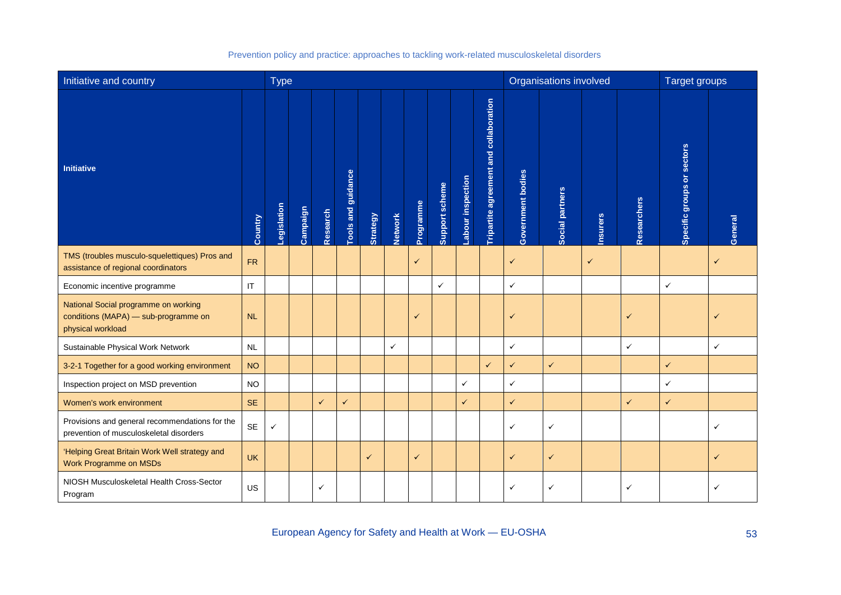#### Prevention policy and practice: approaches to tackling work-related musculoskeletal disorders

| Initiative and country                                                                            | <b>Type</b> |              |          |              |                           |                 |                |              |                |                  |                                        | Organisations involved | <b>Target groups</b> |              |              |                                      |              |
|---------------------------------------------------------------------------------------------------|-------------|--------------|----------|--------------|---------------------------|-----------------|----------------|--------------|----------------|------------------|----------------------------------------|------------------------|----------------------|--------------|--------------|--------------------------------------|--------------|
| <b>Initiative</b>                                                                                 | Country     | Legislation  | Campaign | Research     | <b>Tools and guidance</b> | <b>Strategy</b> | <b>Network</b> | Programme    | Support scheme | abour inspection | Tripartite agreement and collaboration | Government bodies      | Social partners      | hsurers      | Researchers  | <b>sectors</b><br>Specific groups or | General      |
| TMS (troubles musculo-squelettiques) Pros and<br>assistance of regional coordinators              | <b>FR</b>   |              |          |              |                           |                 |                | $\checkmark$ |                |                  |                                        | $\checkmark$           |                      | $\checkmark$ |              |                                      | $\checkmark$ |
| Economic incentive programme                                                                      | IT          |              |          |              |                           |                 |                |              | $\checkmark$   |                  |                                        | $\checkmark$           |                      |              |              | $\checkmark$                         |              |
| National Social programme on working<br>conditions (MAPA) - sub-programme on<br>physical workload | <b>NL</b>   |              |          |              |                           |                 |                | $\checkmark$ |                |                  |                                        | ✓                      |                      |              | ✓            |                                      |              |
| Sustainable Physical Work Network                                                                 | <b>NL</b>   |              |          |              |                           |                 | $\checkmark$   |              |                |                  |                                        | $\checkmark$           |                      |              | $\checkmark$ |                                      | $\checkmark$ |
| 3-2-1 Together for a good working environment                                                     | <b>NO</b>   |              |          |              |                           |                 |                |              |                |                  | $\checkmark$                           | $\checkmark$           | $\checkmark$         |              |              | $\checkmark$                         |              |
| Inspection project on MSD prevention                                                              | <b>NO</b>   |              |          |              |                           |                 |                |              |                | ✓                |                                        | $\checkmark$           |                      |              |              | $\checkmark$                         |              |
| Women's work environment                                                                          | <b>SE</b>   |              |          | $\checkmark$ | $\checkmark$              |                 |                |              |                | $\checkmark$     |                                        | $\checkmark$           |                      |              | ✓            | $\checkmark$                         |              |
| Provisions and general recommendations for the<br>prevention of musculoskeletal disorders         | <b>SE</b>   | $\checkmark$ |          |              |                           |                 |                |              |                |                  |                                        | $\checkmark$           | $\checkmark$         |              |              |                                      | ✓            |
| 'Helping Great Britain Work Well strategy and<br><b>Work Programme on MSDs</b>                    | <b>UK</b>   |              |          |              |                           | $\checkmark$    |                | $\checkmark$ |                |                  |                                        | $\checkmark$           | $\checkmark$         |              |              |                                      | $\checkmark$ |
| NIOSH Musculoskeletal Health Cross-Sector<br>Program                                              | US          |              |          | $\checkmark$ |                           |                 |                |              |                |                  |                                        | $\checkmark$           | $\checkmark$         |              | ✓            |                                      | $\checkmark$ |